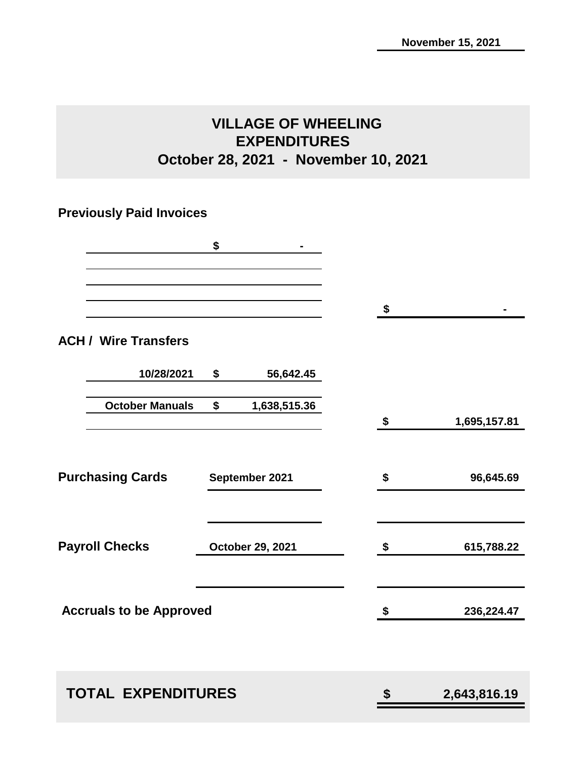## **VILLAGE OF WHEELING EXPENDITURES October 28, 2021 - November 10, 2021**

# **Previously Paid Invoices**

|                                | \$                 |                    |
|--------------------------------|--------------------|--------------------|
|                                |                    | \$                 |
| <b>ACH / Wire Transfers</b>    |                    |                    |
| 10/28/2021                     | \$<br>56,642.45    |                    |
| <b>October Manuals</b>         | \$<br>1,638,515.36 | \$<br>1,695,157.81 |
|                                |                    |                    |
| <b>Purchasing Cards</b>        | September 2021     | \$<br>96,645.69    |
| <b>Payroll Checks</b>          | October 29, 2021   | \$<br>615,788.22   |
|                                |                    |                    |
| <b>Accruals to be Approved</b> |                    | \$<br>236,224.47   |
|                                |                    |                    |
| <b>TOTAL EXPENDITURES</b>      |                    | \$<br>2,643,816.19 |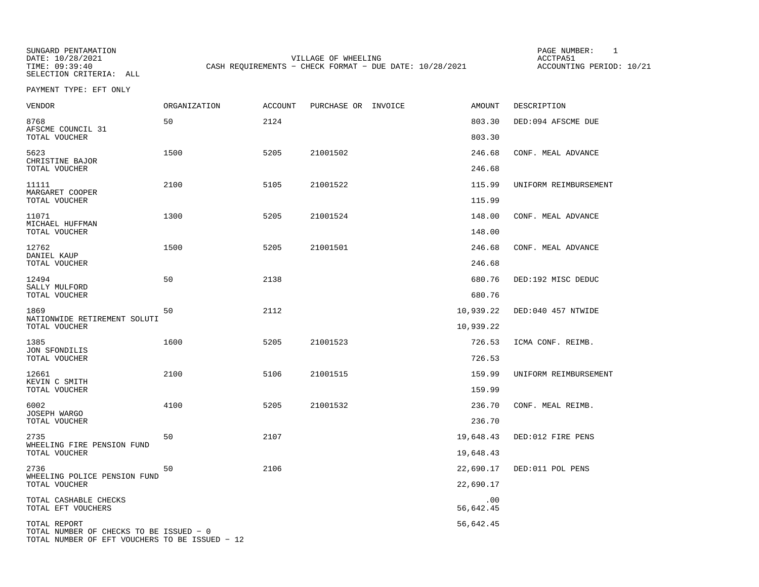SUNGARD PENTAMATION SUNGARD PENTAMATION SUNGARD PAGE NUMBER: 1 SUNGARD PAGE NUMBER: 1 DATE: 10/28/2021 VILLAGE OF WHEELING ACCTPA51CASH REQUIREMENTS - CHECK FORMAT - DUE DATE: 10/28/2021

ACCOUNTING PERIOD: 10/21

PAYMENT TYPE: EFT ONLY

| <b>VENDOR</b>                                                                                             | ORGANIZATION | ACCOUNT | PURCHASE OR INVOICE | <b>AMOUNT</b>    | DESCRIPTION           |
|-----------------------------------------------------------------------------------------------------------|--------------|---------|---------------------|------------------|-----------------------|
| 8768<br>AFSCME COUNCIL 31                                                                                 | 50           | 2124    |                     | 803.30           | DED:094 AFSCME DUE    |
| TOTAL VOUCHER                                                                                             |              |         |                     | 803.30           |                       |
| 5623<br>CHRISTINE BAJOR                                                                                   | 1500         | 5205    | 21001502            | 246.68           | CONF. MEAL ADVANCE    |
| TOTAL VOUCHER                                                                                             |              |         |                     | 246.68           |                       |
| 11111<br>MARGARET COOPER                                                                                  | 2100         | 5105    | 21001522            | 115.99           | UNIFORM REIMBURSEMENT |
| TOTAL VOUCHER                                                                                             |              |         |                     | 115.99           |                       |
| 11071<br>MICHAEL HUFFMAN<br>TOTAL VOUCHER                                                                 | 1300         | 5205    | 21001524            | 148.00<br>148.00 | CONF. MEAL ADVANCE    |
| 12762<br>DANIEL KAUP                                                                                      | 1500         | 5205    | 21001501            | 246.68           | CONF. MEAL ADVANCE    |
| TOTAL VOUCHER                                                                                             |              |         |                     | 246.68           |                       |
| 12494                                                                                                     | 50           | 2138    |                     | 680.76           | DED:192 MISC DEDUC    |
| SALLY MULFORD<br>TOTAL VOUCHER                                                                            |              |         |                     | 680.76           |                       |
| 1869<br>NATIONWIDE RETIREMENT SOLUTI                                                                      | 50           | 2112    |                     | 10,939.22        | DED:040 457 NTWIDE    |
| TOTAL VOUCHER                                                                                             |              |         |                     | 10,939.22        |                       |
| 1385<br>JON SFONDILIS                                                                                     | 1600         | 5205    | 21001523            | 726.53           | ICMA CONF. REIMB.     |
| TOTAL VOUCHER                                                                                             |              |         |                     | 726.53           |                       |
| 12661<br>KEVIN C SMITH                                                                                    | 2100         | 5106    | 21001515            | 159.99           | UNIFORM REIMBURSEMENT |
| TOTAL VOUCHER                                                                                             |              |         |                     | 159.99           |                       |
| 6002<br>JOSEPH WARGO                                                                                      | 4100         | 5205    | 21001532            | 236.70           | CONF. MEAL REIMB.     |
| TOTAL VOUCHER                                                                                             |              |         |                     | 236.70           |                       |
| 2735<br>WHEELING FIRE PENSION FUND                                                                        | 50           | 2107    |                     | 19,648.43        | DED:012 FIRE PENS     |
| TOTAL VOUCHER                                                                                             |              |         |                     | 19,648.43        |                       |
| 2736<br>WHEELING POLICE PENSION FUND                                                                      | 50           | 2106    |                     | 22,690.17        | DED:011 POL PENS      |
| TOTAL VOUCHER                                                                                             |              |         |                     | 22,690.17        |                       |
| TOTAL CASHABLE CHECKS<br>TOTAL EFT VOUCHERS                                                               |              |         |                     | .00<br>56,642.45 |                       |
| TOTAL REPORT<br>TOTAL NUMBER OF CHECKS TO BE ISSUED - 0<br>TOTAL NUMBER OF EFT VOUCHERS TO BE ISSUED - 12 |              |         |                     | 56,642.45        |                       |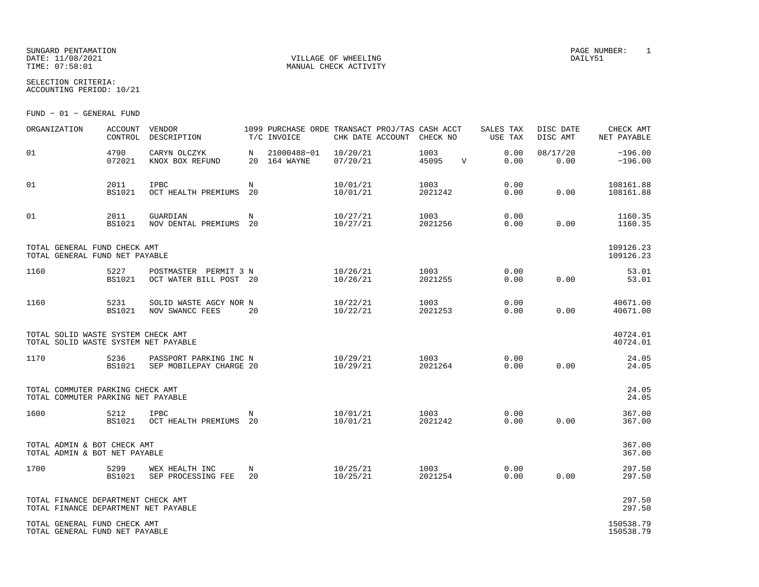## SUNGARD PENTAMATION PAGE NUMBER: 1DATE: 11/08/2021 VILLAGE OF WHEELING DAILY51

SELECTION CRITERIA:

MANUAL CHECK ACTIVITY

ACCOUNTING PERIOD: 10/21

FUND − 01 − GENERAL FUND

| ORGANIZATION                                                               | <b>ACCOUNT</b><br>CONTROL | VENDOR<br>DESCRIPTION                             |         | 1099 PURCHASE ORDE TRANSACT PROJ/TAS CASH ACCT<br>T/C INVOICE | CHK DATE ACCOUNT     | CHECK NO        |              | SALES TAX<br>USE TAX | DISC DATE<br>DISC AMT | CHECK AMT<br>NET PAYABLE |
|----------------------------------------------------------------------------|---------------------------|---------------------------------------------------|---------|---------------------------------------------------------------|----------------------|-----------------|--------------|----------------------|-----------------------|--------------------------|
| 01                                                                         | 4790<br>072021            | CARYN OLCZYK<br>KNOX BOX REFUND                   | N       | 21000488-01<br>20 164 WAYNE                                   | 10/20/21<br>07/20/21 | 1003<br>45095   | $\mathbf{V}$ | 0.00<br>0.00         | 08/17/20<br>0.00      | $-196.00$<br>$-196.00$   |
| 01                                                                         | 2011<br><b>BS1021</b>     | IPBC<br>OCT HEALTH PREMIUMS                       | N<br>20 |                                                               | 10/01/21<br>10/01/21 | 1003<br>2021242 |              | 0.00<br>0.00         | 0.00                  | 108161.88<br>108161.88   |
| 01                                                                         | 2011<br><b>BS1021</b>     | GUARDIAN<br>NOV DENTAL PREMIUMS                   | N<br>20 |                                                               | 10/27/21<br>10/27/21 | 1003<br>2021256 |              | 0.00<br>0.00         | 0.00                  | 1160.35<br>1160.35       |
| TOTAL GENERAL FUND CHECK AMT<br>TOTAL GENERAL FUND NET PAYABLE             |                           |                                                   |         |                                                               |                      |                 |              |                      |                       | 109126.23<br>109126.23   |
| 1160                                                                       | 5227<br>BS1021            | POSTMASTER PERMIT 3 N<br>OCT WATER BILL POST 20   |         |                                                               | 10/26/21<br>10/26/21 | 1003<br>2021255 |              | 0.00<br>0.00         | 0.00                  | 53.01<br>53.01           |
| 1160                                                                       | 5231<br><b>BS1021</b>     | SOLID WASTE AGCY NOR N<br>NOV SWANCC FEES         | 20      |                                                               | 10/22/21<br>10/22/21 | 1003<br>2021253 |              | 0.00<br>0.00         | 0.00                  | 40671.00<br>40671.00     |
| TOTAL SOLID WASTE SYSTEM CHECK AMT<br>TOTAL SOLID WASTE SYSTEM NET PAYABLE |                           |                                                   |         |                                                               |                      |                 |              |                      |                       | 40724.01<br>40724.01     |
| 1170                                                                       | 5236<br><b>BS1021</b>     | PASSPORT PARKING INC N<br>SEP MOBILEPAY CHARGE 20 |         |                                                               | 10/29/21<br>10/29/21 | 1003<br>2021264 |              | 0.00<br>0.00         | 0.00                  | 24.05<br>24.05           |
| TOTAL COMMUTER PARKING CHECK AMT<br>TOTAL COMMUTER PARKING NET PAYABLE     |                           |                                                   |         |                                                               |                      |                 |              |                      |                       | 24.05<br>24.05           |
| 1600                                                                       | 5212<br><b>BS1021</b>     | IPBC<br>OCT HEALTH PREMIUMS                       | N<br>20 |                                                               | 10/01/21<br>10/01/21 | 1003<br>2021242 |              | 0.00<br>0.00         | 0.00                  | 367.00<br>367.00         |
| TOTAL ADMIN & BOT CHECK AMT<br>TOTAL ADMIN & BOT NET PAYABLE               |                           |                                                   |         |                                                               |                      |                 |              |                      |                       | 367.00<br>367.00         |
| 1700                                                                       | 5299<br><b>BS1021</b>     | WEX HEALTH INC<br>SEP PROCESSING FEE              | N<br>20 |                                                               | 10/25/21<br>10/25/21 | 1003<br>2021254 |              | 0.00<br>0.00         | 0.00                  | 297.50<br>297.50         |
| TOTAL FINANCE DEPARTMENT CHECK AMT<br>TOTAL FINANCE DEPARTMENT NET PAYABLE |                           |                                                   |         |                                                               |                      |                 |              |                      |                       | 297.50<br>297.50         |
| TOTAL GENERAL FUND CHECK AMT<br>TOTAL GENERAL FUND NET PAYABLE             |                           |                                                   |         |                                                               |                      |                 |              |                      |                       | 150538.79<br>150538.79   |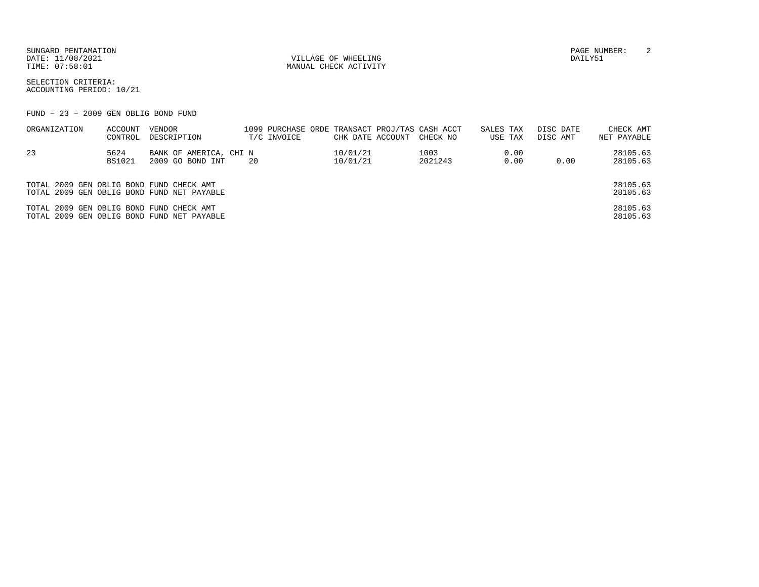SUNGARD PENTAMATION PAGE NUMBER: 2DATE: 11/08/2021 VILLAGE OF WHEELING DAILY51

MANUAL CHECK ACTIVITY

SELECTION CRITERIA:ACCOUNTING PERIOD: 10/21

FUND − 23 − 2009 GEN OBLIG BOND FUND

| ORGANIZATION                             | ACCOUNT<br>CONTROL    | VENDOR<br>DESCRIPTION                      | 1099 PURCHASE ORDE TRANSACT PROJ/TAS CASH ACCT<br>T/C INVOICE | CHK DATE ACCOUNT     | CHECK NO        | SALES TAX<br>USE TAX | DISC DATE<br>DISC AMT | CHECK AMT<br>NET PAYABLE |
|------------------------------------------|-----------------------|--------------------------------------------|---------------------------------------------------------------|----------------------|-----------------|----------------------|-----------------------|--------------------------|
| 23                                       | 5624<br><b>BS1021</b> | BANK OF AMERICA, CHI N<br>2009 GO BOND INT | 20                                                            | 10/01/21<br>10/01/21 | 1003<br>2021243 | 0.00<br>0.00         | 0.00                  | 28105.63<br>28105.63     |
| TOTAL 2009 GEN OBLIG BOND FUND CHECK AMT |                       | TOTAL 2009 GEN OBLIG BOND FUND NET PAYABLE |                                                               |                      |                 |                      |                       | 28105.63<br>28105.63     |
| TOTAL 2009 GEN OBLIG BOND FUND CHECK AMT |                       | TOTAL 2009 GEN OBLIG BOND FUND NET PAYABLE |                                                               |                      |                 |                      |                       | 28105.63<br>28105.63     |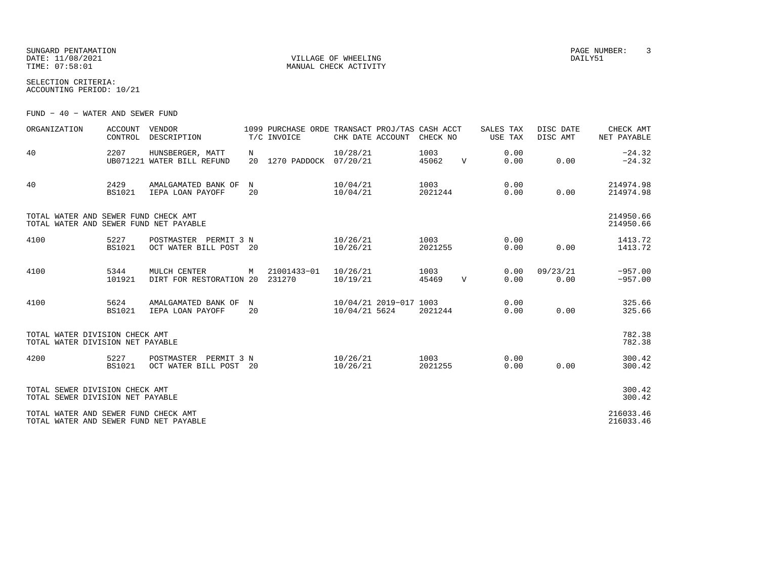SUNGARD PENTAMATION PAGE NUMBER: 3DATE: 11/08/2021 VILLAGE OF WHEELING DAILY51

MANUAL CHECK ACTIVITY

SELECTION CRITERIA:ACCOUNTING PERIOD: 10/21

FUND − 40 − WATER AND SEWER FUND

| ORGANIZATION                                                                   | <b>ACCOUNT</b><br>CONTROL | VENDOR<br>DESCRIPTION                           |                  | 1099 PURCHASE ORDE TRANSACT PROJ/TAS CASH ACCT<br>T/C INVOICE | CHK DATE ACCOUNT                        | CHECK NO        |              | SALES TAX<br>USE TAX | DISC DATE<br>DISC AMT | CHECK AMT<br>NET PAYABLE |
|--------------------------------------------------------------------------------|---------------------------|-------------------------------------------------|------------------|---------------------------------------------------------------|-----------------------------------------|-----------------|--------------|----------------------|-----------------------|--------------------------|
| 40                                                                             | 2207                      | HUNSBERGER, MATT<br>UB071221 WATER BILL REFUND  | N<br>20          | 1270 PADDOCK 07/20/21                                         | 10/28/21                                | 1003<br>45062   | $\mathbf{V}$ | 0.00<br>0.00         | 0.00                  | $-24.32$<br>$-24.32$     |
| 40                                                                             | 2429<br><b>BS1021</b>     | AMALGAMATED BANK OF<br>IEPA LOAN PAYOFF         | $_{\rm N}$<br>20 |                                                               | 10/04/21<br>10/04/21                    | 1003<br>2021244 |              | 0.00<br>0.00         | 0.00                  | 214974.98<br>214974.98   |
| TOTAL WATER AND SEWER FUND CHECK AMT<br>TOTAL WATER AND SEWER FUND NET PAYABLE |                           |                                                 |                  |                                                               |                                         |                 |              |                      |                       | 214950.66<br>214950.66   |
| 4100                                                                           | 5227<br>BS1021            | POSTMASTER PERMIT 3 N<br>OCT WATER BILL POST 20 |                  |                                                               | 10/26/21<br>10/26/21                    | 1003<br>2021255 |              | 0.00<br>0.00         | 0.00                  | 1413.72<br>1413.72       |
| 4100                                                                           | 5344<br>101921            | MULCH CENTER<br>DIRT FOR RESTORATION 20 231270  | M                | 21001433-01                                                   | 10/26/21<br>10/19/21                    | 1003<br>45469   | $\mathbf{V}$ | 0.00<br>0.00         | 09/23/21<br>0.00      | $-957.00$<br>$-957.00$   |
| 4100                                                                           | 5624<br><b>BS1021</b>     | AMALGAMATED BANK OF<br>IEPA LOAN PAYOFF         | N<br>20          |                                                               | 10/04/21 2019-017 1003<br>10/04/21 5624 | 2021244         |              | 0.00<br>0.00         | 0.00                  | 325.66<br>325.66         |
| TOTAL WATER DIVISION CHECK AMT<br>TOTAL WATER DIVISION NET PAYABLE             |                           |                                                 |                  |                                                               |                                         |                 |              |                      |                       | 782.38<br>782.38         |
| 4200                                                                           | 5227<br><b>BS1021</b>     | POSTMASTER PERMIT 3 N<br>OCT WATER BILL POST 20 |                  |                                                               | 10/26/21<br>10/26/21                    | 1003<br>2021255 |              | 0.00<br>0.00         | 0.00                  | 300.42<br>300.42         |
| TOTAL SEWER DIVISION CHECK AMT<br>TOTAL SEWER DIVISION NET PAYABLE             |                           |                                                 |                  |                                                               |                                         |                 |              |                      |                       | 300.42<br>300.42         |
| TOTAL WATER AND SEWER FUND CHECK AMT<br>TOTAL WATER AND SEWER FUND NET PAYABLE |                           |                                                 |                  |                                                               |                                         |                 |              |                      |                       | 216033.46<br>216033.46   |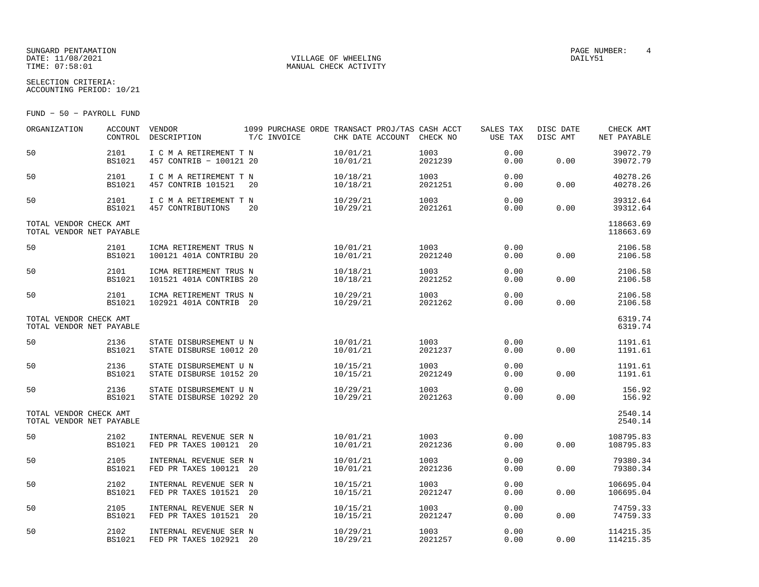## SUNGARD PENTAMATION SUNGARD PENTAMATION SUNGARD PAGE NUMBER: 4 SECOND PAGE NUMBER: 4 SECOND PAGE NUMBER: 4 SECOND PAGE NUMBER: 4 SECOND PAGE NUMBER: 4 SECOND PAGE NUMBER: 4 SECOND PAGE NUMBER: 4 SECOND PAGE NUMBER: 4 SECON DATE: 11/08/2021 VILLAGE OF WHEELING DAILY51

SELECTION CRITERIA:

MANUAL CHECK ACTIVITY

ACCOUNTING PERIOD: 10/21

FUND − 50 − PAYROLL FUND

| ORGANIZATION                                       | <b>ACCOUNT</b><br>CONTROL | VENDOR<br>DESCRIPTION                             | 1099 PURCHASE ORDE TRANSACT PROJ/TAS CASH ACCT<br>T/C INVOICE | CHK DATE ACCOUNT CHECK NO |                 | SALES TAX<br>USE TAX | DISC DATE<br>DISC AMT | CHECK AMT<br>NET PAYABLE |
|----------------------------------------------------|---------------------------|---------------------------------------------------|---------------------------------------------------------------|---------------------------|-----------------|----------------------|-----------------------|--------------------------|
| 50                                                 | 2101<br><b>BS1021</b>     | I C M A RETIREMENT T N<br>457 CONTRIB - 100121 20 |                                                               | 10/01/21<br>10/01/21      | 1003<br>2021239 | 0.00<br>0.00         | 0.00                  | 39072.79<br>39072.79     |
| 50                                                 | 2101<br><b>BS1021</b>     | I C M A RETIREMENT T N<br>457 CONTRIB 101521      | 20                                                            | 10/18/21<br>10/18/21      | 1003<br>2021251 | 0.00<br>0.00         | 0.00                  | 40278.26<br>40278.26     |
| 50                                                 | 2101<br><b>BS1021</b>     | I C M A RETIREMENT T N<br>457 CONTRIBUTIONS       | 20                                                            | 10/29/21<br>10/29/21      | 1003<br>2021261 | 0.00<br>0.00         | 0.00                  | 39312.64<br>39312.64     |
| TOTAL VENDOR CHECK AMT<br>TOTAL VENDOR NET PAYABLE |                           |                                                   |                                                               |                           |                 |                      |                       | 118663.69<br>118663.69   |
| 50                                                 | 2101<br><b>BS1021</b>     | ICMA RETIREMENT TRUS N<br>100121 401A CONTRIBU 20 |                                                               | 10/01/21<br>10/01/21      | 1003<br>2021240 | 0.00<br>0.00         | 0.00                  | 2106.58<br>2106.58       |
| 50                                                 | 2101<br><b>BS1021</b>     | ICMA RETIREMENT TRUS N<br>101521 401A CONTRIBS 20 |                                                               | 10/18/21<br>10/18/21      | 1003<br>2021252 | 0.00<br>0.00         | 0.00                  | 2106.58<br>2106.58       |
| 50                                                 | 2101<br><b>BS1021</b>     | ICMA RETIREMENT TRUS N<br>102921 401A CONTRIB 20  |                                                               | 10/29/21<br>10/29/21      | 1003<br>2021262 | 0.00<br>0.00         | 0.00                  | 2106.58<br>2106.58       |
| TOTAL VENDOR CHECK AMT<br>TOTAL VENDOR NET PAYABLE |                           |                                                   |                                                               |                           |                 |                      |                       | 6319.74<br>6319.74       |
| 50                                                 | 2136<br><b>BS1021</b>     | STATE DISBURSEMENT U N<br>STATE DISBURSE 10012 20 |                                                               | 10/01/21<br>10/01/21      | 1003<br>2021237 | 0.00<br>0.00         | 0.00                  | 1191.61<br>1191.61       |
| 50                                                 | 2136<br><b>BS1021</b>     | STATE DISBURSEMENT U N<br>STATE DISBURSE 10152 20 |                                                               | 10/15/21<br>10/15/21      | 1003<br>2021249 | 0.00<br>0.00         | 0.00                  | 1191.61<br>1191.61       |
| 50                                                 | 2136<br><b>BS1021</b>     | STATE DISBURSEMENT U N<br>STATE DISBURSE 10292 20 |                                                               | 10/29/21<br>10/29/21      | 1003<br>2021263 | 0.00<br>0.00         | 0.00                  | 156.92<br>156.92         |
| TOTAL VENDOR CHECK AMT<br>TOTAL VENDOR NET PAYABLE |                           |                                                   |                                                               |                           |                 |                      |                       | 2540.14<br>2540.14       |
| 50                                                 | 2102<br><b>BS1021</b>     | INTERNAL REVENUE SER N<br>FED PR TAXES 100121 20  |                                                               | 10/01/21<br>10/01/21      | 1003<br>2021236 | 0.00<br>0.00         | 0.00                  | 108795.83<br>108795.83   |
| 50                                                 | 2105<br><b>BS1021</b>     | INTERNAL REVENUE SER N<br>FED PR TAXES 100121 20  |                                                               | 10/01/21<br>10/01/21      | 1003<br>2021236 | 0.00<br>0.00         | 0.00                  | 79380.34<br>79380.34     |
| 50                                                 | 2102<br><b>BS1021</b>     | INTERNAL REVENUE SER N<br>FED PR TAXES 101521 20  |                                                               | 10/15/21<br>10/15/21      | 1003<br>2021247 | 0.00<br>0.00         | 0.00                  | 106695.04<br>106695.04   |
| 50                                                 | 2105<br><b>BS1021</b>     | INTERNAL REVENUE SER N<br>FED PR TAXES 101521 20  |                                                               | 10/15/21<br>10/15/21      | 1003<br>2021247 | 0.00<br>0.00         | 0.00                  | 74759.33<br>74759.33     |
| 50                                                 | 2102<br><b>BS1021</b>     | INTERNAL REVENUE SER N<br>FED PR TAXES 102921 20  |                                                               | 10/29/21<br>10/29/21      | 1003<br>2021257 | 0.00<br>0.00         | 0.00                  | 114215.35<br>114215.35   |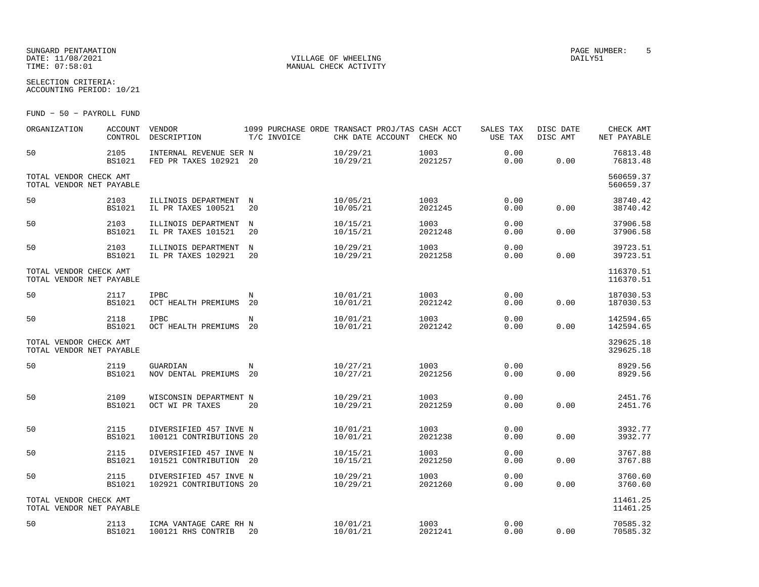## SUNGARD PENTAMATION PAGE NUMBER: 5DATE: 11/08/2021 VILLAGE OF WHEELING DAILY51

MANUAL CHECK ACTIVITY

SELECTION CRITERIA:ACCOUNTING PERIOD: 10/21

FUND − 50 − PAYROLL FUND

| ORGANIZATION                                       | <b>ACCOUNT</b><br>CONTROL | VENDOR<br>DESCRIPTION                             |                  | T/C INVOICE | CHK DATE ACCOUNT     | 1099 PURCHASE ORDE TRANSACT PROJ/TAS CASH ACCT<br>CHECK NO | SALES TAX<br>USE TAX | DISC DATE<br>DISC AMT | CHECK AMT<br>NET PAYABLE |
|----------------------------------------------------|---------------------------|---------------------------------------------------|------------------|-------------|----------------------|------------------------------------------------------------|----------------------|-----------------------|--------------------------|
| 50                                                 | 2105<br><b>BS1021</b>     | INTERNAL REVENUE SER N<br>FED PR TAXES 102921 20  |                  |             | 10/29/21<br>10/29/21 | 1003<br>2021257                                            | 0.00<br>0.00         | 0.00                  | 76813.48<br>76813.48     |
| TOTAL VENDOR CHECK AMT<br>TOTAL VENDOR NET PAYABLE |                           |                                                   |                  |             |                      |                                                            |                      |                       | 560659.37<br>560659.37   |
| 50                                                 | 2103<br><b>BS1021</b>     | ILLINOIS DEPARTMENT<br>IL PR TAXES 100521         | N<br>20          |             | 10/05/21<br>10/05/21 | 1003<br>2021245                                            | 0.00<br>0.00         | 0.00                  | 38740.42<br>38740.42     |
| 50                                                 | 2103<br><b>BS1021</b>     | ILLINOIS DEPARTMENT<br>IL PR TAXES 101521         | N<br>20          |             | 10/15/21<br>10/15/21 | 1003<br>2021248                                            | 0.00<br>0.00         | 0.00                  | 37906.58<br>37906.58     |
| 50                                                 | 2103<br><b>BS1021</b>     | ILLINOIS DEPARTMENT<br>IL PR TAXES 102921         | $_{\rm N}$<br>20 |             | 10/29/21<br>10/29/21 | 1003<br>2021258                                            | 0.00<br>0.00         | 0.00                  | 39723.51<br>39723.51     |
| TOTAL VENDOR CHECK AMT<br>TOTAL VENDOR NET PAYABLE |                           |                                                   |                  |             |                      |                                                            |                      |                       | 116370.51<br>116370.51   |
| 50                                                 | 2117<br><b>BS1021</b>     | <b>IPBC</b><br>OCT HEALTH PREMIUMS                | N<br>20          |             | 10/01/21<br>10/01/21 | 1003<br>2021242                                            | 0.00<br>0.00         | 0.00                  | 187030.53<br>187030.53   |
| 50                                                 | 2118<br><b>BS1021</b>     | <b>IPBC</b><br>OCT HEALTH PREMIUMS 20             | N                |             | 10/01/21<br>10/01/21 | 1003<br>2021242                                            | 0.00<br>0.00         | 0.00                  | 142594.65<br>142594.65   |
| TOTAL VENDOR CHECK AMT<br>TOTAL VENDOR NET PAYABLE |                           |                                                   |                  |             |                      |                                                            |                      |                       | 329625.18<br>329625.18   |
| 50                                                 | 2119<br><b>BS1021</b>     | GUARDIAN<br>NOV DENTAL PREMIUMS                   | N<br>20          |             | 10/27/21<br>10/27/21 | 1003<br>2021256                                            | 0.00<br>0.00         | 0.00                  | 8929.56<br>8929.56       |
| 50                                                 | 2109<br><b>BS1021</b>     | WISCONSIN DEPARTMENT N<br>OCT WI PR TAXES         | 20               |             | 10/29/21<br>10/29/21 | 1003<br>2021259                                            | 0.00<br>0.00         | 0.00                  | 2451.76<br>2451.76       |
| 50                                                 | 2115<br><b>BS1021</b>     | DIVERSIFIED 457 INVE N<br>100121 CONTRIBUTIONS 20 |                  |             | 10/01/21<br>10/01/21 | 1003<br>2021238                                            | 0.00<br>0.00         | 0.00                  | 3932.77<br>3932.77       |
| 50                                                 | 2115<br><b>BS1021</b>     | DIVERSIFIED 457 INVE N<br>101521 CONTRIBUTION 20  |                  |             | 10/15/21<br>10/15/21 | 1003<br>2021250                                            | 0.00<br>0.00         | 0.00                  | 3767.88<br>3767.88       |
| 50                                                 | 2115<br><b>BS1021</b>     | DIVERSIFIED 457 INVE N<br>102921 CONTRIBUTIONS 20 |                  |             | 10/29/21<br>10/29/21 | 1003<br>2021260                                            | 0.00<br>0.00         | 0.00                  | 3760.60<br>3760.60       |
| TOTAL VENDOR CHECK AMT<br>TOTAL VENDOR NET PAYABLE |                           |                                                   |                  |             |                      |                                                            |                      |                       | 11461.25<br>11461.25     |
| 50                                                 | 2113<br><b>BS1021</b>     | ICMA VANTAGE CARE RH N<br>100121 RHS CONTRIB      | 20               |             | 10/01/21<br>10/01/21 | 1003<br>2021241                                            | 0.00<br>0.00         | 0.00                  | 70585.32<br>70585.32     |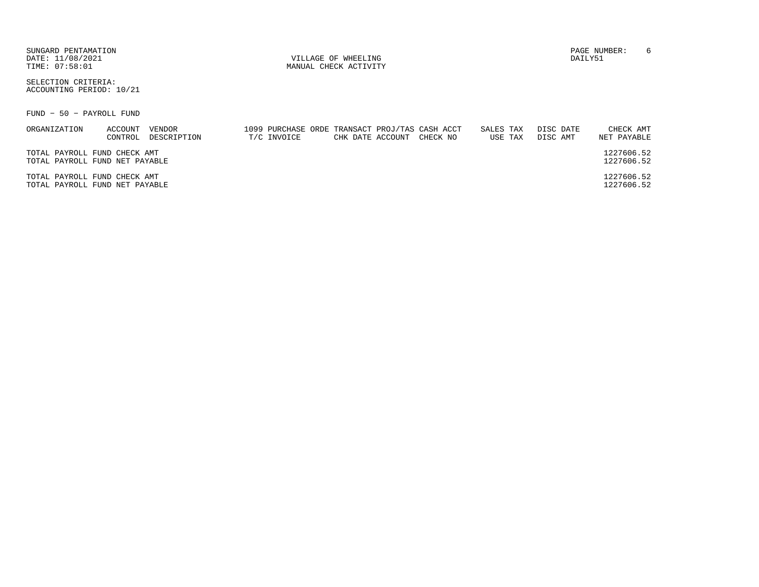| SUNGARD PENTAMATION |
|---------------------|
| DATE: 11/08/2021    |
| TIME: 07:58:01      |

SELECTION CRITERIA:ACCOUNTING PERIOD: 10/21

FUND − 50 − PAYROLL FUND

| ORGANIZATION                                                   | ACCOUNT | VENDOR      |             |  | 1099 PURCHASE ORDE TRANSACT PROJ/TAS CASH ACCT | SALES TAX | DISC DATE | CHECK AMT                |
|----------------------------------------------------------------|---------|-------------|-------------|--|------------------------------------------------|-----------|-----------|--------------------------|
|                                                                | CONTROL | DESCRIPTION | T/C INVOICE |  | CHK DATE ACCOUNT CHECK NO                      | USE TAX   | DISC AMT  | NET PAYABLE              |
| TOTAL PAYROLL FUND CHECK AMT<br>TOTAL PAYROLL FUND NET PAYABLE |         |             |             |  |                                                |           |           | 1227606.52<br>1227606.52 |
| TOTAL PAYROLL FUND CHECK AMT<br>TOTAL PAYROLL FUND NET PAYABLE |         |             |             |  |                                                |           |           | 1227606.52<br>1227606.52 |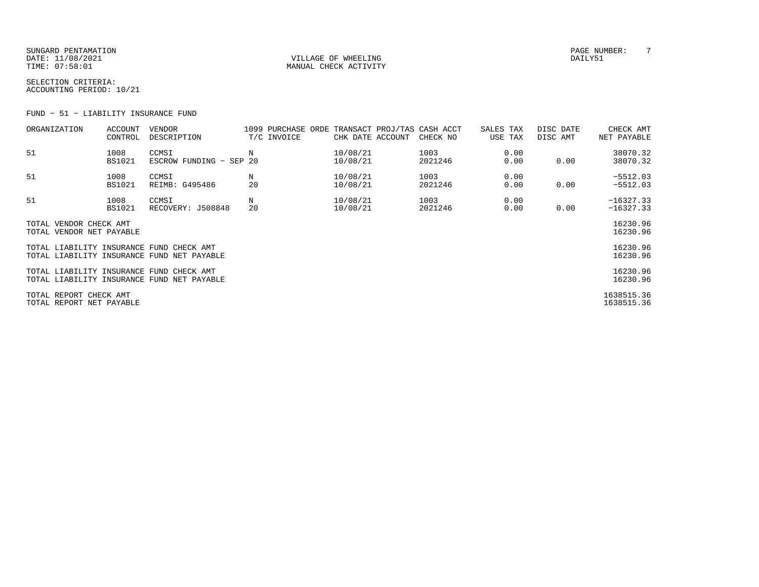SUNGARD PENTAMATION PAGE NUMBER: 7DATE: 11/08/2021 VILLAGE OF WHEELING DAILY51

MANUAL CHECK ACTIVITY

SELECTION CRITERIA:ACCOUNTING PERIOD: 10/21

FUND − 51 − LIABILITY INSURANCE FUND

| ORGANIZATION                                       | ACCOUNT<br>CONTROL    | VENDOR<br>DESCRIPTION                      | T/C INVOICE | 1099 PURCHASE ORDE TRANSACT PROJ/TAS CASH ACCT<br>CHK DATE ACCOUNT | CHECK NO        | SALES TAX<br>USE TAX | DISC DATE<br>DISC AMT | CHECK AMT<br>NET PAYABLE   |
|----------------------------------------------------|-----------------------|--------------------------------------------|-------------|--------------------------------------------------------------------|-----------------|----------------------|-----------------------|----------------------------|
| 51                                                 | 1008<br><b>BS1021</b> | CCMSI<br>ESCROW FUNDING - SEP 20           | Ν           | 10/08/21<br>10/08/21                                               | 1003<br>2021246 | 0.00<br>0.00         | 0.00                  | 38070.32<br>38070.32       |
| 51                                                 | 1008<br><b>BS1021</b> | CCMSI<br>REIMB: G495486                    | Ν<br>20     | 10/08/21<br>10/08/21                                               | 1003<br>2021246 | 0.00<br>0.00         | 0.00                  | $-5512.03$<br>$-5512.03$   |
| 51                                                 | 1008<br><b>BS1021</b> | CCMSI<br>RECOVERY: J508848                 | Ν<br>20     | 10/08/21<br>10/08/21                                               | 1003<br>2021246 | 0.00<br>0.00         | 0.00                  | $-16327.33$<br>$-16327.33$ |
| TOTAL VENDOR CHECK AMT<br>TOTAL VENDOR NET PAYABLE |                       |                                            |             |                                                                    |                 |                      |                       | 16230.96<br>16230.96       |
| TOTAL LIABILITY INSURANCE FUND CHECK AMT           |                       | TOTAL LIABILITY INSURANCE FUND NET PAYABLE |             |                                                                    |                 |                      |                       | 16230.96<br>16230.96       |
| TOTAL LIABILITY INSURANCE FUND CHECK AMT           |                       | TOTAL LIABILITY INSURANCE FUND NET PAYABLE |             |                                                                    |                 |                      |                       | 16230.96<br>16230.96       |
| TOTAL REPORT CHECK AMT<br>TOTAL REPORT NET PAYABLE |                       |                                            |             |                                                                    |                 |                      |                       | 1638515.36<br>1638515.36   |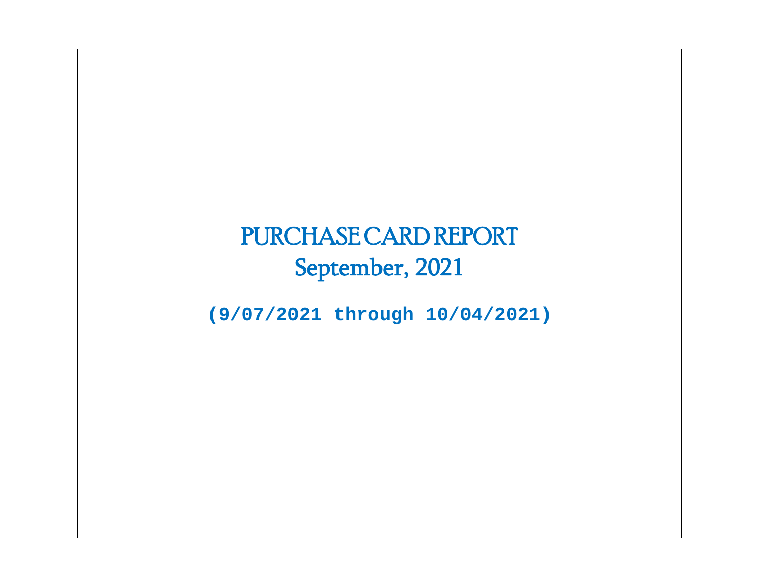# PURCHASE CARD REPORT September, 2021

**(9/07/2021 through 10/04/2021)**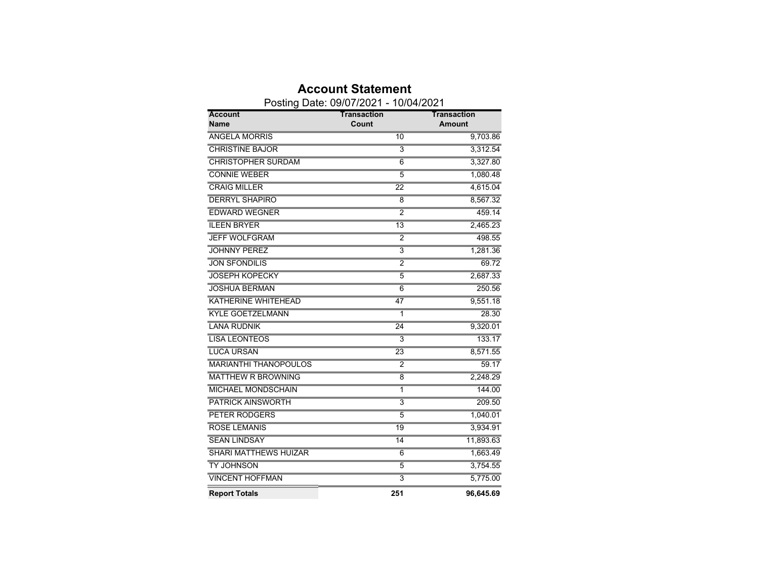|                              | Posting Date: 09/07/2021 - 10/04/2021 |               |
|------------------------------|---------------------------------------|---------------|
| <b>Account</b>               | <b>Transaction</b>                    | Transaction   |
| Name                         | Count                                 | <b>Amount</b> |
| <b>ANGELA MORRIS</b>         | 10                                    | 9,703.86      |
| <b>CHRISTINE BAJOR</b>       | $\overline{3}$                        | 3,312.54      |
| <b>CHRISTOPHER SURDAM</b>    | 6                                     | 3,327.80      |
| <b>CONNIE WEBER</b>          | $\overline{5}$                        | 1,080.48      |
| <b>CRAIG MILLER</b>          | 22                                    | 4,615.04      |
| <b>DERRYL SHAPIRO</b>        | 8                                     | 8,567.32      |
| <b>EDWARD WEGNER</b>         | $\overline{2}$                        | 459.14        |
| <b>ILEEN BRYER</b>           | $\overline{13}$                       | 2,465.23      |
| <b>JEFF WOLFGRAM</b>         | 2                                     | 498.55        |
| <b>JOHNNY PEREZ</b>          | $\overline{3}$                        | 1,281.36      |
| <b>JON SFONDILIS</b>         | $\overline{2}$                        | 69.72         |
| <b>JOSEPH KOPECKY</b>        | $\overline{5}$                        | 2,687.33      |
| <b>JOSHUA BERMAN</b>         | 6                                     | 250.56        |
| <b>KATHERINE WHITEHEAD</b>   | 47                                    | 9,551.18      |
| <b>KYLE GOETZELMANN</b>      | $\overline{1}$                        | 28.30         |
| <b>LANA RUDNIK</b>           | $\overline{24}$                       | 9,320.01      |
| <b>LISA LEONTEOS</b>         | 3                                     | 133.17        |
| <b>LUCA URSAN</b>            | 23                                    | 8,571.55      |
| <b>MARIANTHI THANOPOULOS</b> | $\overline{2}$                        | 59.17         |
| <b>MATTHEW R BROWNING</b>    | 8                                     | 2,248.29      |
| <b>MICHAEL MONDSCHAIN</b>    | 1                                     | 144.00        |
| <b>PATRICK AINSWORTH</b>     | $\overline{\overline{3}}$             | 209.50        |
| <b>PETER RODGERS</b>         | 5                                     | 1,040.01      |
| <b>ROSE LEMANIS</b>          | 19                                    | 3,934.91      |
| <b>SEAN LINDSAY</b>          | 14                                    | 11,893.63     |
| <b>SHARI MATTHEWS HUIZAR</b> | 6                                     | 1,663.49      |
| <b>TY JOHNSON</b>            | $\overline{5}$                        | 3,754.55      |
| <b>VINCENT HOFFMAN</b>       | $\overline{3}$                        | 5,775.00      |
| <b>Report Totals</b>         | 251                                   | 96,645.69     |

### **Account Statement**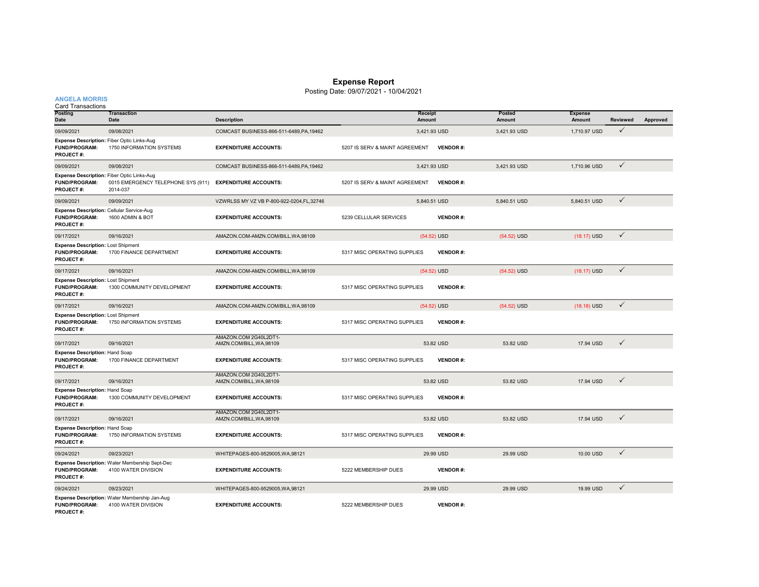#### **Expense Report**

Posting Date: 09/07/2021 - 10/04/2021

#### **ANGELA MORRIS**

| <b>Card Transactions</b>                                                              |                                                                       |                                                   |                                |                   |                  |                          |                 |          |
|---------------------------------------------------------------------------------------|-----------------------------------------------------------------------|---------------------------------------------------|--------------------------------|-------------------|------------------|--------------------------|-----------------|----------|
| Posting<br>Date                                                                       | <b>Transaction</b><br>Date                                            | <b>Description</b>                                |                                | Receipt<br>Amount | Posted<br>Amount | <b>Expense</b><br>Amount | <b>Reviewed</b> | Approved |
| 09/09/2021                                                                            | 09/08/2021                                                            | COMCAST BUSINESS-866-511-6489, PA, 19462          |                                | 3.421.93 USD      | 3,421.93 USD     | 1,710.97 USD             | $\checkmark$    |          |
| Expense Description: Fiber Optic Links-Aug<br><b>FUND/PROGRAM:</b><br>PROJECT#:       | 1750 INFORMATION SYSTEMS                                              | <b>EXPENDITURE ACCOUNTS:</b>                      | 5207 IS SERV & MAINT AGREEMENT | <b>VENDOR#:</b>   |                  |                          |                 |          |
| 09/09/2021                                                                            | 09/08/2021                                                            | COMCAST BUSINESS-866-511-6489, PA, 19462          |                                | 3,421.93 USD      | 3,421.93 USD     | 1,710.96 USD             | $\checkmark$    |          |
| Expense Description: Fiber Optic Links-Aug<br>FUND/PROGRAM:<br>PROJECT#:              | 0015 EMERGENCY TELEPHONE SYS (911)<br>2014-037                        | <b>EXPENDITURE ACCOUNTS:</b>                      | 5207 IS SERV & MAINT AGREEMENT | <b>VENDOR#:</b>   |                  |                          |                 |          |
| 09/09/2021                                                                            | 09/09/2021                                                            | VZWRLSS MY VZ VB P-800-922-0204, FL, 32746        |                                | 5,840.51 USD      | 5.840.51 USD     | 5,840.51 USD             | $\checkmark$    |          |
| Expense Description: Cellular Service-Aug<br><b>FUND/PROGRAM:</b><br><b>PROJECT#:</b> | 1600 ADMIN & BOT                                                      | <b>EXPENDITURE ACCOUNTS:</b>                      | 5239 CELLULAR SERVICES         | <b>VENDOR#:</b>   |                  |                          |                 |          |
| 09/17/2021                                                                            | 09/16/2021                                                            | AMAZON.COM-AMZN.COM/BILL, WA, 98109               |                                | $(54.52)$ USD     | $(54.52)$ USD    | $(18.17)$ USD            | $\checkmark$    |          |
| Expense Description: Lost Shipment<br><b>FUND/PROGRAM:</b><br>PROJECT#:               | 1700 FINANCE DEPARTMENT                                               | <b>EXPENDITURE ACCOUNTS:</b>                      | 5317 MISC OPERATING SUPPLIES   | <b>VENDOR#:</b>   |                  |                          |                 |          |
| 09/17/2021                                                                            | 09/16/2021                                                            | AMAZON.COM-AMZN.COM/BILL,WA,98109                 |                                | $(54.52)$ USD     | $(54.52)$ USD    | $(18.17)$ USD            | $\checkmark$    |          |
| Expense Description: Lost Shipment<br><b>FUND/PROGRAM:</b><br><b>PROJECT#:</b>        | 1300 COMMUNITY DEVELOPMENT                                            | <b>EXPENDITURE ACCOUNTS:</b>                      | 5317 MISC OPERATING SUPPLIES   | <b>VENDOR#:</b>   |                  |                          |                 |          |
| 09/17/2021                                                                            | 09/16/2021                                                            | AMAZON.COM-AMZN.COM/BILL, WA, 98109               |                                | (54.52) USD       | $(54.52)$ USD    | $(18.18)$ USD            | $\checkmark$    |          |
| <b>Expense Description: Lost Shipment</b><br><b>FUND/PROGRAM:</b><br><b>PROJECT#:</b> | 1750 INFORMATION SYSTEMS                                              | <b>EXPENDITURE ACCOUNTS:</b>                      | 5317 MISC OPERATING SUPPLIES   | <b>VENDOR#:</b>   |                  |                          |                 |          |
| 09/17/2021                                                                            | 09/16/2021                                                            | AMAZON.COM 2G40L2DT1-<br>AMZN.COM/BILL, WA, 98109 |                                | 53.82 USD         | 53.82 USD        | 17.94 USD                | $\checkmark$    |          |
| <b>Expense Description: Hand Soap</b><br><b>FUND/PROGRAM:</b><br><b>PROJECT#:</b>     | 1700 FINANCE DEPARTMENT                                               | <b>EXPENDITURE ACCOUNTS:</b>                      | 5317 MISC OPERATING SUPPLIES   | <b>VENDOR#:</b>   |                  |                          |                 |          |
| 09/17/2021                                                                            | 09/16/2021                                                            | AMAZON.COM 2G40L2DT1-<br>AMZN.COM/BILL, WA, 98109 |                                | 53.82 USD         | 53.82 USD        | 17.94 USD                | $\checkmark$    |          |
| <b>Expense Description: Hand Soap</b><br><b>FUND/PROGRAM:</b><br>PROJECT#:            | 1300 COMMUNITY DEVELOPMENT                                            | <b>EXPENDITURE ACCOUNTS:</b>                      | 5317 MISC OPERATING SUPPLIES   | <b>VENDOR#:</b>   |                  |                          |                 |          |
| 09/17/2021                                                                            | 09/16/2021                                                            | AMAZON.COM 2G40L2DT1-<br>AMZN.COM/BILL, WA, 98109 |                                | 53.82 USD         | 53.82 USD        | 17.94 USD                | $\checkmark$    |          |
| Expense Description: Hand Soap<br><b>FUND/PROGRAM:</b><br>PROJECT#:                   | 1750 INFORMATION SYSTEMS                                              | <b>EXPENDITURE ACCOUNTS:</b>                      | 5317 MISC OPERATING SUPPLIES   | <b>VENDOR#:</b>   |                  |                          |                 |          |
| 09/24/2021                                                                            | 09/23/2021                                                            | WHITEPAGES-800-9529005, WA, 98121                 |                                | 29.99 USD         | 29.99 USD        | 10.00 USD                | $\checkmark$    |          |
| <b>FUND/PROGRAM:</b><br>PROJECT#:                                                     | Expense Description: Water Membership Sept-Dec<br>4100 WATER DIVISION | <b>EXPENDITURE ACCOUNTS:</b>                      | 5222 MEMBERSHIP DUES           | <b>VENDOR#:</b>   |                  |                          |                 |          |
| 09/24/2021                                                                            | 09/23/2021                                                            | WHITEPAGES-800-9529005, WA, 98121                 |                                | 29.99 USD         | 29.99 USD        | 19.99 USD                | $\checkmark$    |          |
| FUND/PROGRAM:<br>PROJECT#:                                                            | Expense Description: Water Membership Jan-Aug<br>4100 WATER DIVISION  | <b>EXPENDITURE ACCOUNTS:</b>                      | 5222 MEMBERSHIP DUES           | <b>VENDOR#:</b>   |                  |                          |                 |          |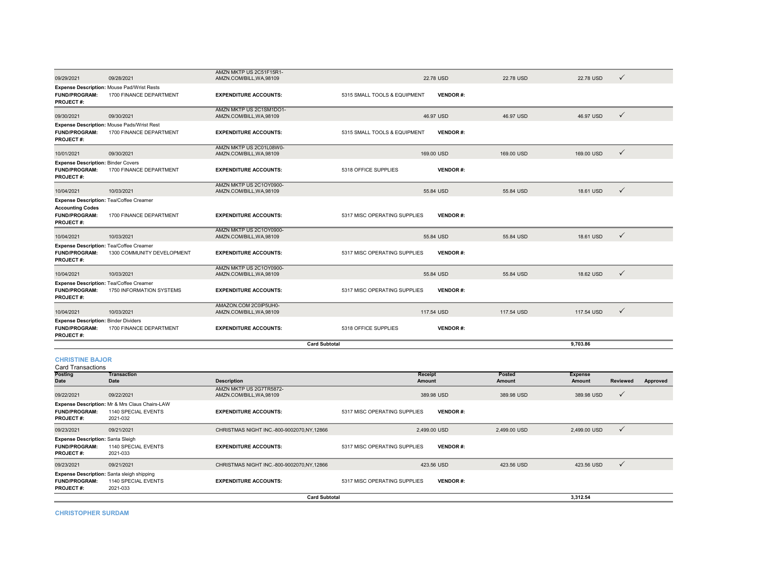|                                                                                         | <b>Expense Description: Mr &amp; Mrs Claus Chairs-LAW</b>             |                                                         |                              |                 |            |                |                 |          |
|-----------------------------------------------------------------------------------------|-----------------------------------------------------------------------|---------------------------------------------------------|------------------------------|-----------------|------------|----------------|-----------------|----------|
| 09/22/2021                                                                              | 09/22/2021                                                            | AMZN MKTP US 2G7TR5872-<br>AMZN.COM/BILL, WA, 98109     |                              | 389.98 USD      | 389.98 USD | 389.98 USD     | $\checkmark$    |          |
| Date                                                                                    | Date                                                                  | <b>Description</b>                                      | Amount                       |                 | Amount     | Amount         | <b>Reviewed</b> | Approved |
| Posting                                                                                 | <b>Transaction</b>                                                    |                                                         | Receipt                      |                 | Posted     | <b>Expense</b> |                 |          |
| <b>CHRISTINE BAJOR</b><br><b>Card Transactions</b>                                      |                                                                       |                                                         |                              |                 |            |                |                 |          |
|                                                                                         |                                                                       |                                                         | <b>Card Subtotal</b>         |                 |            | 9.703.86       |                 |          |
| <b>Expense Description: Binder Dividers</b><br><b>FUND/PROGRAM:</b><br><b>PROJECT#:</b> | 1700 FINANCE DEPARTMENT                                               | <b>EXPENDITURE ACCOUNTS:</b>                            | 5318 OFFICE SUPPLIES         | <b>VENDOR#:</b> |            |                |                 |          |
| 10/04/2021                                                                              | 10/03/2021                                                            | AMZN.COM/BILL, WA, 98109                                |                              | 117.54 USD      | 117,54 USD | 117,54 USD     | $\checkmark$    |          |
| <b>PROJECT#:</b>                                                                        |                                                                       | AMAZON.COM 2C0IP5UH0-                                   |                              |                 |            |                |                 |          |
| <b>Expense Description: Tea/Coffee Creamer</b><br><b>FUND/PROGRAM:</b>                  | 1750 INFORMATION SYSTEMS                                              | <b>EXPENDITURE ACCOUNTS:</b>                            | 5317 MISC OPERATING SUPPLIES | <b>VENDOR#:</b> |            |                |                 |          |
| 10/04/2021                                                                              | 10/03/2021                                                            | AMZN MKTP US 2C1OY0900-<br>AMZN.COM/BILL, WA, 98109     |                              | 55.84 USD       | 55.84 USD  | 18.62 USD      | $\checkmark$    |          |
| Expense Description: Tea/Coffee Creamer<br><b>FUND/PROGRAM:</b><br><b>PROJECT#:</b>     | 1300 COMMUNITY DEVELOPMENT                                            | <b>EXPENDITURE ACCOUNTS:</b>                            | 5317 MISC OPERATING SUPPLIES | <b>VENDOR#:</b> |            |                |                 |          |
| 10/04/2021                                                                              | 10/03/2021                                                            | AMZN MKTP US 2C1OY0900-<br>AMZN.COM/BILL, WA, 98109     |                              | 55.84 USD       | 55.84 USD  | 18.61 USD      | $\checkmark$    |          |
| <b>Accounting Codes</b><br><b>FUND/PROGRAM:</b><br><b>PROJECT#:</b>                     | 1700 FINANCE DEPARTMENT                                               | <b>EXPENDITURE ACCOUNTS:</b>                            | 5317 MISC OPERATING SUPPLIES | <b>VENDOR#:</b> |            |                |                 |          |
| 10/04/2021<br>Expense Description: Tea/Coffee Creamer                                   | 10/03/2021                                                            | AMZN.COM/BILL, WA, 98109                                |                              | 55.84 USD       | 55.84 USD  | 18.61 USD      | $\checkmark$    |          |
| <b>FUND/PROGRAM:</b><br><b>PROJECT#:</b>                                                | 1700 FINANCE DEPARTMENT                                               | <b>EXPENDITURE ACCOUNTS:</b><br>AMZN MKTP US 2C1OY0900- | 5318 OFFICE SUPPLIES         | <b>VENDOR#:</b> |            |                |                 |          |
| <b>Expense Description: Binder Covers</b>                                               |                                                                       |                                                         |                              |                 |            |                |                 |          |
| 10/01/2021                                                                              | 09/30/2021                                                            | AMZN MKTP US 2C01L08W0-<br>AMZN.COM/BILL, WA, 98109     |                              | 169.00 USD      | 169.00 USD | 169.00 USD     | $\checkmark$    |          |
| <b>FUND/PROGRAM:</b><br>PROJECT#:                                                       | Expense Description: Mouse Pads/Wrist Rest<br>1700 FINANCE DEPARTMENT | <b>EXPENDITURE ACCOUNTS:</b>                            | 5315 SMALL TOOLS & EQUIPMENT | <b>VENDOR#:</b> |            |                |                 |          |
| 09/30/2021                                                                              | 09/30/2021                                                            | AMZN MKTP US 2C1SM1DO1-<br>AMZN.COM/BILL, WA, 98109     |                              | 46.97 USD       | 46.97 USD  | 46.97 USD      | $\checkmark$    |          |
| <b>FUND/PROGRAM:</b><br><b>PROJECT#:</b>                                                | Expense Description: Mouse Pad/Wrist Rests<br>1700 FINANCE DEPARTMENT | <b>EXPENDITURE ACCOUNTS:</b>                            | 5315 SMALL TOOLS & EQUIPMENT | <b>VENDOR#:</b> |            |                |                 |          |
| 09/29/2021                                                                              | 09/28/2021                                                            | AMZN MKTP US 2C51F15R1-<br>AMZN.COM/BILL.WA.98109       |                              | 22.78 USD       | 22.78 USD  | 22.78 USD      | $\checkmark$    |          |

**EXPENDITURE ACCOUNTS:** 5317 MISC OPERATING SUPPLIES VENDOR #:

09/23/2021 09/21/2021 CHRISTMAS NIGHT INC.-800-9002070,NY,12866 2,499.00 USD 2,499.00 USD 2,499.00 USD

**EXPENDITURE ACCOUNTS:** 5317 MISC OPERATING SUPPLIES VENDOR #:

09/23/2021 09/21/2021 09/21/2021 CHRISTMAS NIGHT INC.-800-9002070,NY,12866 423.56 USD 423.56 USD 423.56 USD 423.56 USD 423.56 USD

**EXPENDITURE ACCOUNTS:** 5317 MISC OPERATING SUPPLIES **VENDOR #:**

**3,312.54**

**Card Subtotal**

**CHRISTOPHER SURDAM**

**FUND/PROGRAM:** 1140 SPECIAL EVENTS

**FUND/PROGRAM:** 1140 SPECIAL EVENTS

1140 SPECIAL EVENTS

2021-033

**Expense Description:** Santa Sleigh

2021-033

**Expense Description:** Santa sleigh shipping

2021-032

**PROJECT #:**

**PROJECT #:**

**PROJECT #:**

**FUND/PROGRAM:**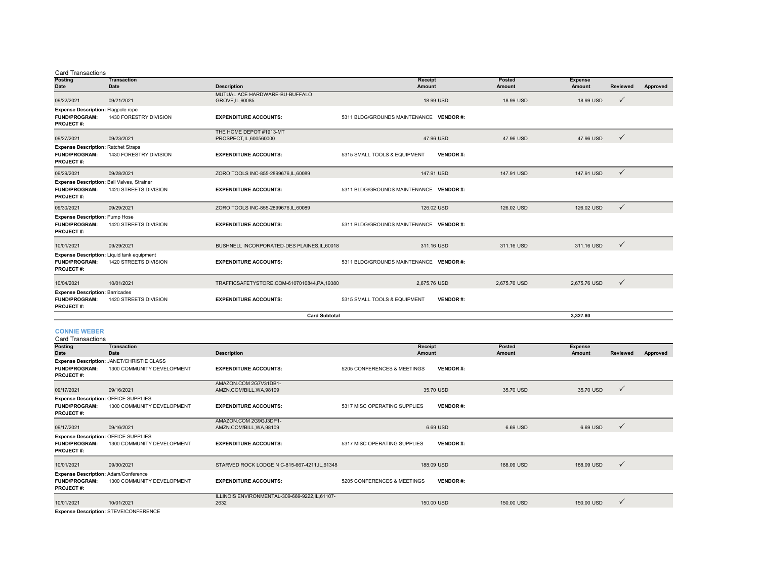| <b>Card Transactions</b> |
|--------------------------|
|                          |

| Posting                                                                                | <b>Transaction</b>                                                  |                                                    | Receipt                                         | Posted       | <b>Expense</b> |                 |          |
|----------------------------------------------------------------------------------------|---------------------------------------------------------------------|----------------------------------------------------|-------------------------------------------------|--------------|----------------|-----------------|----------|
| <b>Date</b>                                                                            | Date                                                                | <b>Description</b>                                 | Amount                                          | Amount       | Amount         | <b>Reviewed</b> | Approved |
| 09/22/2021                                                                             | 09/21/2021                                                          | MUTUAL ACE HARDWARE-BU-BUFFALO<br>GROVE, IL, 60085 | 18.99 USD                                       | 18.99 USD    | 18.99 USD      | $\checkmark$    |          |
| <b>Expense Description: Flagpole rope</b>                                              |                                                                     |                                                    |                                                 |              |                |                 |          |
| <b>FUND/PROGRAM:</b><br><b>PROJECT#:</b>                                               | 1430 FORESTRY DIVISION                                              | <b>EXPENDITURE ACCOUNTS:</b>                       | 5311 BLDG/GROUNDS MAINTENANCE VENDOR #:         |              |                |                 |          |
| 09/27/2021                                                                             | 09/23/2021                                                          | THE HOME DEPOT #1913-MT<br>PROSPECT, IL, 600560000 | 47.96 USD                                       | 47.96 USD    | 47.96 USD      | $\checkmark$    |          |
| <b>Expense Description: Ratchet Straps</b><br><b>FUND/PROGRAM:</b><br><b>PROJECT#:</b> | 1430 FORESTRY DIVISION                                              | <b>EXPENDITURE ACCOUNTS:</b>                       | 5315 SMALL TOOLS & EQUIPMENT<br><b>VENDOR#:</b> |              |                |                 |          |
| 09/29/2021                                                                             | 09/28/2021                                                          | ZORO TOOLS INC-855-2899676,IL,60089                | 147.91 USD                                      | 147.91 USD   | 147.91 USD     | $\checkmark$    |          |
| Expense Description: Ball Valves, Strainer<br><b>FUND/PROGRAM:</b><br><b>PROJECT#:</b> | 1420 STREETS DIVISION                                               | <b>EXPENDITURE ACCOUNTS:</b>                       | 5311 BLDG/GROUNDS MAINTENANCE VENDOR #:         |              |                |                 |          |
| 09/30/2021                                                                             | 09/29/2021                                                          | ZORO TOOLS INC-855-2899676,IL,60089                | 126.02 USD                                      | 126.02 USD   | 126.02 USD     | $\checkmark$    |          |
| <b>Expense Description: Pump Hose</b><br><b>FUND/PROGRAM:</b><br><b>PROJECT#:</b>      | 1420 STREETS DIVISION                                               | <b>EXPENDITURE ACCOUNTS:</b>                       | 5311 BLDG/GROUNDS MAINTENANCE VENDOR #:         |              |                |                 |          |
| 10/01/2021                                                                             | 09/29/2021                                                          | BUSHNELL INCORPORATED-DES PLAINES, IL, 60018       | 311.16 USD                                      | 311.16 USD   | 311.16 USD     | $\checkmark$    |          |
| <b>FUND/PROGRAM:</b><br><b>PROJECT#:</b>                                               | Expense Description: Liquid tank equipment<br>1420 STREETS DIVISION | <b>EXPENDITURE ACCOUNTS:</b>                       | 5311 BLDG/GROUNDS MAINTENANCE VENDOR #:         |              |                |                 |          |
| 10/04/2021                                                                             | 10/01/2021                                                          | TRAFFICSAFETYSTORE.COM-6107010844.PA.19380         | 2.675.76 USD                                    | 2.675.76 USD | 2.675.76 USD   | $\checkmark$    |          |
| <b>Expense Description: Barricades</b><br><b>FUND/PROGRAM:</b><br><b>PROJECT#:</b>     | 1420 STREETS DIVISION                                               | <b>EXPENDITURE ACCOUNTS:</b>                       | 5315 SMALL TOOLS & EQUIPMENT<br><b>VENDOR#:</b> |              |                |                 |          |
| <b>Card Subtotal</b><br>3.327.80                                                       |                                                                     |                                                    |                                                 |              |                |                 |          |

#### **CONNIE WEBER**

| <b>Card Transactions</b>                    |                                           |                                                |                              |                 |               |                |                 |          |
|---------------------------------------------|-------------------------------------------|------------------------------------------------|------------------------------|-----------------|---------------|----------------|-----------------|----------|
| <b>Posting</b>                              | <b>Transaction</b>                        |                                                | Receipt                      |                 | Posted        | <b>Expense</b> |                 |          |
| <b>Date</b>                                 | Date                                      | <b>Description</b>                             | Amount                       |                 | <b>Amount</b> | <b>Amount</b>  | <b>Reviewed</b> | Approved |
|                                             | Expense Description: JANET/CHRISTIE CLASS |                                                |                              |                 |               |                |                 |          |
| <b>FUND/PROGRAM:</b>                        | 1300 COMMUNITY DEVELOPMENT                | <b>EXPENDITURE ACCOUNTS:</b>                   | 5205 CONFERENCES & MEETINGS  | <b>VENDOR#:</b> |               |                |                 |          |
| <b>PROJECT#:</b>                            |                                           |                                                |                              |                 |               |                |                 |          |
|                                             |                                           | AMAZON.COM 2G7V31DB1-                          |                              |                 |               |                |                 |          |
| 09/17/2021                                  | 09/16/2021                                | AMZN.COM/BILL, WA, 98109                       |                              | 35.70 USD       | 35.70 USD     | 35.70 USD      | $\checkmark$    |          |
| Expense Description: OFFICE SUPPLIES        |                                           |                                                |                              |                 |               |                |                 |          |
| <b>FUND/PROGRAM:</b>                        | 1300 COMMUNITY DEVELOPMENT                | <b>EXPENDITURE ACCOUNTS:</b>                   | 5317 MISC OPERATING SUPPLIES | <b>VENDOR#:</b> |               |                |                 |          |
| <b>PROJECT#:</b>                            |                                           |                                                |                              |                 |               |                |                 |          |
|                                             |                                           | AMAZON.COM 2G9GJ3DP1-                          |                              |                 |               |                |                 |          |
| 09/17/2021                                  | 09/16/2021                                | AMZN.COM/BILL, WA, 98109                       |                              | 6.69 USD        | 6.69 USD      | 6.69 USD       | $\checkmark$    |          |
| <b>Expense Description: OFFICE SUPPLIES</b> |                                           |                                                |                              |                 |               |                |                 |          |
| <b>FUND/PROGRAM:</b>                        | 1300 COMMUNITY DEVELOPMENT                | <b>EXPENDITURE ACCOUNTS:</b>                   | 5317 MISC OPERATING SUPPLIES | <b>VENDOR#:</b> |               |                |                 |          |
| PROJECT#:                                   |                                           |                                                |                              |                 |               |                |                 |          |
|                                             |                                           |                                                |                              |                 |               |                |                 |          |
| 10/01/2021                                  | 09/30/2021                                | STARVED ROCK LODGE N C-815-667-4211, IL, 61348 |                              | 188.09 USD      | 188.09 USD    | 188.09 USD     | $\checkmark$    |          |
| <b>Expense Description: Adam/Conference</b> |                                           |                                                |                              |                 |               |                |                 |          |
| <b>FUND/PROGRAM:</b>                        | 1300 COMMUNITY DEVELOPMENT                | <b>EXPENDITURE ACCOUNTS:</b>                   | 5205 CONFERENCES & MEETINGS  | <b>VENDOR#:</b> |               |                |                 |          |
| PROJECT#:                                   |                                           |                                                |                              |                 |               |                |                 |          |
|                                             |                                           | ILLINOIS ENVIRONMENTAL-309-669-9222,IL,61107-  |                              |                 |               |                |                 |          |
| 10/01/2021                                  | 10/01/2021                                | 2632                                           |                              | 150.00 USD      | 150,00 USD    | 150,00 USD     | $\checkmark$    |          |
|                                             |                                           |                                                |                              |                 |               |                |                 |          |

**Expense Description:** STEVE/CONFERENCE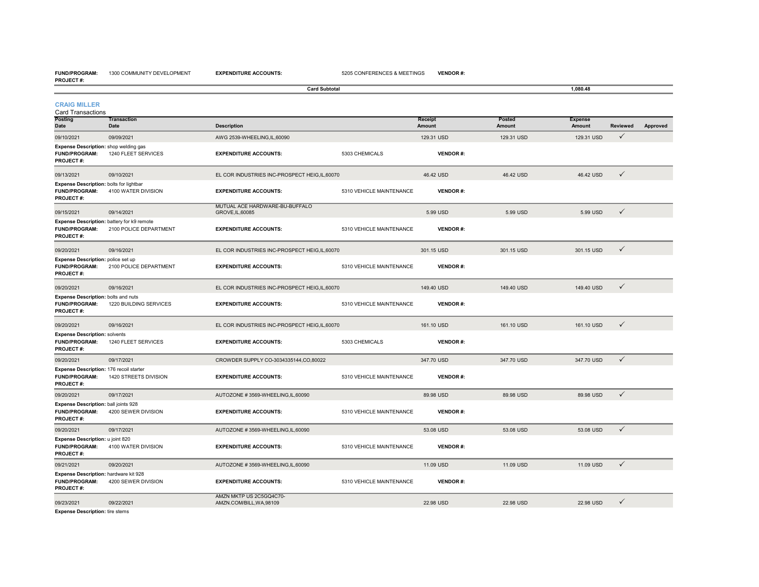#### **FUND/PROGRAM:** 1300 COMMUNITY DEVELOPMENT**PROJECT #:**

|                                                                                        | <b>Card Subtotal</b>       |                                                     |                          |                   | 1,080.48                |                          |              |          |  |
|----------------------------------------------------------------------------------------|----------------------------|-----------------------------------------------------|--------------------------|-------------------|-------------------------|--------------------------|--------------|----------|--|
| <b>CRAIG MILLER</b><br><b>Card Transactions</b>                                        |                            |                                                     |                          |                   |                         |                          |              |          |  |
| Posting<br>Date                                                                        | <b>Transaction</b><br>Date | <b>Description</b>                                  |                          | Receipt<br>Amount | Posted<br><b>Amount</b> | <b>Expense</b><br>Amount | Reviewed     | Approved |  |
| 09/10/2021                                                                             | 09/09/2021                 | AWG 2539-WHEELING, IL, 60090                        |                          | 129.31 USD        | 129.31 USD              | 129.31 USD               | $\checkmark$ |          |  |
| Expense Description: shop welding gas<br><b>FUND/PROGRAM:</b><br><b>PROJECT#:</b>      | 1240 FLEET SERVICES        | <b>EXPENDITURE ACCOUNTS:</b>                        | 5303 CHEMICALS           | <b>VENDOR#:</b>   |                         |                          |              |          |  |
| 09/13/2021                                                                             | 09/10/2021                 | EL COR INDUSTRIES INC-PROSPECT HEIG, IL, 60070      |                          | 46.42 USD         | 46.42 USD               | 46.42 USD                | $\checkmark$ |          |  |
| Expense Description: bolts for lightbar<br><b>FUND/PROGRAM:</b><br>PROJECT#:           | 4100 WATER DIVISION        | <b>EXPENDITURE ACCOUNTS:</b>                        | 5310 VEHICLE MAINTENANCE | <b>VENDOR#:</b>   |                         |                          |              |          |  |
| 09/15/2021                                                                             | 09/14/2021                 | MUTUAL ACE HARDWARE-BU-BUFFALO<br>GROVE, IL, 60085  |                          | 5.99 USD          | 5.99 USD                | 5.99 USD                 | $\checkmark$ |          |  |
| Expense Description: battery for k9 remote<br><b>FUND/PROGRAM:</b><br><b>PROJECT#:</b> | 2100 POLICE DEPARTMENT     | <b>EXPENDITURE ACCOUNTS:</b>                        | 5310 VEHICLE MAINTENANCE | <b>VENDOR#:</b>   |                         |                          |              |          |  |
| 09/20/2021                                                                             | 09/16/2021                 | EL COR INDUSTRIES INC-PROSPECT HEIG,IL,60070        |                          | 301.15 USD        | 301.15 USD              | 301.15 USD               | $\checkmark$ |          |  |
| Expense Description: police set up<br><b>FUND/PROGRAM:</b><br><b>PROJECT#:</b>         | 2100 POLICE DEPARTMENT     | <b>EXPENDITURE ACCOUNTS:</b>                        | 5310 VEHICLE MAINTENANCE | <b>VENDOR#:</b>   |                         |                          |              |          |  |
| 09/20/2021                                                                             | 09/16/2021                 | EL COR INDUSTRIES INC-PROSPECT HEIG, IL, 60070      |                          | 149.40 USD        | 149.40 USD              | 149.40 USD               | $\checkmark$ |          |  |
| Expense Description: bolts and nuts<br><b>FUND/PROGRAM:</b><br>PROJECT#:               | 1220 BUILDING SERVICES     | <b>EXPENDITURE ACCOUNTS:</b>                        | 5310 VEHICLE MAINTENANCE | <b>VENDOR#:</b>   |                         |                          |              |          |  |
| 09/20/2021                                                                             | 09/16/2021                 | EL COR INDUSTRIES INC-PROSPECT HEIG, IL, 60070      |                          | 161.10 USD        | 161.10 USD              | 161.10 USD               | $\checkmark$ |          |  |
| <b>Expense Description: solvents</b><br><b>FUND/PROGRAM:</b><br><b>PROJECT#:</b>       | 1240 FLEET SERVICES        | <b>EXPENDITURE ACCOUNTS:</b>                        | 5303 CHEMICALS           | <b>VENDOR#:</b>   |                         |                          |              |          |  |
| 09/20/2021                                                                             | 09/17/2021                 | CROWDER SUPPLY CO-3034335144,CO,80022               |                          | 347.70 USD        | 347.70 USD              | 347.70 USD               | $\checkmark$ |          |  |
| Expense Description: 176 recoil starter<br><b>FUND/PROGRAM:</b><br>PROJECT#:           | 1420 STREETS DIVISION      | <b>EXPENDITURE ACCOUNTS:</b>                        | 5310 VEHICLE MAINTENANCE | <b>VENDOR#:</b>   |                         |                          |              |          |  |
| 09/20/2021                                                                             | 09/17/2021                 | AUTOZONE #3569-WHEELING,IL,60090                    |                          | 89.98 USD         | 89.98 USD               | 89.98 USD                | $\checkmark$ |          |  |
| Expense Description: ball joints 928<br>FUND/PROGRAM:<br>PROJECT#:                     | 4200 SEWER DIVISION        | <b>EXPENDITURE ACCOUNTS:</b>                        | 5310 VEHICLE MAINTENANCE | <b>VENDOR#:</b>   |                         |                          |              |          |  |
| 09/20/2021                                                                             | 09/17/2021                 | AUTOZONE #3569-WHEELING,IL,60090                    |                          | 53.08 USD         | 53.08 USD               | 53.08 USD                | $\checkmark$ |          |  |
| Expense Description: u joint 820<br><b>FUND/PROGRAM:</b><br><b>PROJECT#:</b>           | 4100 WATER DIVISION        | <b>EXPENDITURE ACCOUNTS:</b>                        | 5310 VEHICLE MAINTENANCE | <b>VENDOR#:</b>   |                         |                          |              |          |  |
| 09/21/2021                                                                             | 09/20/2021                 | AUTOZONE #3569-WHEELING,IL,60090                    |                          | 11.09 USD         | 11.09 USD               | 11.09 USD                | $\checkmark$ |          |  |
| Expense Description: hardware kit 928<br><b>FUND/PROGRAM:</b><br>PROJECT#:             | 4200 SEWER DIVISION        | <b>EXPENDITURE ACCOUNTS:</b>                        | 5310 VEHICLE MAINTENANCE | <b>VENDOR#:</b>   |                         |                          |              |          |  |
| 09/23/2021                                                                             | 09/22/2021                 | AMZN MKTP US 2C5GQ4C70-<br>AMZN.COM/BILL, WA, 98109 |                          | 22.98 USD         | 22.98 USD               | 22.98 USD                |              |          |  |

**Expense Description:** tire stems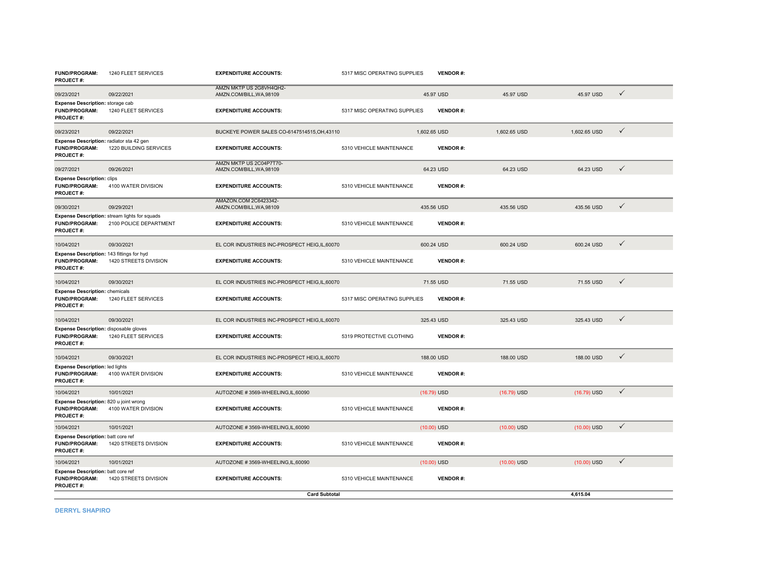| <b>FUND/PROGRAM:</b><br><b>PROJECT#:</b>                                           | 1240 FLEET SERVICES                                                     | <b>EXPENDITURE ACCOUNTS:</b>                        | 5317 MISC OPERATING SUPPLIES | <b>VENDOR#:</b> |               |               |              |
|------------------------------------------------------------------------------------|-------------------------------------------------------------------------|-----------------------------------------------------|------------------------------|-----------------|---------------|---------------|--------------|
| 09/23/2021                                                                         | 09/22/2021                                                              | AMZN MKTP US 2G8VH4QH2-<br>AMZN.COM/BILL, WA, 98109 |                              | 45.97 USD       | 45.97 USD     | 45.97 USD     | $\checkmark$ |
| Expense Description: storage cab<br><b>FUND/PROGRAM:</b><br>PROJECT#:              | 1240 FLEET SERVICES                                                     | <b>EXPENDITURE ACCOUNTS:</b>                        | 5317 MISC OPERATING SUPPLIES | <b>VENDOR#:</b> |               |               |              |
| 09/23/2021                                                                         | 09/22/2021                                                              | BUCKEYE POWER SALES CO-6147514515, OH, 43110        |                              | 1,602.65 USD    | 1,602.65 USD  | 1,602.65 USD  | ✓            |
| Expense Description: radiator sta 42 gen<br><b>FUND/PROGRAM:</b><br>PROJECT#:      | 1220 BUILDING SERVICES                                                  | <b>EXPENDITURE ACCOUNTS:</b>                        | 5310 VEHICLE MAINTENANCE     | <b>VENDOR#:</b> |               |               |              |
| 09/27/2021                                                                         | 09/26/2021                                                              | AMZN MKTP US 2C04P7T70-<br>AMZN.COM/BILL, WA, 98109 |                              | 64.23 USD       | 64.23 USD     | 64.23 USD     | $\checkmark$ |
| <b>Expense Description: clips</b><br><b>FUND/PROGRAM:</b><br><b>PROJECT#:</b>      | 4100 WATER DIVISION                                                     | <b>EXPENDITURE ACCOUNTS:</b>                        | 5310 VEHICLE MAINTENANCE     | <b>VENDOR#:</b> |               |               |              |
| 09/30/2021                                                                         | 09/29/2021                                                              | AMAZON.COM 2C6423342-<br>AMZN.COM/BILL, WA, 98109   |                              | 435.56 USD      | 435.56 USD    | 435.56 USD    | $\checkmark$ |
| FUND/PROGRAM:<br><b>PROJECT#:</b>                                                  | Expense Description: stream lights for squads<br>2100 POLICE DEPARTMENT | <b>EXPENDITURE ACCOUNTS:</b>                        | 5310 VEHICLE MAINTENANCE     | <b>VENDOR#:</b> |               |               |              |
| 10/04/2021                                                                         | 09/30/2021                                                              | EL COR INDUSTRIES INC-PROSPECT HEIG, IL, 60070      |                              | 600.24 USD      | 600.24 USD    | 600.24 USD    | $\checkmark$ |
| Expense Description: 143 fittings for hyd<br><b>FUND/PROGRAM:</b><br>PROJECT#:     | 1420 STREETS DIVISION                                                   | <b>EXPENDITURE ACCOUNTS:</b>                        | 5310 VEHICLE MAINTENANCE     | <b>VENDOR#:</b> |               |               |              |
| 10/04/2021                                                                         | 09/30/2021                                                              | EL COR INDUSTRIES INC-PROSPECT HEIG, IL, 60070      |                              | 71.55 USD       | 71.55 USD     | 71.55 USD     | $\checkmark$ |
| <b>Expense Description: chemicals</b><br><b>FUND/PROGRAM:</b><br><b>PROJECT#:</b>  | 1240 FLEET SERVICES                                                     | <b>EXPENDITURE ACCOUNTS:</b>                        | 5317 MISC OPERATING SUPPLIES | <b>VENDOR#:</b> |               |               |              |
| 10/04/2021                                                                         | 09/30/2021                                                              | EL COR INDUSTRIES INC-PROSPECT HEIG, IL, 60070      |                              | 325.43 USD      | 325.43 USD    | 325.43 USD    | $\checkmark$ |
| Expense Description: disposable gloves<br><b>FUND/PROGRAM:</b><br><b>PROJECT#:</b> | 1240 FLEET SERVICES                                                     | <b>EXPENDITURE ACCOUNTS:</b>                        | 5319 PROTECTIVE CLOTHING     | <b>VENDOR#:</b> |               |               |              |
| 10/04/2021                                                                         | 09/30/2021                                                              | EL COR INDUSTRIES INC-PROSPECT HEIG.IL.60070        |                              | 188,00 USD      | 188,00 USD    | 188,00 USD    | $\checkmark$ |
| <b>Expense Description: led lights</b><br><b>FUND/PROGRAM:</b><br><b>PROJECT#:</b> | 4100 WATER DIVISION                                                     | <b>EXPENDITURE ACCOUNTS:</b>                        | 5310 VEHICLE MAINTENANCE     | <b>VENDOR#:</b> |               |               |              |
| 10/04/2021                                                                         | 10/01/2021                                                              | AUTOZONE #3569-WHEELING,IL,60090                    |                              | $(16.79)$ USD   | $(16.79)$ USD | $(16.79)$ USD | $\checkmark$ |
| Expense Description: 820 u joint wrong<br><b>FUND/PROGRAM:</b><br>PROJECT#:        | 4100 WATER DIVISION                                                     | <b>EXPENDITURE ACCOUNTS:</b>                        | 5310 VEHICLE MAINTENANCE     | <b>VENDOR#:</b> |               |               |              |
| 10/04/2021                                                                         | 10/01/2021                                                              | AUTOZONE #3569-WHEELING.IL.60090                    |                              | $(10.00)$ USD   | $(10.00)$ USD | $(10.00)$ USD | $\checkmark$ |
| Expense Description: batt core ref<br><b>FUND/PROGRAM:</b><br>PROJECT#:            | 1420 STREETS DIVISION                                                   | <b>EXPENDITURE ACCOUNTS:</b>                        | 5310 VEHICLE MAINTENANCE     | <b>VENDOR#:</b> |               |               |              |
| 10/04/2021                                                                         | 10/01/2021                                                              | AUTOZONE #3569-WHEELING,IL,60090                    |                              | $(10.00)$ USD   | $(10.00)$ USD | $(10.00)$ USD | $\checkmark$ |
| Expense Description: batt core ref<br><b>FUND/PROGRAM:</b><br>PROJECT#:            | 1420 STREETS DIVISION                                                   | <b>EXPENDITURE ACCOUNTS:</b>                        | 5310 VEHICLE MAINTENANCE     | <b>VENDOR#:</b> |               |               |              |
|                                                                                    |                                                                         | <b>Card Subtotal</b>                                |                              |                 |               | 4,615.04      |              |

**DERRYL SHAPIRO**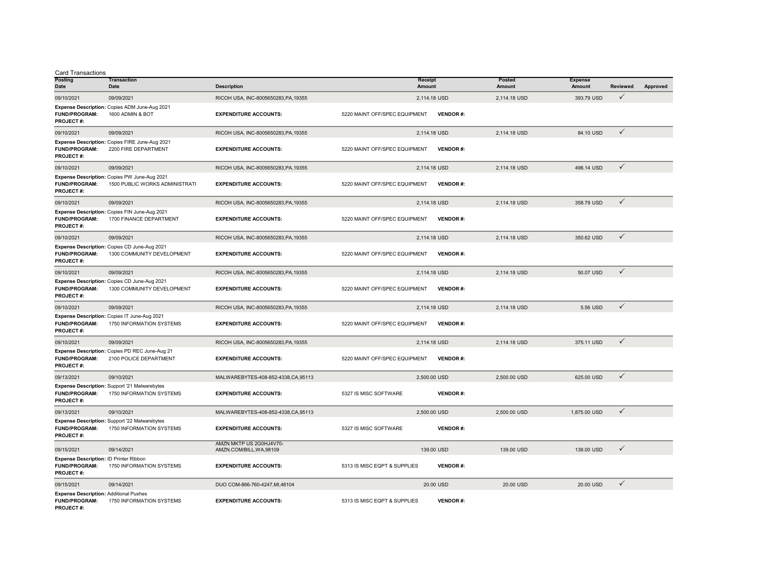Card Transactions

| Posting<br>Date                                                                           | <b>Transaction</b><br>Date                                                     | <b>Description</b>                                  | <b>Receipt</b><br>Amount      |                 | Posted<br>Amount | <b>Expense</b><br>Amount | <b>Reviewed</b> | Approved |
|-------------------------------------------------------------------------------------------|--------------------------------------------------------------------------------|-----------------------------------------------------|-------------------------------|-----------------|------------------|--------------------------|-----------------|----------|
| 09/10/2021                                                                                | 09/09/2021                                                                     | RICOH USA, INC-8005650283, PA, 19355                |                               | 2,114.18 USD    | 2,114.18 USD     | 393.79 USD               | $\checkmark$    |          |
| <b>FUND/PROGRAM:</b><br><b>PROJECT#:</b>                                                  | Expense Description: Copies ADM June-Aug 2021<br>1600 ADMIN & BOT              | <b>EXPENDITURE ACCOUNTS:</b>                        | 5220 MAINT OFF/SPEC EQUIPMENT | <b>VENDOR#:</b> |                  |                          |                 |          |
| 09/10/2021                                                                                | 09/09/2021                                                                     | RICOH USA, INC-8005650283, PA, 19355                |                               | 2,114.18 USD    | 2,114.18 USD     | 84.10 USD                | $\checkmark$    |          |
| <b>FUND/PROGRAM:</b><br><b>PROJECT#:</b>                                                  | Expense Description: Copies FIRE June-Aug 2021<br>2200 FIRE DEPARTMENT         | <b>EXPENDITURE ACCOUNTS:</b>                        | 5220 MAINT OFF/SPEC EQUIPMENT | <b>VENDOR#:</b> |                  |                          |                 |          |
| 09/10/2021                                                                                | 09/09/2021                                                                     | RICOH USA, INC-8005650283, PA, 19355                |                               | 2,114.18 USD    | 2,114.18 USD     | 496.14 USD               | $\checkmark$    |          |
| <b>FUND/PROGRAM:</b><br><b>PROJECT#:</b>                                                  | Expense Description: Copies PW June-Aug 2021<br>1500 PUBLIC WORKS ADMINISTRATI | <b>EXPENDITURE ACCOUNTS:</b>                        | 5220 MAINT OFF/SPEC EQUIPMENT | <b>VENDOR#:</b> |                  |                          |                 |          |
| 09/10/2021                                                                                | 09/09/2021                                                                     | RICOH USA, INC-8005650283, PA, 19355                |                               | 2,114.18 USD    | 2,114.18 USD     | 358,79 USD               | $\checkmark$    |          |
| <b>FUND/PROGRAM:</b><br><b>PROJECT#:</b>                                                  | Expense Description: Copies FIN June-Aug 2021<br>1700 FINANCE DEPARTMENT       | <b>EXPENDITURE ACCOUNTS:</b>                        | 5220 MAINT OFF/SPEC EQUIPMENT | <b>VENDOR#:</b> |                  |                          |                 |          |
| 09/10/2021                                                                                | 09/09/2021                                                                     | RICOH USA, INC-8005650283, PA, 19355                |                               | 2,114.18 USD    | 2,114.18 USD     | 350.62 USD               | $\checkmark$    |          |
| <b>FUND/PROGRAM:</b><br><b>PROJECT#:</b>                                                  | Expense Description: Copies CD June-Aug 2021<br>1300 COMMUNITY DEVELOPMENT     | <b>EXPENDITURE ACCOUNTS:</b>                        | 5220 MAINT OFF/SPEC EQUIPMENT | <b>VENDOR#:</b> |                  |                          |                 |          |
| 09/10/2021                                                                                | 09/09/2021                                                                     | RICOH USA, INC-8005650283, PA.19355                 |                               | 2.114.18 USD    | 2.114.18 USD     | 50.07 USD                | $\checkmark$    |          |
| <b>FUND/PROGRAM:</b><br><b>PROJECT#:</b>                                                  | Expense Description: Copies CD June-Aug 2021<br>1300 COMMUNITY DEVELOPMENT     | <b>EXPENDITURE ACCOUNTS:</b>                        | 5220 MAINT OFF/SPEC EQUIPMENT | <b>VENDOR#:</b> |                  |                          |                 |          |
| 09/10/2021                                                                                | 09/09/2021                                                                     | RICOH USA, INC-8005650283, PA.19355                 |                               | 2.114.18 USD    | 2.114.18 USD     | 5.56 USD                 | $\checkmark$    |          |
| <b>FUND/PROGRAM:</b><br><b>PROJECT#:</b>                                                  | Expense Description: Copies IT June-Aug 2021<br>1750 INFORMATION SYSTEMS       | <b>EXPENDITURE ACCOUNTS:</b>                        | 5220 MAINT OFF/SPEC EQUIPMENT | <b>VENDOR#:</b> |                  |                          |                 |          |
| 09/10/2021                                                                                | 09/09/2021                                                                     | RICOH USA, INC-8005650283, PA, 19355                |                               | 2,114.18 USD    | 2,114.18 USD     | 375.11 USD               | $\checkmark$    |          |
| <b>FUND/PROGRAM:</b><br><b>PROJECT#:</b>                                                  | Expense Description: Copies PD REC June-Aug 21<br>2100 POLICE DEPARTMENT       | <b>EXPENDITURE ACCOUNTS:</b>                        | 5220 MAINT OFF/SPEC EQUIPMENT | <b>VENDOR#:</b> |                  |                          |                 |          |
| 09/13/2021                                                                                | 09/10/2021                                                                     | MALWAREBYTES-408-852-4338,CA,95113                  |                               | 2,500.00 USD    | 2,500.00 USD     | 625.00 USD               | $\checkmark$    |          |
| <b>FUND/PROGRAM:</b><br><b>PROJECT#:</b>                                                  | Expense Description: Support '21 Malwarebytes<br>1750 INFORMATION SYSTEMS      | <b>EXPENDITURE ACCOUNTS:</b>                        | 5327 IS MISC SOFTWARE         | <b>VENDOR#:</b> |                  |                          |                 |          |
| 09/13/2021                                                                                | 09/10/2021                                                                     | MALWAREBYTES-408-852-4338,CA,95113                  |                               | 2,500.00 USD    | 2,500.00 USD     | 1,875.00 USD             | $\checkmark$    |          |
| <b>FUND/PROGRAM:</b><br><b>PROJECT#:</b>                                                  | Expense Description: Support '22 Malwarebytes<br>1750 INFORMATION SYSTEMS      | <b>EXPENDITURE ACCOUNTS:</b>                        | 5327 IS MISC SOFTWARE         | <b>VENDOR#:</b> |                  |                          |                 |          |
| 09/15/2021                                                                                | 09/14/2021                                                                     | AMZN MKTP US 2G0HJ4V70-<br>AMZN.COM/BILL, WA, 98109 |                               | 139.00 USD      | 139.00 USD       | 139.00 USD               | ✓               |          |
| Expense Description: ID Printer Ribbon<br><b>FUND/PROGRAM:</b><br>PROJECT#:               | 1750 INFORMATION SYSTEMS                                                       | <b>EXPENDITURE ACCOUNTS:</b>                        | 5313 IS MISC EQPT & SUPPLIES  | <b>VENDOR#:</b> |                  |                          |                 |          |
| 09/15/2021                                                                                | 09/14/2021                                                                     | DUO COM-866-760-4247, MI, 48104                     |                               | 20.00 USD       | 20.00 USD        | 20.00 USD                | $\checkmark$    |          |
| <b>Expense Description: Additional Pushes</b><br><b>FUND/PROGRAM:</b><br><b>PROJECT#:</b> | 1750 INFORMATION SYSTEMS                                                       | <b>EXPENDITURE ACCOUNTS:</b>                        | 5313 IS MISC EQPT & SUPPLIES  | <b>VENDOR#:</b> |                  |                          |                 |          |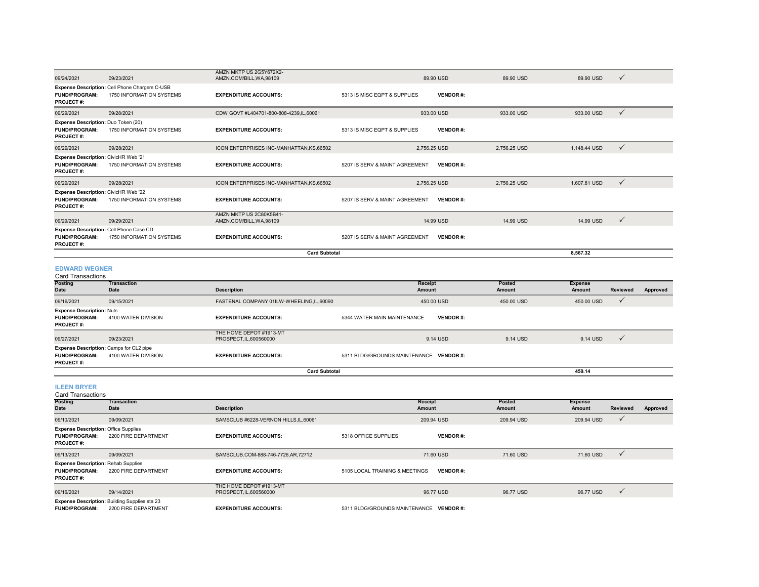|                                                                                  | <b>Card Subtotal</b>                                                       |                                                     |                                |                 | 8.567.32     |              |
|----------------------------------------------------------------------------------|----------------------------------------------------------------------------|-----------------------------------------------------|--------------------------------|-----------------|--------------|--------------|
| <b>FUND/PROGRAM:</b><br><b>PROJECT#:</b>                                         | Expense Description: Cell Phone Case CD<br>1750 INFORMATION SYSTEMS        | <b>EXPENDITURE ACCOUNTS:</b>                        | 5207 IS SERV & MAINT AGREEMENT | <b>VENDOR#:</b> |              |              |
| 09/29/2021                                                                       | 09/29/2021                                                                 | AMZN MKTP US 2C80K5B41-<br>AMZN.COM/BILL, WA, 98109 | 14.99 USD                      | 14.99 USD       | 14.99 USD    | $\checkmark$ |
| Expense Description: CivicHR Web '22<br><b>FUND/PROGRAM:</b><br><b>PROJECT#:</b> | 1750 INFORMATION SYSTEMS                                                   | <b>EXPENDITURE ACCOUNTS:</b>                        | 5207 IS SERV & MAINT AGREEMENT | <b>VENDOR#:</b> |              |              |
| 09/29/2021                                                                       | 09/28/2021                                                                 | ICON ENTERPRISES INC-MANHATTAN.KS.66502             | 2,756.25 USD                   | 2,756.25 USD    | 1,607.81 USD | $\checkmark$ |
| Expense Description: CivicHR Web '21<br><b>FUND/PROGRAM:</b><br><b>PROJECT#:</b> | 1750 INFORMATION SYSTEMS                                                   | <b>EXPENDITURE ACCOUNTS:</b>                        | 5207 IS SERV & MAINT AGREEMENT | <b>VENDOR#:</b> |              |              |
| 09/29/2021                                                                       | 09/28/2021                                                                 | ICON ENTERPRISES INC-MANHATTAN.KS.66502             | 2.756.25 USD                   | 2,756.25 USD    | 1.148.44 USD | $\checkmark$ |
| Expense Description: Duo Token (20)<br><b>FUND/PROGRAM:</b><br><b>PROJECT#:</b>  | 1750 INFORMATION SYSTEMS                                                   | <b>EXPENDITURE ACCOUNTS:</b>                        | 5313 IS MISC EQPT & SUPPLIES   | <b>VENDOR#:</b> |              |              |
| 09/29/2021                                                                       | 09/28/2021                                                                 | CDW GOVT #L404701-800-808-4239, IL, 60061           | 933.00 USD                     | 933.00 USD      | 933.00 USD   | $\checkmark$ |
| <b>FUND/PROGRAM:</b><br><b>PROJECT#:</b>                                         | Expense Description: Cell Phone Chargers C-USB<br>1750 INFORMATION SYSTEMS | <b>EXPENDITURE ACCOUNTS:</b>                        | 5313 IS MISC EQPT & SUPPLIES   | <b>VENDOR#:</b> |              |              |
| 09/24/2021                                                                       | 09/23/2021                                                                 | AMZN MKTP US 2G5Y672X2-<br>AMZN.COM/BILL, WA, 98109 | 89.90 USD                      | 89.90 USD       | 89.90 USD    | $\checkmark$ |

**EDWARD WEGNER**

| Card Transactions                              |                            |                                          |                                         |                  |                          |              |          |
|------------------------------------------------|----------------------------|------------------------------------------|-----------------------------------------|------------------|--------------------------|--------------|----------|
| <b>Posting</b><br>Date                         | <b>Transaction</b><br>Date | <b>Description</b>                       | Receipt<br>Amount                       | Posted<br>Amount | <b>Expense</b><br>Amount | Reviewed     | Approved |
|                                                |                            |                                          |                                         |                  |                          |              |          |
| 09/16/2021                                     | 09/15/2021                 | FASTENAL COMPANY 01ILW-WHEELING.IL.60090 | 450.00 USD                              | 450.00 USD       | 450.00 USD               | $\mathbf v$  |          |
| <b>Expense Description: Nuts</b>               |                            |                                          |                                         |                  |                          |              |          |
| <b>FUND/PROGRAM:</b>                           | 4100 WATER DIVISION        | <b>EXPENDITURE ACCOUNTS:</b>             | 5344 WATER MAIN MAINTENANCE             | <b>VENDOR#:</b>  |                          |              |          |
| <b>PROJECT#:</b>                               |                            |                                          |                                         |                  |                          |              |          |
|                                                |                            | THE HOME DEPOT #1913-MT                  |                                         |                  |                          |              |          |
| 09/27/2021                                     | 09/23/2021                 | PROSPECT, IL, 600560000                  | 9.14 USD                                | 9.14 USD         | 9.14 USD                 | $\mathbf{v}$ |          |
| <b>Expense Description: Camps for CL2 pipe</b> |                            |                                          |                                         |                  |                          |              |          |
| <b>FUND/PROGRAM:</b>                           | 4100 WATER DIVISION        | <b>EXPENDITURE ACCOUNTS:</b>             | 5311 BLDG/GROUNDS MAINTENANCE VENDOR #: |                  |                          |              |          |
| <b>PROJECT#:</b>                               |                            |                                          |                                         |                  |                          |              |          |
|                                                | <b>Card Subtotal</b>       |                                          |                                         |                  |                          |              |          |

#### **ILEEN BRYER**

**Posting Date Transaction Date Description Receipt Amount Posted Amount Expense Amount Reviewed Approved** 09/10/2021 09/09/2021 SAMSCLUB #6228-VERNON HILLS,IL,60061 209.94 USD 209.94 USD 209.94 USD **FUND/PROGRAM:** 2200 FIRE DEPARTMENT**EXPENDITURE ACCOUNTS:** 5318 OFFICE SUPPLIES **VENDOR #: PROJECT #:** 09/13/2021 09/09/2021 SAMSCLUB.COM-888-746-7726,AR,72712 71.60 USD 71.60 USD 71.60 USD **FUND/PROGRAM:** 2200 FIRE DEPARTMENT **EXPENDITURE ACCOUNTS:** 5105 LOCAL TRAINING & MEETINGS **VENDOR #: PROJECT #:** 09/16/2021 09/14/2021 THE HOME DEPOT #1913-MT - της πουτικές του καταστού του καταστού του του του του θεί του θεί του θεί του θεί του θεί του θεί του θεί τ<br>Προσερες της προσερες του θεί του θεί του θεί του θεί του θεί του θεί του θεί του θεί του θεί του θεί του θεί **FUND/PROGRAM:** 2200 FIRE DEPARTMENT **EXPENDITURE ACCOUNTS:** 5311 BLDG/GROUNDS MAINTENANCE **VENDOR #:** Card Transactions **Expense Description:** Office Supplies **Expense Description:** Rehab Supplies **Expense Description:** Building Supplies sta 23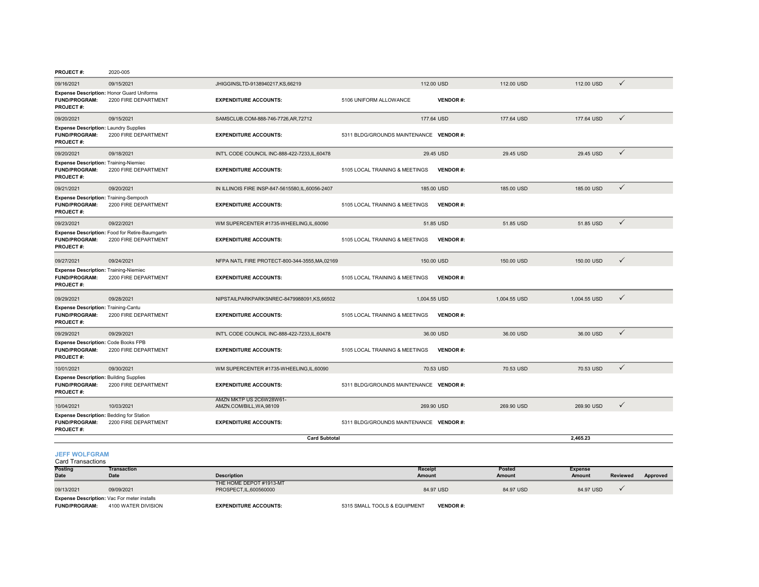| <b>PROJECT#:</b> | 2020-005 |
|------------------|----------|

| 09/16/2021                                                                                  | 09/15/2021                                                             | JHIGGINSLTD-9138940217,KS,66219                     |                                         | 112.00 USD      | 112.00 USD   | 112.00 USD   | $\checkmark$ |
|---------------------------------------------------------------------------------------------|------------------------------------------------------------------------|-----------------------------------------------------|-----------------------------------------|-----------------|--------------|--------------|--------------|
| Expense Description: Honor Guard Uniforms<br><b>FUND/PROGRAM:</b><br>PROJECT#:              | 2200 FIRE DEPARTMENT                                                   | <b>EXPENDITURE ACCOUNTS:</b>                        | 5106 UNIFORM ALLOWANCE                  | <b>VENDOR#:</b> |              |              |              |
| 09/20/2021                                                                                  | 09/15/2021                                                             | SAMSCLUB.COM-888-746-7726,AR,72712                  |                                         | 177,64 USD      | 177,64 USD   | 177.64 USD   | $\checkmark$ |
| <b>Expense Description: Laundry Supplies</b><br><b>FUND/PROGRAM:</b><br><b>PROJECT#:</b>    | 2200 FIRE DEPARTMENT                                                   | <b>EXPENDITURE ACCOUNTS:</b>                        | 5311 BLDG/GROUNDS MAINTENANCE VENDOR #: |                 |              |              |              |
| 09/20/2021                                                                                  | 09/18/2021                                                             | INT'L CODE COUNCIL INC-888-422-7233,IL,60478        |                                         | 29.45 USD       | 29.45 USD    | 29.45 USD    | $\checkmark$ |
| <b>Expense Description: Training-Niemiec</b><br><b>FUND/PROGRAM:</b><br>PROJECT#:           | 2200 FIRE DEPARTMENT                                                   | <b>EXPENDITURE ACCOUNTS:</b>                        | 5105 LOCAL TRAINING & MEETINGS          | <b>VENDOR#:</b> |              |              |              |
| 09/21/2021                                                                                  | 09/20/2021                                                             | IN ILLINOIS FIRE INSP-847-5615580.IL.60056-2407     |                                         | 185,00 USD      | 185,00 USD   | 185,00 USD   | $\checkmark$ |
| Expense Description: Training-Sempoch<br><b>FUND/PROGRAM:</b><br>PROJECT#:                  | 2200 FIRE DEPARTMENT                                                   | <b>EXPENDITURE ACCOUNTS:</b>                        | 5105 LOCAL TRAINING & MEETINGS          | <b>VENDOR#:</b> |              |              |              |
| 09/23/2021                                                                                  | 09/22/2021                                                             | WM SUPERCENTER #1735-WHEELING,IL,60090              |                                         | 51.85 USD       | 51.85 USD    | 51.85 USD    | $\checkmark$ |
| <b>FUND/PROGRAM:</b><br>PROJECT#:                                                           | Expense Description: Food for Retire-Baumgartn<br>2200 FIRE DEPARTMENT | <b>EXPENDITURE ACCOUNTS:</b>                        | 5105 LOCAL TRAINING & MEETINGS          | <b>VENDOR#:</b> |              |              |              |
| 09/27/2021                                                                                  | 09/24/2021                                                             | NFPA NATL FIRE PROTECT-800-344-3555, MA, 02169      |                                         | 150,00 USD      | 150.00 USD   | 150.00 USD   | $\checkmark$ |
| <b>Expense Description: Training-Niemiec</b><br><b>FUND/PROGRAM:</b><br><b>PROJECT#:</b>    | 2200 FIRE DEPARTMENT                                                   | <b>EXPENDITURE ACCOUNTS:</b>                        | 5105 LOCAL TRAINING & MEETINGS          | <b>VENDOR#:</b> |              |              |              |
| 09/29/2021                                                                                  | 09/28/2021                                                             | NIPSTAILPARKPARKSNREC-8479988091.KS.66502           |                                         | 1.004.55 USD    | 1.004.55 USD | 1.004.55 USD | $\checkmark$ |
| <b>Expense Description: Training-Cantu</b><br><b>FUND/PROGRAM:</b><br><b>PROJECT#:</b>      | 2200 FIRE DEPARTMENT                                                   | <b>EXPENDITURE ACCOUNTS:</b>                        | 5105 LOCAL TRAINING & MEETINGS          | <b>VENDOR#:</b> |              |              |              |
| 09/29/2021                                                                                  | 09/29/2021                                                             | INT'L CODE COUNCIL INC-888-422-7233, IL, 60478      |                                         | 36.00 USD       | 36.00 USD    | 36,00 USD    | $\checkmark$ |
| Expense Description: Code Books FPB<br><b>FUND/PROGRAM:</b><br><b>PROJECT#:</b>             | 2200 FIRE DEPARTMENT                                                   | <b>EXPENDITURE ACCOUNTS:</b>                        | 5105 LOCAL TRAINING & MEETINGS          | <b>VENDOR#:</b> |              |              |              |
| 10/01/2021                                                                                  | 09/30/2021                                                             | WM SUPERCENTER #1735-WHEELING,IL,60090              |                                         | 70.53 USD       | 70.53 USD    | 70.53 USD    | $\checkmark$ |
| <b>Expense Description: Building Supplies</b><br><b>FUND/PROGRAM:</b><br><b>PROJECT#:</b>   | 2200 FIRE DEPARTMENT                                                   | <b>EXPENDITURE ACCOUNTS:</b>                        | 5311 BLDG/GROUNDS MAINTENANCE VENDOR #: |                 |              |              |              |
| 10/04/2021                                                                                  | 10/03/2021                                                             | AMZN MKTP US 2C6W28W61-<br>AMZN.COM/BILL, WA, 98109 |                                         | 269.90 USD      | 269.90 USD   | 269.90 USD   | $\checkmark$ |
| <b>Expense Description: Bedding for Station</b><br><b>FUND/PROGRAM:</b><br><b>PROJECT#:</b> | 2200 FIRE DEPARTMENT                                                   | <b>EXPENDITURE ACCOUNTS:</b>                        | 5311 BLDG/GROUNDS MAINTENANCE VENDOR #: |                 |              |              |              |
|                                                                                             |                                                                        | <b>Card Subtotal</b>                                |                                         |                 |              | 2.465.23     |              |

**JEFF WOLFGRAM**Card Transactions

| <b>Posting</b> | <b>Transaction</b>                                 |                         | <b>Receipt</b> | Posted    | <b>Expense</b> |          |          |
|----------------|----------------------------------------------------|-------------------------|----------------|-----------|----------------|----------|----------|
| <b>Date</b>    | Date                                               | <b>Description</b>      | <b>Amount</b>  | Amount    | Amount         | Reviewed | Approved |
|                |                                                    | THE HOME DEPOT #1913-MT |                |           |                |          |          |
| 09/13/2021     | 09/09/2021                                         | PROSPECT.IL.600560000   | 84.97 USD      | 84.97 USD | 84.97 USD      |          |          |
|                | <b>Expense Description: Vac For meter installs</b> |                         |                |           |                |          |          |

**FUND/PROGRAM:** 4100 WATER DIVISION**EXPENDITURE ACCOUNTS:** 5315 SMALL TOOLS & EQUIPMENT **VENDOR** #: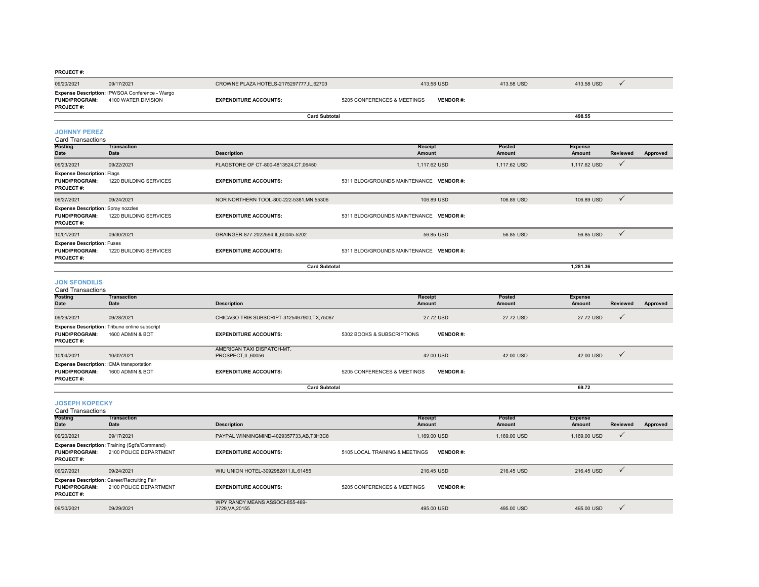| 09/20/2021                                      | 09/17/2021                                                            | CROWNE PLAZA HOTELS-2175297777, IL, 62703 | 413.58 USD                  |                 | 413.58 USD       | 413.58 USD               | $\checkmark$   |          |
|-------------------------------------------------|-----------------------------------------------------------------------|-------------------------------------------|-----------------------------|-----------------|------------------|--------------------------|----------------|----------|
| <b>FUND/PROGRAM:</b><br><b>PROJECT#:</b>        | Expense Description: IPWSOA Conference - Wargo<br>4100 WATER DIVISION | <b>EXPENDITURE ACCOUNTS:</b>              | 5205 CONFERENCES & MEETINGS | <b>VENDOR#:</b> |                  |                          |                |          |
|                                                 |                                                                       | <b>Card Subtotal</b>                      |                             |                 |                  | 498.55                   |                |          |
| <b>JOHNNY PEREZ</b><br><b>Card Transactions</b> |                                                                       |                                           |                             |                 |                  |                          |                |          |
| Posting<br>Date                                 | <b>Transaction</b><br>Date                                            | <b>Description</b>                        | Receipt<br>Amount           |                 | Posted<br>Amount | <b>Expense</b><br>Amount | Reviewed       | Approved |
| 09/23/2021                                      | 09/22/2021                                                            | FLAGSTORE OF CT-800-4813524, CT, 06450    | 1,117.62 USD                |                 | 1.117.62 USD     | 1.117.62 USD             | $\overline{v}$ |          |
|                                                 |                                                                       |                                           |                             |                 |                  |                          |                |          |

| 0012012021                                                                            | $\overline{\phantom{a}}$ |                                         |                                         |            |                              |  |
|---------------------------------------------------------------------------------------|--------------------------|-----------------------------------------|-----------------------------------------|------------|------------------------------|--|
| <b>Expense Description: Flags</b><br><b>FUND/PROGRAM:</b><br><b>PROJECT#:</b>         | 1220 BUILDING SERVICES   | <b>EXPENDITURE ACCOUNTS:</b>            | 5311 BLDG/GROUNDS MAINTENANCE VENDOR #: |            |                              |  |
| 09/27/2021                                                                            | 09/24/2021               | NOR NORTHERN TOOL-800-222-5381.MN.55306 | 106.89 USD                              | 106.89 USD | 106.89 USD<br>$\overline{v}$ |  |
| <b>Expense Description: Spray nozzles</b><br><b>FUND/PROGRAM:</b><br><b>PROJECT#:</b> | 1220 BUILDING SERVICES   | <b>EXPENDITURE ACCOUNTS:</b>            | 5311 BLDG/GROUNDS MAINTENANCE VENDOR #: |            |                              |  |
| 10/01/2021                                                                            | 09/30/2021               | GRAINGER-877-2022594.IL.60045-5202      | 56.85 USD                               | 56.85 USD  | 56.85 USD                    |  |
| <b>Expense Description: Fuses</b><br><b>FUND/PROGRAM:</b><br><b>PROJECT#:</b>         | 1220 BUILDING SERVICES   | <b>EXPENDITURE ACCOUNTS:</b>            | 5311 BLDG/GROUNDS MAINTENANCE VENDOR #: |            |                              |  |
|                                                                                       |                          | <b>Card Subtotal</b>                    |                                         |            | 1.281.36                     |  |

**1,281.36**

**69.72**

 $69.72$ 

#### **JON SFONDILIS**

| <b>Card Transactions</b>                                                                    |                                                                          |                                                 |                             |                 |           |                |              |          |  |  |
|---------------------------------------------------------------------------------------------|--------------------------------------------------------------------------|-------------------------------------------------|-----------------------------|-----------------|-----------|----------------|--------------|----------|--|--|
| <b>Posting</b>                                                                              | <b>Transaction</b>                                                       |                                                 | Receipt                     |                 | Posted    | <b>Expense</b> |              |          |  |  |
| Date                                                                                        | Date                                                                     | <b>Description</b>                              | Amount                      |                 | Amount    | <b>Amount</b>  | Reviewed     | Approved |  |  |
| 09/29/2021                                                                                  | 09/28/2021                                                               | CHICAGO TRIB SUBSCRIPT-3125467900.TX.75067      |                             | 27.72 USD       | 27.72 USD | 27.72 USD      | $\checkmark$ |          |  |  |
| <b>FUND/PROGRAM:</b>                                                                        | <b>Expense Description: Tribune online subscript</b><br>1600 ADMIN & BOT | <b>EXPENDITURE ACCOUNTS:</b>                    | 5302 BOOKS & SUBSCRIPTIONS  | <b>VENDOR#:</b> |           |                |              |          |  |  |
| <b>PROJECT#:</b>                                                                            |                                                                          |                                                 |                             |                 |           |                |              |          |  |  |
| 10/04/2021                                                                                  | 10/02/2021                                                               | AMERICAN TAXI DISPATCH-MT.<br>PROSPECT.IL.60056 |                             | 42.00 USD       | 42.00 USD | 42.00 USD      | $\checkmark$ |          |  |  |
| <b>Expense Description: ICMA transportation</b><br><b>FUND/PROGRAM:</b><br><b>PROJECT#:</b> | 1600 ADMIN & BOT                                                         | <b>EXPENDITURE ACCOUNTS:</b>                    | 5205 CONFERENCES & MEETINGS | <b>VENDOR#:</b> |           |                |              |          |  |  |

**Card Subtotal**

#### **JOSEPH KOPECKY**

| Card Transactions                        |                                                                                |                                                  |                                |                 |              |                |              |          |
|------------------------------------------|--------------------------------------------------------------------------------|--------------------------------------------------|--------------------------------|-----------------|--------------|----------------|--------------|----------|
| <b>Posting</b>                           | <b>Transaction</b>                                                             |                                                  | Receipt                        |                 | Posted       | <b>Expense</b> |              |          |
| Date                                     | Date                                                                           | <b>Description</b>                               | Amount                         |                 | Amount       | Amount         | Reviewed     | Approved |
| 09/20/2021                               | 09/17/2021                                                                     | PAYPAL WINNINGMIND-4029357733.AB.T3H3C8          | 1.169.00 USD                   |                 | 1.169.00 USD | 1,169.00 USD   | $\checkmark$ |          |
| <b>FUND/PROGRAM:</b><br><b>PROJECT#:</b> | <b>Expense Description: Training (Sgt's/Command)</b><br>2100 POLICE DEPARTMENT | <b>EXPENDITURE ACCOUNTS:</b>                     | 5105 LOCAL TRAINING & MEETINGS | <b>VENDOR#:</b> |              |                |              |          |
| 09/27/2021                               | 09/24/2021                                                                     | WIU UNION HOTEL-3092982811.IL.61455              | 216.45 USD                     |                 | 216.45 USD   | 216.45 USD     | $\checkmark$ |          |
| <b>FUND/PROGRAM:</b><br><b>PROJECT#:</b> | <b>Expense Description: Career/Recruiting Fair</b><br>2100 POLICE DEPARTMENT   | <b>EXPENDITURE ACCOUNTS:</b>                     | 5205 CONFERENCES & MEETINGS    | <b>VENDOR#:</b> |              |                |              |          |
| 09/30/2021                               | 09/29/2021                                                                     | WPY RANDY MEANS ASSOCI-855-469-<br>3729.VA.20155 | 495.00 USD                     |                 | 495,00 USD   | 495.00 USD     | $\checkmark$ |          |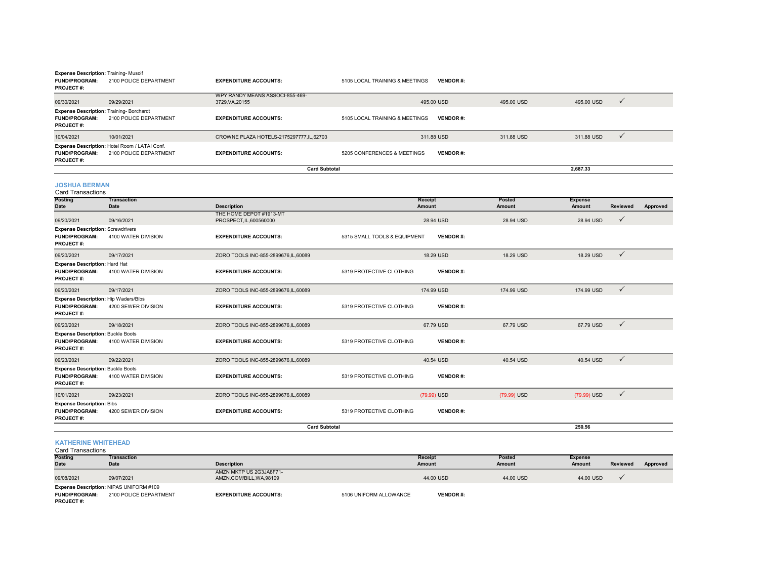| <b>Expense Description: Training-Musolf</b><br><b>FUND/PROGRAM:</b><br><b>PROJECT#:</b> | 2100 POLICE DEPARTMENT                                                  | <b>EXPENDITURE ACCOUNTS:</b>                       | 5105 LOCAL TRAINING & MEETINGS | <b>VENDOR#:</b>   |                         |                          |                 |          |
|-----------------------------------------------------------------------------------------|-------------------------------------------------------------------------|----------------------------------------------------|--------------------------------|-------------------|-------------------------|--------------------------|-----------------|----------|
| 09/30/2021                                                                              | 09/29/2021                                                              | WPY RANDY MEANS ASSOCI-855-469-<br>3729, VA, 20155 |                                | 495.00 USD        | 495.00 USD              | 495.00 USD               | $\checkmark$    |          |
| Expense Description: Training-Borchardt<br><b>FUND/PROGRAM:</b><br>PROJECT#:            | 2100 POLICE DEPARTMENT                                                  | <b>EXPENDITURE ACCOUNTS:</b>                       | 5105 LOCAL TRAINING & MEETINGS | <b>VENDOR#:</b>   |                         |                          |                 |          |
| 10/04/2021                                                                              | 10/01/2021                                                              | CROWNE PLAZA HOTELS-2175297777,IL,62703            |                                | 311.88 USD        | 311.88 USD              | 311.88 USD               | $\checkmark$    |          |
| <b>FUND/PROGRAM:</b><br>PROJECT#:                                                       | Expense Description: Hotel Room / LATAI Conf.<br>2100 POLICE DEPARTMENT | <b>EXPENDITURE ACCOUNTS:</b>                       | 5205 CONFERENCES & MEETINGS    | <b>VENDOR#:</b>   |                         |                          |                 |          |
|                                                                                         |                                                                         | <b>Card Subtotal</b>                               |                                |                   |                         | 2,687.33                 |                 |          |
| <b>JOSHUA BERMAN</b><br><b>Card Transactions</b>                                        |                                                                         |                                                    |                                |                   |                         |                          |                 |          |
| Posting<br>Date                                                                         | <b>Transaction</b><br><b>Date</b>                                       | <b>Description</b>                                 |                                | Receipt<br>Amount | Posted<br><b>Amount</b> | <b>Expense</b><br>Amount | <b>Reviewed</b> | Approved |
| 09/20/2021                                                                              | 09/16/2021                                                              | THE HOME DEPOT #1913-MT<br>PROSPECT, IL, 600560000 |                                | 28.94 USD         | 28.94 USD               | 28.94 USD                | $\checkmark$    |          |
| <b>Expense Description: Screwdrivers</b><br><b>FUND/PROGRAM:</b><br>PROJECT#:           | 4100 WATER DIVISION                                                     | <b>EXPENDITURE ACCOUNTS:</b>                       | 5315 SMALL TOOLS & EQUIPMENT   | <b>VENDOR#:</b>   |                         |                          |                 |          |
| 09/20/2021                                                                              | 09/17/2021                                                              | ZORO TOOLS INC-855-2899676,IL,60089                |                                | 18.29 USD         | 18.29 USD               | 18.29 USD                | $\checkmark$    |          |
| Expense Description: Hard Hat<br><b>FUND/PROGRAM:</b><br><b>PROJECT#:</b>               | 4100 WATER DIVISION                                                     | <b>EXPENDITURE ACCOUNTS:</b>                       | 5319 PROTECTIVE CLOTHING       | <b>VENDOR#:</b>   |                         |                          |                 |          |
| 09/20/2021                                                                              | 09/17/2021                                                              | ZORO TOOLS INC-855-2899676,IL,60089                |                                | 174.99 USD        | 174.99 USD              | 174.99 USD               | $\checkmark$    |          |
| Expense Description: Hip Waders/Bibs<br><b>FUND/PROGRAM:</b><br>PROJECT#:               | 4200 SEWER DIVISION                                                     | <b>EXPENDITURE ACCOUNTS:</b>                       | 5319 PROTECTIVE CLOTHING       | <b>VENDOR#:</b>   |                         |                          |                 |          |
| 09/20/2021                                                                              | 09/18/2021                                                              | ZORO TOOLS INC-855-2899676,IL,60089                |                                | 67.79 USD         | 67.79 USD               | 67.79 USD                | $\checkmark$    |          |
| <b>Expense Description: Buckle Boots</b><br><b>FUND/PROGRAM:</b><br>PROJECT#:           | 4100 WATER DIVISION                                                     | <b>EXPENDITURE ACCOUNTS:</b>                       | 5319 PROTECTIVE CLOTHING       | <b>VENDOR#:</b>   |                         |                          |                 |          |
| 09/23/2021                                                                              | 09/22/2021                                                              | ZORO TOOLS INC-855-2899676,IL,60089                |                                | 40.54 USD         | 40.54 USD               | 40.54 USD                | $\checkmark$    |          |
| <b>Expense Description: Buckle Boots</b><br><b>FUND/PROGRAM:</b><br>PROJECT#:           | 4100 WATER DIVISION                                                     | <b>EXPENDITURE ACCOUNTS:</b>                       | 5319 PROTECTIVE CLOTHING       | <b>VENDOR#:</b>   |                         |                          |                 |          |
| 10/01/2021                                                                              | 09/23/2021                                                              | ZORO TOOLS INC-855-2899676,IL,60089                |                                | (79.99) USD       | (79.99) USD             | (79.99) USD              | $\checkmark$    |          |
| <b>Expense Description: Bibs</b><br><b>FUND/PROGRAM:</b><br>PROJECT#:                   | 4200 SEWER DIVISION                                                     | <b>EXPENDITURE ACCOUNTS:</b>                       | 5319 PROTECTIVE CLOTHING       | <b>VENDOR#:</b>   |                         |                          |                 |          |
|                                                                                         |                                                                         | <b>Card Subtotal</b>                               |                                |                   |                         | 250.56                   |                 |          |
|                                                                                         |                                                                         |                                                    |                                |                   |                         |                          |                 |          |

## **KATHERINE WHITEHEAD** Card Transactions

| Card Transactions    |                                         |                              |                        |                 |           |               |                 |          |
|----------------------|-----------------------------------------|------------------------------|------------------------|-----------------|-----------|---------------|-----------------|----------|
| <b>Posting</b>       | Transaction                             |                              |                        | <b>Receipt</b>  | Posted    | Expense       |                 |          |
| <b>Date</b>          | <b>Date</b>                             | <b>Description</b>           |                        | Amount          | Amount    | <b>Amount</b> | <b>Reviewed</b> | Approved |
|                      |                                         | AMZN MKTP US 2G3JA8F71-      |                        |                 |           |               |                 |          |
| 09/08/2021           | 09/07/2021                              | AMZN.COM/BILL, WA, 98109     |                        | 44.00 USD       | 44.00 USD | 44.00 USD     |                 |          |
|                      | Expense Description: NIPAS UNIFORM #109 |                              |                        |                 |           |               |                 |          |
| <b>FUND/PROGRAM:</b> | 2100 POLICE DEPARTMENT                  | <b>EXPENDITURE ACCOUNTS:</b> | 5106 UNIFORM ALLOWANCE | <b>VENDOR#:</b> |           |               |                 |          |
| <b>PROJECT#:</b>     |                                         |                              |                        |                 |           |               |                 |          |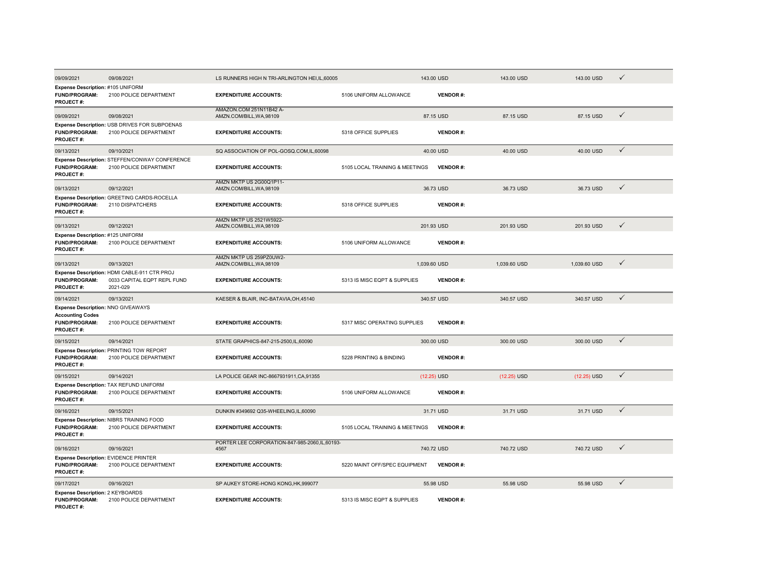| 09/09/2021                                                                                         | 09/08/2021                                                                              | LS RUNNERS HIGH N TRI-ARLINGTON HEI.IL.60005            |                                | 143.00 USD      | 143.00 USD    | 143.00 USD    | $\checkmark$ |
|----------------------------------------------------------------------------------------------------|-----------------------------------------------------------------------------------------|---------------------------------------------------------|--------------------------------|-----------------|---------------|---------------|--------------|
| Expense Description: #105 UNIFORM<br><b>FUND/PROGRAM:</b><br>PROJECT#:                             | 2100 POLICE DEPARTMENT                                                                  | <b>EXPENDITURE ACCOUNTS:</b>                            | 5106 UNIFORM ALLOWANCE         | <b>VENDOR#:</b> |               |               |              |
| 09/09/2021                                                                                         | 09/08/2021                                                                              | AMAZON.COM 251N11B42 A-<br>AMZN.COM/BILL, WA, 98109     |                                | 87.15 USD       | 87.15 USD     | 87.15 USD     | $\checkmark$ |
| <b>FUND/PROGRAM:</b><br><b>PROJECT#:</b>                                                           | Expense Description: USB DRIVES FOR SUBPOENAS<br>2100 POLICE DEPARTMENT                 | <b>EXPENDITURE ACCOUNTS:</b>                            | 5318 OFFICE SUPPLIES           | <b>VENDOR#:</b> |               |               |              |
| 09/13/2021                                                                                         | 09/10/2021                                                                              | SQ ASSOCIATION OF POL-GOSQ.COM,IL,60098                 |                                | 40.00 USD       | 40.00 USD     | 40.00 USD     | $\checkmark$ |
| FUND/PROGRAM:<br><b>PROJECT#:</b>                                                                  | Expense Description: STEFFEN/CONWAY CONFERENCE<br>2100 POLICE DEPARTMENT                | <b>EXPENDITURE ACCOUNTS:</b>                            | 5105 LOCAL TRAINING & MEETINGS | <b>VENDOR#:</b> |               |               |              |
| 09/13/2021                                                                                         | 09/12/2021                                                                              | AMZN MKTP US 2G00Q1P11-<br>AMZN.COM/BILL, WA, 98109     |                                | 36.73 USD       | 36,73 USD     | 36.73 USD     | $\checkmark$ |
| FUND/PROGRAM:<br><b>PROJECT#:</b>                                                                  | Expense Description: GREETING CARDS-ROCELLA<br>2110 DISPATCHERS                         | <b>EXPENDITURE ACCOUNTS:</b>                            | 5318 OFFICE SUPPLIES           | <b>VENDOR#:</b> |               |               |              |
| 09/13/2021                                                                                         | 09/12/2021                                                                              | AMZN MKTP US 2521W5922-<br>AMZN.COM/BILL, WA, 98109     |                                | 201.93 USD      | 201.93 USD    | 201.93 USD    | $\checkmark$ |
| Expense Description: #125 UNIFORM<br><b>FUND/PROGRAM:</b><br>PROJECT#:                             | 2100 POLICE DEPARTMENT                                                                  | <b>EXPENDITURE ACCOUNTS:</b>                            | 5106 UNIFORM ALLOWANCE         | <b>VENDOR#:</b> |               |               |              |
| 09/13/2021                                                                                         | 09/13/2021                                                                              | AMZN MKTP US 259PZ0UW2-<br>AMZN.COM/BILL, WA, 98109     |                                | 1,039.60 USD    | 1,039.60 USD  | 1,039.60 USD  | $\checkmark$ |
| FUND/PROGRAM:<br><b>PROJECT#:</b>                                                                  | Expense Description: HDMI CABLE-911 CTR PROJ<br>0033 CAPITAL EQPT REPL FUND<br>2021-029 | <b>EXPENDITURE ACCOUNTS:</b>                            | 5313 IS MISC EQPT & SUPPLIES   | <b>VENDOR#:</b> |               |               |              |
| 09/14/2021                                                                                         | 09/13/2021                                                                              | KAESER & BLAIR, INC-BATAVIA, OH, 45140                  |                                | 340.57 USD      | 340.57 USD    | 340.57 USD    | $\checkmark$ |
| Expense Description: NNO GIVEAWAYS<br><b>Accounting Codes</b><br><b>FUND/PROGRAM:</b><br>PROJECT#: | 2100 POLICE DEPARTMENT                                                                  | <b>EXPENDITURE ACCOUNTS:</b>                            | 5317 MISC OPERATING SUPPLIES   | <b>VENDOR#:</b> |               |               |              |
| 09/15/2021                                                                                         | 09/14/2021                                                                              | STATE GRAPHICS-847-215-2500.IL.60090                    |                                | 300.00 USD      | 300.00 USD    | 300.00 USD    | $\checkmark$ |
| <b>FUND/PROGRAM:</b><br><b>PROJECT#:</b>                                                           | Expense Description: PRINTING TOW REPORT<br>2100 POLICE DEPARTMENT                      | <b>EXPENDITURE ACCOUNTS:</b>                            | 5228 PRINTING & BINDING        | <b>VENDOR#:</b> |               |               |              |
| 09/15/2021                                                                                         | 09/14/2021                                                                              | LA POLICE GEAR INC-8667931911, CA, 91355                |                                | $(12.25)$ USD   | $(12.25)$ USD | $(12.25)$ USD | $\checkmark$ |
| <b>FUND/PROGRAM:</b><br><b>PROJECT#:</b>                                                           | Expense Description: TAX REFUND UNIFORM<br>2100 POLICE DEPARTMENT                       | <b>EXPENDITURE ACCOUNTS:</b>                            | 5106 UNIFORM ALLOWANCE         | <b>VENDOR#:</b> |               |               |              |
| 09/16/2021                                                                                         | 09/15/2021                                                                              | DUNKIN #349692 Q35-WHEELING,IL,60090                    |                                | 31.71 USD       | 31.71 USD     | 31.71 USD     | $\checkmark$ |
| <b>FUND/PROGRAM:</b><br><b>PROJECT#:</b>                                                           | Expense Description: NIBRS TRAINING FOOD<br>2100 POLICE DEPARTMENT                      | <b>EXPENDITURE ACCOUNTS:</b>                            | 5105 LOCAL TRAINING & MEETINGS | <b>VENDOR#:</b> |               |               |              |
| 09/16/2021                                                                                         | 09/16/2021                                                                              | PORTER LEE CORPORATION-847-985-2060, IL, 60193-<br>4567 |                                | 740.72 USD      | 740.72 USD    | 740.72 USD    | ✓            |
| Expense Description: EVIDENCE PRINTER<br><b>FUND/PROGRAM:</b><br><b>PROJECT#:</b>                  | 2100 POLICE DEPARTMENT                                                                  | <b>EXPENDITURE ACCOUNTS:</b>                            | 5220 MAINT OFF/SPEC EQUIPMENT  | <b>VENDOR#:</b> |               |               |              |
| 09/17/2021                                                                                         | 09/16/2021                                                                              | SP AUKEY STORE-HONG KONG, HK, 999077                    |                                | 55.98 USD       | 55.98 USD     | 55.98 USD     | $\checkmark$ |
| Expense Description: 2 KEYBOARDS<br><b>FUND/PROGRAM:</b><br>PROJECT#:                              | 2100 POLICE DEPARTMENT                                                                  | <b>EXPENDITURE ACCOUNTS:</b>                            | 5313 IS MISC EQPT & SUPPLIES   | <b>VENDOR#:</b> |               |               |              |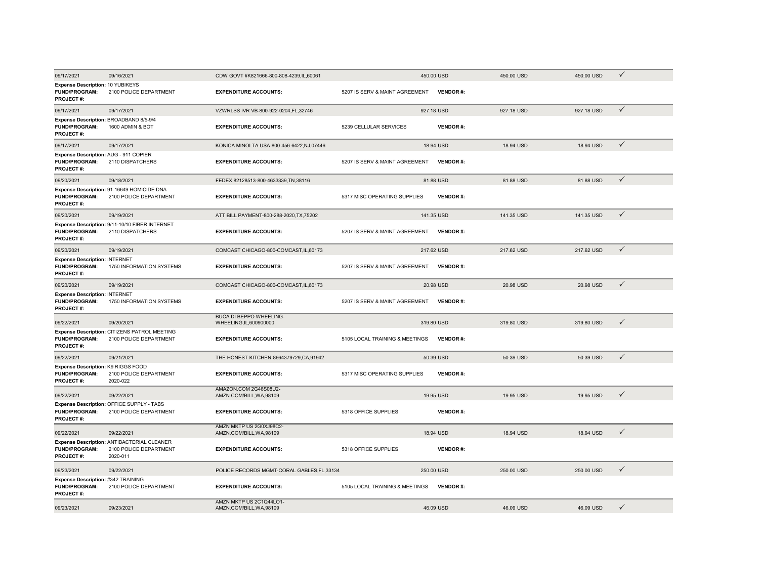| 09/17/2021                                                                       | 09/16/2021                                                                       | CDW GOVT #K821666-800-808-4239,IL,60061                   |                                | 450.00 USD      | 450.00 USD | 450.00 USD | $\checkmark$ |
|----------------------------------------------------------------------------------|----------------------------------------------------------------------------------|-----------------------------------------------------------|--------------------------------|-----------------|------------|------------|--------------|
| Expense Description: 10 YUBIKEYS<br><b>FUND/PROGRAM:</b><br>PROJECT#:            | 2100 POLICE DEPARTMENT                                                           | <b>EXPENDITURE ACCOUNTS:</b>                              | 5207 IS SERV & MAINT AGREEMENT | <b>VENDOR#:</b> |            |            |              |
| 09/17/2021                                                                       | 09/17/2021                                                                       | VZWRLSS IVR VB-800-922-0204.FL.32746                      |                                | 927.18 USD      | 927.18 USD | 927.18 USD | $\checkmark$ |
| Expense Description: BROADBAND 8/5-9/4<br><b>FUND/PROGRAM:</b><br>PROJECT#:      | 1600 ADMIN & BOT                                                                 | <b>EXPENDITURE ACCOUNTS:</b>                              | 5239 CELLULAR SERVICES         | <b>VENDOR#:</b> |            |            |              |
| 09/17/2021                                                                       | 09/17/2021                                                                       | KONICA MINOLTA USA-800-456-6422, NJ, 07446                |                                | 18.94 USD       | 18.94 USD  | 18.94 USD  | $\checkmark$ |
| Expense Description: AUG - 911 COPIER<br><b>FUND/PROGRAM:</b><br>PROJECT#:       | 2110 DISPATCHERS                                                                 | <b>EXPENDITURE ACCOUNTS:</b>                              | 5207 IS SERV & MAINT AGREEMENT | <b>VENDOR#:</b> |            |            |              |
| 09/20/2021                                                                       | 09/18/2021                                                                       | FEDEX 82128513-800-4633339, TN, 38116                     |                                | 81.88 USD       | 81.88 USD  | 81.88 USD  | $\checkmark$ |
| <b>FUND/PROGRAM:</b><br><b>PROJECT#:</b>                                         | Expense Description: 91-16649 HOMICIDE DNA<br>2100 POLICE DEPARTMENT             | <b>EXPENDITURE ACCOUNTS:</b>                              | 5317 MISC OPERATING SUPPLIES   | <b>VENDOR#:</b> |            |            |              |
| 09/20/2021                                                                       | 09/19/2021                                                                       | ATT BILL PAYMENT-800-288-2020.TX.75202                    |                                | 141.35 USD      | 141.35 USD | 141.35 USD | $\checkmark$ |
| <b>FUND/PROGRAM:</b><br>PROJECT#:                                                | Expense Description: 9/11-10/10 FIBER INTERNET<br>2110 DISPATCHERS               | <b>EXPENDITURE ACCOUNTS:</b>                              | 5207 IS SERV & MAINT AGREEMENT | <b>VENDOR#:</b> |            |            |              |
| 09/20/2021                                                                       | 09/19/2021                                                                       | COMCAST CHICAGO-800-COMCAST, IL, 60173                    |                                | 217.62 USD      | 217.62 USD | 217.62 USD | $\checkmark$ |
| <b>Expense Description: INTERNET</b><br><b>FUND/PROGRAM:</b><br><b>PROJECT#:</b> | 1750 INFORMATION SYSTEMS                                                         | <b>EXPENDITURE ACCOUNTS:</b>                              | 5207 IS SERV & MAINT AGREEMENT | <b>VENDOR#:</b> |            |            |              |
| 09/20/2021                                                                       | 09/19/2021                                                                       | COMCAST CHICAGO-800-COMCAST, IL, 60173                    |                                | 20.98 USD       | 20.98 USD  | 20.98 USD  | $\checkmark$ |
| Expense Description: INTERNET<br><b>FUND/PROGRAM:</b><br><b>PROJECT#:</b>        | 1750 INFORMATION SYSTEMS                                                         | <b>EXPENDITURE ACCOUNTS:</b>                              | 5207 IS SERV & MAINT AGREEMENT | <b>VENDOR#:</b> |            |            |              |
| 09/22/2021                                                                       | 09/20/2021                                                                       | <b>BUCA DI BEPPO WHEELING-</b><br>WHEELING, IL, 600900000 |                                | 319.80 USD      | 319.80 USD | 319.80 USD | ✓            |
| <b>FUND/PROGRAM:</b><br>PROJECT#:                                                | Expense Description: CITIZENS PATROL MEETING<br>2100 POLICE DEPARTMENT           | <b>EXPENDITURE ACCOUNTS:</b>                              | 5105 LOCAL TRAINING & MEETINGS | <b>VENDOR#:</b> |            |            |              |
| 09/22/2021                                                                       | 09/21/2021                                                                       | THE HONEST KITCHEN-8664379729, CA, 91942                  |                                | 50.39 USD       | 50.39 USD  | 50.39 USD  | $\checkmark$ |
| Expense Description: K9 RIGGS FOOD<br><b>FUND/PROGRAM:</b><br>PROJECT#:          | 2100 POLICE DEPARTMENT<br>2020-022                                               | <b>EXPENDITURE ACCOUNTS:</b>                              | 5317 MISC OPERATING SUPPLIES   | <b>VENDOR#:</b> |            |            |              |
| 09/22/2021                                                                       | 09/22/2021                                                                       | AMAZON.COM 2G46S08U2-<br>AMZN.COM/BILL, WA, 98109         |                                | 19.95 USD       | 19.95 USD  | 19.95 USD  | $\checkmark$ |
| <b>FUND/PROGRAM:</b><br>PROJECT#:                                                | Expense Description: OFFICE SUPPLY - TABS<br>2100 POLICE DEPARTMENT              | <b>EXPENDITURE ACCOUNTS:</b>                              | 5318 OFFICE SUPPLIES           | <b>VENDOR#:</b> |            |            |              |
| 09/22/2021                                                                       | 09/22/2021                                                                       | AMZN MKTP US 2G0XJ98C2-<br>AMZN.COM/BILL, WA, 98109       |                                | 18.94 USD       | 18.94 USD  | 18.94 USD  | ✓            |
| FUND/PROGRAM:<br><b>PROJECT#:</b>                                                | Expense Description: ANTIBACTERIAL CLEANER<br>2100 POLICE DEPARTMENT<br>2020-011 | <b>EXPENDITURE ACCOUNTS:</b>                              | 5318 OFFICE SUPPLIES           | <b>VENDOR#:</b> |            |            |              |
| 09/23/2021                                                                       | 09/22/2021                                                                       | POLICE RECORDS MGMT-CORAL GABLES, FL, 33134               |                                | 250.00 USD      | 250.00 USD | 250.00 USD | ✓            |
| Expense Description: #342 TRAINING<br><b>FUND/PROGRAM:</b><br>PROJECT#:          | 2100 POLICE DEPARTMENT                                                           | <b>EXPENDITURE ACCOUNTS:</b>                              | 5105 LOCAL TRAINING & MEETINGS | <b>VENDOR#:</b> |            |            |              |
| 09/23/2021                                                                       | 09/23/2021                                                                       | AMZN MKTP US 2C1Q44LO1-<br>AMZN.COM/BILL.WA.98109         |                                | 46.09 USD       | 46.09 USD  | 46.09 USD  | ✓            |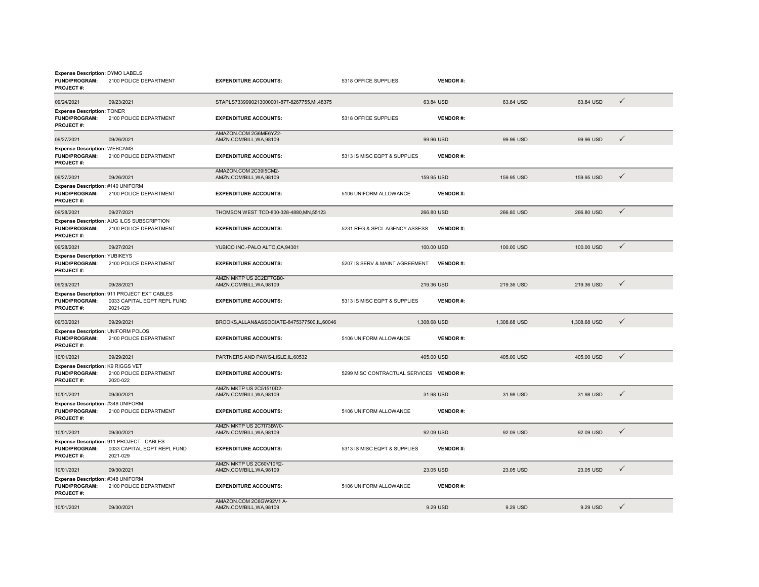| Expense Description: DYMO LABELS<br><b>FUND/PROGRAM:</b><br>PROJECT#:         | 2100 POLICE DEPARTMENT                                                                 | <b>EXPENDITURE ACCOUNTS:</b>                        | 5318 OFFICE SUPPLIES                     | <b>VENDOR#:</b> |              |              |              |
|-------------------------------------------------------------------------------|----------------------------------------------------------------------------------------|-----------------------------------------------------|------------------------------------------|-----------------|--------------|--------------|--------------|
| 09/24/2021                                                                    | 09/23/2021                                                                             | STAPLS7339990213000001-877-8267755,MI,48375         |                                          | 63.84 USD       | 63.84 USD    | 63.84 USD    | $\checkmark$ |
| <b>Expense Description: TONER</b><br><b>FUND/PROGRAM:</b><br>PROJECT#:        | 2100 POLICE DEPARTMENT                                                                 | <b>EXPENDITURE ACCOUNTS:</b>                        | 5318 OFFICE SUPPLIES                     | <b>VENDOR#:</b> |              |              |              |
| 09/27/2021                                                                    | 09/26/2021                                                                             | AMAZON.COM 2G6ME6YZ2-<br>AMZN.COM/BILL, WA, 98109   |                                          | 99.96 USD       | 99.96 USD    | 99.96 USD    | ✓            |
| <b>Expense Description: WEBCAMS</b><br><b>FUND/PROGRAM:</b><br>PROJECT#:      | 2100 POLICE DEPARTMENT                                                                 | <b>EXPENDITURE ACCOUNTS:</b>                        | 5313 IS MISC EQPT & SUPPLIES             | <b>VENDOR#:</b> |              |              |              |
| 09/27/2021                                                                    | 09/26/2021                                                                             | AMAZON.COM 2C39I5CM2-<br>AMZN.COM/BILL, WA, 98109   |                                          | 159.95 USD      | 159.95 USD   | 159.95 USD   | $\checkmark$ |
| Expense Description: #140 UNIFORM<br><b>FUND/PROGRAM:</b><br>PROJECT#:        | 2100 POLICE DEPARTMENT                                                                 | <b>EXPENDITURE ACCOUNTS:</b>                        | 5106 UNIFORM ALLOWANCE                   | <b>VENDOR#:</b> |              |              |              |
| 09/28/2021                                                                    | 09/27/2021                                                                             | THOMSON WEST TCD-800-328-4880, MN, 55123            |                                          | 266.80 USD      | 266.80 USD   | 266.80 USD   | $\checkmark$ |
| <b>FUND/PROGRAM:</b><br>PROJECT#:                                             | Expense Description: AUG ILCS SUBSCRIPTION<br>2100 POLICE DEPARTMENT                   | <b>EXPENDITURE ACCOUNTS:</b>                        | 5231 REG & SPCL AGENCY ASSESS            | <b>VENDOR#:</b> |              |              |              |
| 09/28/2021                                                                    | 09/27/2021                                                                             | YUBICO INC.-PALO ALTO.CA.94301                      |                                          | 100.00 USD      | 100,00 USD   | 100,00 USD   | $\checkmark$ |
| Expense Description: YUBIKEYS<br><b>FUND/PROGRAM:</b><br>PROJECT#:            | 2100 POLICE DEPARTMENT                                                                 | <b>EXPENDITURE ACCOUNTS:</b>                        | 5207 IS SERV & MAINT AGREEMENT           | <b>VENDOR#:</b> |              |              |              |
| 09/29/2021                                                                    | 09/28/2021                                                                             | AMZN MKTP US 2C2EF7GB0-<br>AMZN.COM/BILL.WA.98109   |                                          | 219.36 USD      | 219.36 USD   | 219.36 USD   | ✓            |
| <b>FUND/PROGRAM:</b><br>PROJECT#:                                             | Expense Description: 911 PROJECT EXT CABLES<br>0033 CAPITAL EQPT REPL FUND<br>2021-029 | <b>EXPENDITURE ACCOUNTS:</b>                        | 5313 IS MISC EQPT & SUPPLIES             | <b>VENDOR#:</b> |              |              |              |
| 09/30/2021                                                                    | 09/29/2021                                                                             | BROOKS, ALLAN&ASSOCIATE-8475377500, IL, 60046       |                                          | 1,308.68 USD    | 1,308.68 USD | 1,308.68 USD | ✓            |
| Expense Description: UNIFORM POLOS<br><b>FUND/PROGRAM:</b><br>PROJECT#:       | 2100 POLICE DEPARTMENT                                                                 | <b>EXPENDITURE ACCOUNTS:</b>                        | 5106 UNIFORM ALLOWANCE                   | <b>VENDOR#:</b> |              |              |              |
| 10/01/2021                                                                    | 09/29/2021                                                                             | PARTNERS AND PAWS-LISLE, IL, 60532                  |                                          | 405.00 USD      | 405.00 USD   | 405.00 USD   | $\checkmark$ |
| Expense Description: K9 RIGGS VET<br><b>FUND/PROGRAM:</b><br><b>PROJECT#:</b> | 2100 POLICE DEPARTMENT<br>2020-022                                                     | <b>EXPENDITURE ACCOUNTS:</b>                        | 5299 MISC CONTRACTUAL SERVICES VENDOR #: |                 |              |              |              |
| 10/01/2021                                                                    | 09/30/2021                                                                             | AMZN MKTP US 2C51510D2-<br>AMZN.COM/BILL, WA, 98109 |                                          | 31.98 USD       | 31.98 USD    | 31.98 USD    | $\checkmark$ |
| Expense Description: #348 UNIFORM<br><b>FUND/PROGRAM:</b><br>PROJECT#:        | 2100 POLICE DEPARTMENT                                                                 | <b>EXPENDITURE ACCOUNTS:</b>                        | 5106 UNIFORM ALLOWANCE                   | <b>VENDOR#:</b> |              |              |              |
| 10/01/2021                                                                    | 09/30/2021                                                                             | AMZN MKTP US 2C7I73BW0-<br>AMZN.COM/BILL, WA, 98109 |                                          | 92.09 USD       | 92.09 USD    | 92.09 USD    | $\checkmark$ |
| FUND/PROGRAM:<br>PROJECT#:                                                    | Expense Description: 911 PROJECT - CABLES<br>0033 CAPITAL EQPT REPL FUND<br>2021-029   | <b>EXPENDITURE ACCOUNTS:</b>                        | 5313 IS MISC EQPT & SUPPLIES             | <b>VENDOR#:</b> |              |              |              |
| 10/01/2021                                                                    | 09/30/2021                                                                             | AMZN MKTP US 2C60V10R2-<br>AMZN.COM/BILL, WA, 98109 |                                          | 23.05 USD       | 23.05 USD    | 23.05 USD    | ✓            |
| Expense Description: #348 UNIFORM<br><b>FUND/PROGRAM:</b><br>PROJECT#:        | 2100 POLICE DEPARTMENT                                                                 | <b>EXPENDITURE ACCOUNTS:</b>                        | 5106 UNIFORM ALLOWANCE                   | <b>VENDOR#:</b> |              |              |              |
| 10/01/2021                                                                    | 09/30/2021                                                                             | AMAZON.COM 2C6GW92V1 A-<br>AMZN.COM/BILL.WA.98109   |                                          | 9.29 USD        | 9.29 USD     | 9.29 USD     | ✓            |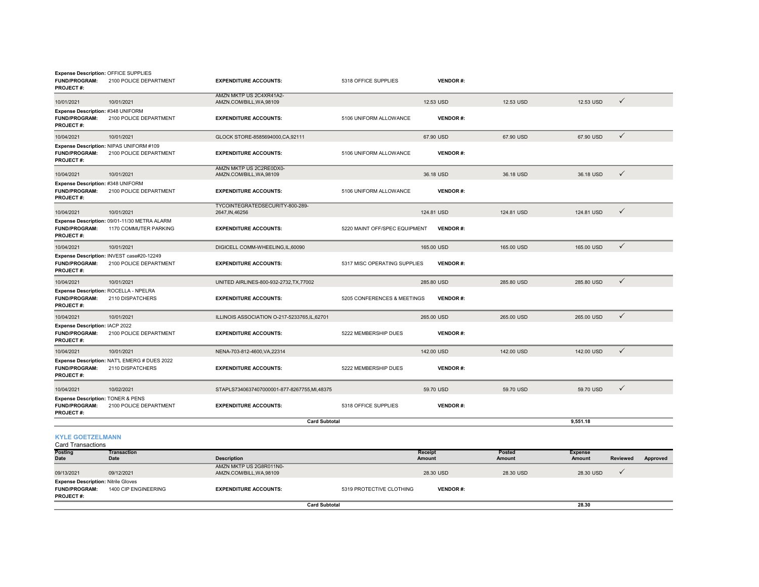| Expense Description: OFFICE SUPPLIES<br><b>FUND/PROGRAM:</b><br><b>PROJECT#:</b> | 2100 POLICE DEPARTMENT                                                | <b>EXPENDITURE ACCOUNTS:</b>                        | 5318 OFFICE SUPPLIES          | <b>VENDOR#:</b>          |                         |                          |                 |          |
|----------------------------------------------------------------------------------|-----------------------------------------------------------------------|-----------------------------------------------------|-------------------------------|--------------------------|-------------------------|--------------------------|-----------------|----------|
| 10/01/2021                                                                       | 10/01/2021                                                            | AMZN MKTP US 2C4XR41A2-<br>AMZN.COM/BILL, WA, 98109 |                               | 12.53 USD                | 12.53 USD               | 12.53 USD                | $\checkmark$    |          |
| Expense Description: #348 UNIFORM<br>FUND/PROGRAM:<br>PROJECT#:                  | 2100 POLICE DEPARTMENT                                                | <b>EXPENDITURE ACCOUNTS:</b>                        | 5106 UNIFORM ALLOWANCE        | <b>VENDOR#:</b>          |                         |                          |                 |          |
| 10/04/2021                                                                       | 10/01/2021                                                            | GLOCK STORE-8585694000, CA, 92111                   |                               | 67.90 USD                | 67.90 USD               | 67.90 USD                | $\checkmark$    |          |
| <b>FUND/PROGRAM:</b><br>PROJECT#:                                                | Expense Description: NIPAS UNIFORM #109<br>2100 POLICE DEPARTMENT     | <b>EXPENDITURE ACCOUNTS:</b>                        | 5106 UNIFORM ALLOWANCE        | <b>VENDOR#:</b>          |                         |                          |                 |          |
| 10/04/2021                                                                       | 10/01/2021                                                            | AMZN MKTP US 2C2RE0DX0-<br>AMZN.COM/BILL, WA, 98109 |                               | 36.18 USD                | 36.18 USD               | 36.18 USD                | $\checkmark$    |          |
| Expense Description: #348 UNIFORM<br>FUND/PROGRAM:<br><b>PROJECT#:</b>           | 2100 POLICE DEPARTMENT                                                | <b>EXPENDITURE ACCOUNTS:</b>                        | 5106 UNIFORM ALLOWANCE        | <b>VENDOR#:</b>          |                         |                          |                 |          |
| 10/04/2021                                                                       | 10/01/2021                                                            | TYCOINTEGRATEDSECURITY-800-289-<br>2647, IN, 46256  |                               | 124.81 USD               | 124.81 USD              | 124.81 USD               | $\checkmark$    |          |
| <b>FUND/PROGRAM:</b><br><b>PROJECT#:</b>                                         | Expense Description: 09/01-11/30 METRA ALARM<br>1170 COMMUTER PARKING | <b>EXPENDITURE ACCOUNTS:</b>                        | 5220 MAINT OFF/SPEC EQUIPMENT | <b>VENDOR#:</b>          |                         |                          |                 |          |
| 10/04/2021                                                                       | 10/01/2021                                                            | DIGICELL COMM-WHEELING, IL, 60090                   |                               | 165.00 USD               | 165.00 USD              | 165.00 USD               | $\checkmark$    |          |
| <b>FUND/PROGRAM:</b><br>PROJECT#:                                                | Expense Description: INVEST case#20-12249<br>2100 POLICE DEPARTMENT   | <b>EXPENDITURE ACCOUNTS:</b>                        | 5317 MISC OPERATING SUPPLIES  | <b>VENDOR#:</b>          |                         |                          |                 |          |
| 10/04/2021                                                                       | 10/01/2021                                                            | UNITED AIRLINES-800-932-2732, TX, 77002             |                               | 285.80 USD               | 285.80 USD              | 285.80 USD               | $\checkmark$    |          |
| Expense Description: ROCELLA - NPELRA<br><b>FUND/PROGRAM:</b><br>PROJECT#:       | 2110 DISPATCHERS                                                      | <b>EXPENDITURE ACCOUNTS:</b>                        | 5205 CONFERENCES & MEETINGS   | <b>VENDOR#:</b>          |                         |                          |                 |          |
| 10/04/2021                                                                       | 10/01/2021                                                            | ILLINOIS ASSOCIATION O-217-5233765,IL,62701         |                               | 265.00 USD               | 265.00 USD              | 265.00 USD               | $\checkmark$    |          |
| Expense Description: IACP 2022<br><b>FUND/PROGRAM:</b><br><b>PROJECT#:</b>       | 2100 POLICE DEPARTMENT                                                | <b>EXPENDITURE ACCOUNTS:</b>                        | 5222 MEMBERSHIP DUES          | <b>VENDOR#:</b>          |                         |                          |                 |          |
| 10/04/2021                                                                       | 10/01/2021                                                            | NENA-703-812-4600, VA, 22314                        |                               | 142.00 USD               | 142.00 USD              | 142.00 USD               | $\checkmark$    |          |
| <b>FUND/PROGRAM:</b><br>PROJECT#:                                                | Expense Description: NAT'L EMERG # DUES 2022<br>2110 DISPATCHERS      | <b>EXPENDITURE ACCOUNTS:</b>                        | 5222 MEMBERSHIP DUES          | <b>VENDOR#:</b>          |                         |                          |                 |          |
| 10/04/2021                                                                       | 10/02/2021                                                            | STAPLS7340637407000001-877-8267755,MI,48375         |                               | 59.70 USD                | 59.70 USD               | 59.70 USD                | $\checkmark$    |          |
| Expense Description: TONER & PENS<br><b>FUND/PROGRAM:</b><br><b>PROJECT#:</b>    | 2100 POLICE DEPARTMENT                                                | <b>EXPENDITURE ACCOUNTS:</b>                        | 5318 OFFICE SUPPLIES          | <b>VENDOR#:</b>          |                         |                          |                 |          |
|                                                                                  |                                                                       | <b>Card Subtotal</b>                                |                               |                          |                         | 9,551.18                 |                 |          |
| <b>KYLE GOETZELMANN</b><br><b>Card Transactions</b>                              |                                                                       |                                                     |                               |                          |                         |                          |                 |          |
| Posting<br>Date                                                                  | <b>Transaction</b><br><b>Date</b>                                     | <b>Description</b>                                  |                               | <b>Receipt</b><br>Amount | <b>Posted</b><br>Amount | <b>Expense</b><br>Amount | <b>Reviewed</b> | Approved |
| 09/13/2021                                                                       | 09/12/2021                                                            | AMZN MKTP US 2G8R011N0-<br>AMZN.COM/BILL, WA, 98109 |                               | 28.30 USD                | 28.30 USD               | 28.30 USD                | ✓               |          |
| <b>Expense Description: Nitrile Gloves</b><br><b>FUND/PROGRAM:</b><br>PROJECT#:  | 1400 CIP ENGINEERING                                                  | <b>EXPENDITURE ACCOUNTS:</b>                        | 5319 PROTECTIVE CLOTHING      | <b>VENDOR#:</b>          |                         |                          |                 |          |

**Card Subtotal**

**28.30**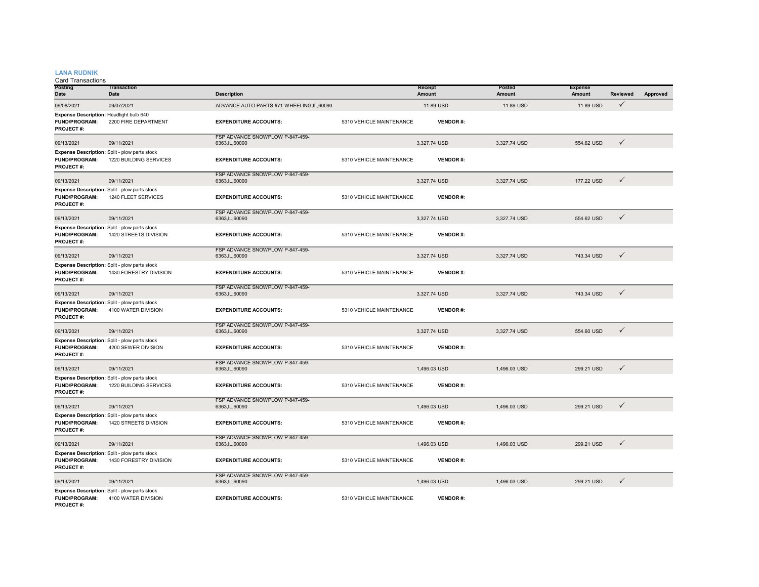#### **LANA RUDNIK**

| <b>Posting</b><br>Date                                                       | <b>Transaction</b><br>Date                                              | <b>Description</b>                                 |                          | Receipt<br>Amount | Posted<br>Amount | <b>Expense</b><br>Amount | <b>Reviewed</b> | Approved |
|------------------------------------------------------------------------------|-------------------------------------------------------------------------|----------------------------------------------------|--------------------------|-------------------|------------------|--------------------------|-----------------|----------|
| 09/08/2021                                                                   | 09/07/2021                                                              | ADVANCE AUTO PARTS #71-WHEELING,IL,60090           |                          | 11.89 USD         | 11.89 USD        | 11.89 USD                | $\checkmark$    |          |
| Expense Description: Headlight bulb 640<br><b>FUND/PROGRAM:</b><br>PROJECT#: | 2200 FIRE DEPARTMENT                                                    | <b>EXPENDITURE ACCOUNTS:</b>                       | 5310 VEHICLE MAINTENANCE | <b>VENDOR#:</b>   |                  |                          |                 |          |
| 09/13/2021                                                                   | 09/11/2021                                                              | FSP ADVANCE SNOWPLOW P-847-459-<br>6363, IL, 60090 |                          | 3,327.74 USD      | 3,327.74 USD     | 554.62 USD               | $\checkmark$    |          |
| <b>FUND/PROGRAM:</b><br><b>PROJECT#:</b>                                     | Expense Description: Split - plow parts stock<br>1220 BUILDING SERVICES | <b>EXPENDITURE ACCOUNTS:</b>                       | 5310 VEHICLE MAINTENANCE | <b>VENDOR#:</b>   |                  |                          |                 |          |
| 09/13/2021                                                                   | 09/11/2021                                                              | FSP ADVANCE SNOWPLOW P-847-459-<br>6363, IL, 60090 |                          | 3,327.74 USD      | 3,327.74 USD     | 177.22 USD               | $\checkmark$    |          |
| <b>FUND/PROGRAM:</b><br><b>PROJECT#:</b>                                     | Expense Description: Split - plow parts stock<br>1240 FLEET SERVICES    | <b>EXPENDITURE ACCOUNTS:</b>                       | 5310 VEHICLE MAINTENANCE | <b>VENDOR#:</b>   |                  |                          |                 |          |
| 09/13/2021                                                                   | 09/11/2021                                                              | FSP ADVANCE SNOWPLOW P-847-459-<br>6363, IL, 60090 |                          | 3,327.74 USD      | 3,327.74 USD     | 554.62 USD               | $\checkmark$    |          |
| <b>FUND/PROGRAM:</b><br><b>PROJECT#:</b>                                     | Expense Description: Split - plow parts stock<br>1420 STREETS DIVISION  | <b>EXPENDITURE ACCOUNTS:</b>                       | 5310 VEHICLE MAINTENANCE | <b>VENDOR#:</b>   |                  |                          |                 |          |
| 09/13/2021                                                                   | 09/11/2021                                                              | FSP ADVANCE SNOWPLOW P-847-459-<br>6363, IL, 60090 |                          | 3,327.74 USD      | 3.327.74 USD     | 743.34 USD               | $\checkmark$    |          |
| <b>FUND/PROGRAM:</b><br>PROJECT#:                                            | Expense Description: Split - plow parts stock<br>1430 FORESTRY DIVISION | <b>EXPENDITURE ACCOUNTS:</b>                       | 5310 VEHICLE MAINTENANCE | <b>VENDOR#:</b>   |                  |                          |                 |          |
| 09/13/2021                                                                   | 09/11/2021                                                              | FSP ADVANCE SNOWPLOW P-847-459-<br>6363.IL.60090   |                          | 3.327.74 USD      | 3.327.74 USD     | 743.34 USD               | $\checkmark$    |          |
| <b>FUND/PROGRAM:</b><br>PROJECT#:                                            | Expense Description: Split - plow parts stock<br>4100 WATER DIVISION    | <b>EXPENDITURE ACCOUNTS:</b>                       | 5310 VEHICLE MAINTENANCE | <b>VENDOR#:</b>   |                  |                          |                 |          |
| 09/13/2021                                                                   | 09/11/2021                                                              | FSP ADVANCE SNOWPLOW P-847-459-<br>6363, IL, 60090 |                          | 3,327.74 USD      | 3,327.74 USD     | 554,60 USD               | $\checkmark$    |          |
| <b>FUND/PROGRAM:</b><br>PROJECT#:                                            | Expense Description: Split - plow parts stock<br>4200 SEWER DIVISION    | <b>EXPENDITURE ACCOUNTS:</b>                       | 5310 VEHICLE MAINTENANCE | <b>VENDOR#:</b>   |                  |                          |                 |          |
| 09/13/2021                                                                   | 09/11/2021                                                              | FSP ADVANCE SNOWPLOW P-847-459-<br>6363, IL, 60090 |                          | 1,496.03 USD      | 1,496.03 USD     | 299.21 USD               | $\checkmark$    |          |
| <b>FUND/PROGRAM:</b><br>PROJECT#:                                            | Expense Description: Split - plow parts stock<br>1220 BUILDING SERVICES | <b>EXPENDITURE ACCOUNTS:</b>                       | 5310 VEHICLE MAINTENANCE | <b>VENDOR#:</b>   |                  |                          |                 |          |
| 09/13/2021                                                                   | 09/11/2021                                                              | FSP ADVANCE SNOWPLOW P-847-459-<br>6363, IL, 60090 |                          | 1,496.03 USD      | 1.496.03 USD     | 299.21 USD               | $\checkmark$    |          |
| <b>FUND/PROGRAM:</b><br><b>PROJECT#:</b>                                     | Expense Description: Split - plow parts stock<br>1420 STREETS DIVISION  | <b>EXPENDITURE ACCOUNTS:</b>                       | 5310 VEHICLE MAINTENANCE | <b>VENDOR#:</b>   |                  |                          |                 |          |
| 09/13/2021                                                                   | 09/11/2021                                                              | FSP ADVANCE SNOWPLOW P-847-459-<br>6363, IL, 60090 |                          | 1,496.03 USD      | 1,496.03 USD     | 299.21 USD               | $\checkmark$    |          |
| <b>FUND/PROGRAM:</b><br><b>PROJECT#:</b>                                     | Expense Description: Split - plow parts stock<br>1430 FORESTRY DIVISION | <b>EXPENDITURE ACCOUNTS:</b>                       | 5310 VEHICLE MAINTENANCE | <b>VENDOR#:</b>   |                  |                          |                 |          |
| 09/13/2021                                                                   | 09/11/2021                                                              | FSP ADVANCE SNOWPLOW P-847-459-<br>6363, IL, 60090 |                          | 1,496.03 USD      | 1.496.03 USD     | 299.21 USD               | $\checkmark$    |          |
| <b>FUND/PROGRAM:</b><br>PROJECT#:                                            | Expense Description: Split - plow parts stock<br>4100 WATER DIVISION    | <b>EXPENDITURE ACCOUNTS:</b>                       | 5310 VEHICLE MAINTENANCE | <b>VENDOR#:</b>   |                  |                          |                 |          |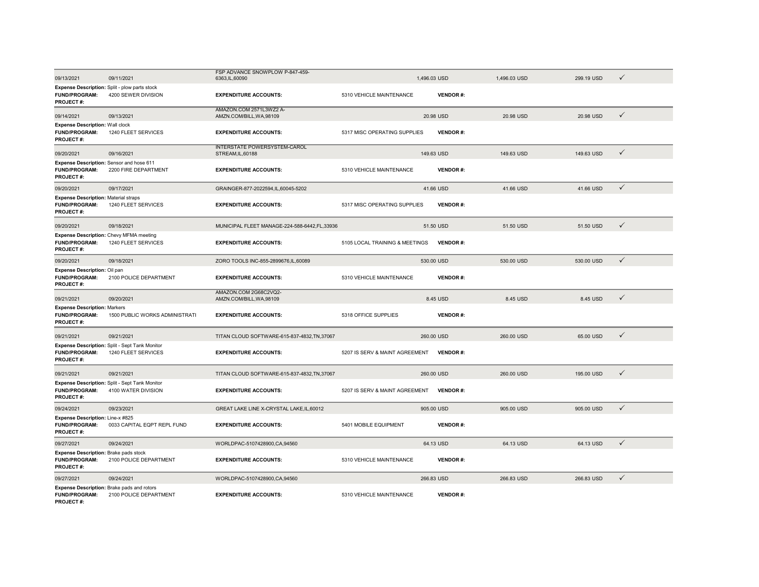| 09/13/2021                                                                                | 09/11/2021                                                            | FSP ADVANCE SNOWPLOW P-847-459-<br>6363, IL, 60090       |                                | 1,496.03 USD    | 1,496.03 USD | 299.19 USD | $\checkmark$ |  |
|-------------------------------------------------------------------------------------------|-----------------------------------------------------------------------|----------------------------------------------------------|--------------------------------|-----------------|--------------|------------|--------------|--|
| Expense Description: Split - plow parts stock<br><b>FUND/PROGRAM:</b><br><b>PROJECT#:</b> | 4200 SEWER DIVISION                                                   | <b>EXPENDITURE ACCOUNTS:</b>                             | 5310 VEHICLE MAINTENANCE       | <b>VENDOR#:</b> |              |            |              |  |
| 09/14/2021                                                                                | 09/13/2021                                                            | AMAZON.COM 2571L3WZ2 A-<br>AMZN.COM/BILL, WA, 98109      |                                | 20.98 USD       | 20.98 USD    | 20.98 USD  | ✓            |  |
| <b>Expense Description: Wall clock</b><br><b>FUND/PROGRAM:</b><br>PROJECT#:               | 1240 FLEET SERVICES                                                   | <b>EXPENDITURE ACCOUNTS:</b>                             | 5317 MISC OPERATING SUPPLIES   | <b>VENDOR#:</b> |              |            |              |  |
| 09/20/2021                                                                                | 09/16/2021                                                            | <b>INTERSTATE POWERSYSTEM-CAROL</b><br>STREAM, IL, 60188 |                                | 149.63 USD      | 149.63 USD   | 149.63 USD | $\checkmark$ |  |
| Expense Description: Sensor and hose 611<br><b>FUND/PROGRAM:</b><br>PROJECT#:             | 2200 FIRE DEPARTMENT                                                  | <b>EXPENDITURE ACCOUNTS:</b>                             | 5310 VEHICLE MAINTENANCE       | <b>VENDOR#:</b> |              |            |              |  |
| 09/20/2021                                                                                | 09/17/2021                                                            | GRAINGER-877-2022594,IL,60045-5202                       |                                | 41.66 USD       | 41.66 USD    | 41.66 USD  | $\checkmark$ |  |
| <b>Expense Description: Material straps</b><br><b>FUND/PROGRAM:</b><br><b>PROJECT#:</b>   | 1240 FLEET SERVICES                                                   | <b>EXPENDITURE ACCOUNTS:</b>                             | 5317 MISC OPERATING SUPPLIES   | <b>VENDOR#:</b> |              |            |              |  |
| 09/20/2021                                                                                | 09/18/2021                                                            | MUNICIPAL FLEET MANAGE-224-588-6442,FL,33936             |                                | 51.50 USD       | 51.50 USD    | 51.50 USD  | $\checkmark$ |  |
| Expense Description: Chevy MFMA meeting<br><b>FUND/PROGRAM:</b><br><b>PROJECT#:</b>       | 1240 FLEET SERVICES                                                   | <b>EXPENDITURE ACCOUNTS:</b>                             | 5105 LOCAL TRAINING & MEETINGS | <b>VENDOR#:</b> |              |            |              |  |
| 09/20/2021                                                                                | 09/18/2021                                                            | ZORO TOOLS INC-855-2899676.IL.60089                      |                                | 530.00 USD      | 530.00 USD   | 530.00 USD | $\checkmark$ |  |
| Expense Description: Oil pan<br><b>FUND/PROGRAM:</b><br>PROJECT#:                         | 2100 POLICE DEPARTMENT                                                | <b>EXPENDITURE ACCOUNTS:</b>                             | 5310 VEHICLE MAINTENANCE       | <b>VENDOR#:</b> |              |            |              |  |
| 09/21/2021                                                                                | 09/20/2021                                                            | AMAZON.COM 2G68C2VQ2-<br>AMZN.COM/BILL, WA, 98109        |                                | 8.45 USD        | 8.45 USD     | 8.45 USD   | $\checkmark$ |  |
| <b>Expense Description: Markers</b><br><b>FUND/PROGRAM:</b><br><b>PROJECT#:</b>           | 1500 PUBLIC WORKS ADMINISTRATI                                        | <b>EXPENDITURE ACCOUNTS:</b>                             | 5318 OFFICE SUPPLIES           | <b>VENDOR#:</b> |              |            |              |  |
| 09/21/2021                                                                                | 09/21/2021                                                            | TITAN CLOUD SOFTWARE-615-837-4832.TN.37067               |                                | 260.00 USD      | 260.00 USD   | 65.00 USD  | $\checkmark$ |  |
| FUND/PROGRAM:<br>PROJECT#:                                                                | Expense Description: Split - Sept Tank Monitor<br>1240 FLEET SERVICES | <b>EXPENDITURE ACCOUNTS:</b>                             | 5207 IS SERV & MAINT AGREEMENT | <b>VENDOR#:</b> |              |            |              |  |
| 09/21/2021                                                                                | 09/21/2021                                                            | TITAN CLOUD SOFTWARE-615-837-4832, TN, 37067             |                                | 260.00 USD      | 260.00 USD   | 195.00 USD | $\checkmark$ |  |
| <b>FUND/PROGRAM:</b><br>PROJECT#:                                                         | Expense Description: Split - Sept Tank Monitor<br>4100 WATER DIVISION | <b>EXPENDITURE ACCOUNTS:</b>                             | 5207 IS SERV & MAINT AGREEMENT | <b>VENDOR#:</b> |              |            |              |  |
| 09/24/2021                                                                                | 09/23/2021                                                            | GREAT LAKE LINE X-CRYSTAL LAKE.IL.60012                  |                                | 905.00 USD      | 905.00 USD   | 905.00 USD | $\checkmark$ |  |
| Expense Description: Line-x #825<br><b>FUND/PROGRAM:</b><br>PROJECT#:                     | 0033 CAPITAL EQPT REPL FUND                                           | <b>EXPENDITURE ACCOUNTS:</b>                             | 5401 MOBILE EQUIPMENT          | <b>VENDOR#:</b> |              |            |              |  |
| 09/27/2021                                                                                | 09/24/2021                                                            | WORLDPAC-5107428900,CA,94560                             |                                | 64.13 USD       | 64.13 USD    | 64.13 USD  | $\checkmark$ |  |
| Expense Description: Brake pads stock<br><b>FUND/PROGRAM:</b><br><b>PROJECT#:</b>         | 2100 POLICE DEPARTMENT                                                | <b>EXPENDITURE ACCOUNTS:</b>                             | 5310 VEHICLE MAINTENANCE       | <b>VENDOR#:</b> |              |            |              |  |
| 09/27/2021                                                                                | 09/24/2021                                                            | WORLDPAC-5107428900,CA,94560                             |                                | 266.83 USD      | 266.83 USD   | 266.83 USD | $\checkmark$ |  |
| Expense Description: Brake pads and rotors<br><b>FUND/PROGRAM:</b><br>PROJECT#:           | 2100 POLICE DEPARTMENT                                                | <b>EXPENDITURE ACCOUNTS:</b>                             | 5310 VEHICLE MAINTENANCE       | <b>VENDOR#:</b> |              |            |              |  |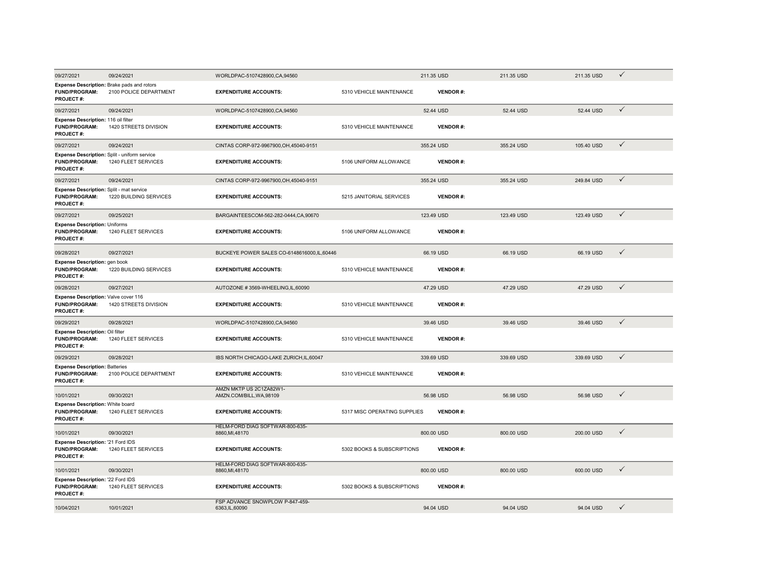| 09/27/2021                                                                                    | 09/24/2021             | WORLDPAC-5107428900,CA,94560                        |                              | 211.35 USD      | 211.35 USD | 211.35 USD | $\checkmark$ |
|-----------------------------------------------------------------------------------------------|------------------------|-----------------------------------------------------|------------------------------|-----------------|------------|------------|--------------|
| <b>Expense Description:</b> Brake pads and rotors<br><b>FUND/PROGRAM:</b><br><b>PROJECT#:</b> | 2100 POLICE DEPARTMENT | <b>EXPENDITURE ACCOUNTS:</b>                        | 5310 VEHICLE MAINTENANCE     | <b>VENDOR#:</b> |            |            |              |
| 09/27/2021                                                                                    | 09/24/2021             | WORLDPAC-5107428900,CA,94560                        |                              | 52.44 USD       | 52.44 USD  | 52.44 USD  | $\checkmark$ |
| Expense Description: 116 oil filter<br><b>FUND/PROGRAM:</b><br><b>PROJECT#:</b>               | 1420 STREETS DIVISION  | <b>EXPENDITURE ACCOUNTS:</b>                        | 5310 VEHICLE MAINTENANCE     | <b>VENDOR#:</b> |            |            |              |
| 09/27/2021                                                                                    | 09/24/2021             | CINTAS CORP-972-9967900, OH, 45040-9151             |                              | 355.24 USD      | 355.24 USD | 105.40 USD | $\checkmark$ |
| Expense Description: Split - uniform service<br><b>FUND/PROGRAM:</b><br>PROJECT#:             | 1240 FLEET SERVICES    | <b>EXPENDITURE ACCOUNTS:</b>                        | 5106 UNIFORM ALLOWANCE       | <b>VENDOR#:</b> |            |            |              |
| 09/27/2021                                                                                    | 09/24/2021             | CINTAS CORP-972-9967900, OH, 45040-9151             |                              | 355.24 USD      | 355.24 USD | 249.84 USD | $\checkmark$ |
| Expense Description: Split - mat service<br><b>FUND/PROGRAM:</b><br><b>PROJECT#:</b>          | 1220 BUILDING SERVICES | <b>EXPENDITURE ACCOUNTS:</b>                        | 5215 JANITORIAL SERVICES     | <b>VENDOR#:</b> |            |            |              |
| 09/27/2021                                                                                    | 09/25/2021             | BARGAINTEESCOM-562-282-0444,CA,90670                |                              | 123.49 USD      | 123.49 USD | 123.49 USD | $\checkmark$ |
| <b>Expense Description: Uniforms</b><br><b>FUND/PROGRAM:</b><br><b>PROJECT#:</b>              | 1240 FLEET SERVICES    | <b>EXPENDITURE ACCOUNTS:</b>                        | 5106 UNIFORM ALLOWANCE       | <b>VENDOR#:</b> |            |            |              |
| 09/28/2021                                                                                    | 09/27/2021             | BUCKEYE POWER SALES CO-6148616000,IL,60446          |                              | 66.19 USD       | 66.19 USD  | 66.19 USD  | $\checkmark$ |
| Expense Description: gen book<br><b>FUND/PROGRAM:</b><br><b>PROJECT#:</b>                     | 1220 BUILDING SERVICES | <b>EXPENDITURE ACCOUNTS:</b>                        | 5310 VEHICLE MAINTENANCE     | <b>VENDOR#:</b> |            |            |              |
| 09/28/2021                                                                                    | 09/27/2021             | AUTOZONE #3569-WHEELING,IL,60090                    |                              | 47.29 USD       | 47.29 USD  | 47.29 USD  | $\checkmark$ |
| Expense Description: Valve cover 116<br><b>FUND/PROGRAM:</b><br><b>PROJECT#:</b>              | 1420 STREETS DIVISION  | <b>EXPENDITURE ACCOUNTS:</b>                        | 5310 VEHICLE MAINTENANCE     | <b>VENDOR#:</b> |            |            |              |
| 09/29/2021                                                                                    | 09/28/2021             | WORLDPAC-5107428900,CA,94560                        |                              | 39.46 USD       | 39.46 USD  | 39.46 USD  | $\checkmark$ |
| Expense Description: Oil filter<br><b>FUND/PROGRAM:</b><br><b>PROJECT#:</b>                   | 1240 FLEET SERVICES    | <b>EXPENDITURE ACCOUNTS:</b>                        | 5310 VEHICLE MAINTENANCE     | <b>VENDOR#:</b> |            |            |              |
| 09/29/2021                                                                                    | 09/28/2021             | IBS NORTH CHICAGO-LAKE ZURICH.IL.60047              |                              | 339.69 USD      | 339.69 USD | 339.69 USD | $\checkmark$ |
| <b>Expense Description: Batteries</b><br><b>FUND/PROGRAM:</b><br><b>PROJECT#:</b>             | 2100 POLICE DEPARTMENT | <b>EXPENDITURE ACCOUNTS:</b>                        | 5310 VEHICLE MAINTENANCE     | <b>VENDOR#:</b> |            |            |              |
| 10/01/2021                                                                                    | 09/30/2021             | AMZN MKTP US 2C1ZA82W1-<br>AMZN.COM/BILL, WA, 98109 |                              | 56.98 USD       | 56.98 USD  | 56,98 USD  | $\checkmark$ |
| <b>Expense Description: White board</b><br><b>FUND/PROGRAM:</b><br><b>PROJECT#:</b>           | 1240 FLEET SERVICES    | <b>EXPENDITURE ACCOUNTS:</b>                        | 5317 MISC OPERATING SUPPLIES | <b>VENDOR#:</b> |            |            |              |
| 10/01/2021                                                                                    | 09/30/2021             | HELM-FORD DIAG SOFTWAR-800-635-<br>8860, MI, 48170  |                              | 800.00 USD      | 800.00 USD | 200.00 USD | $\checkmark$ |
| Expense Description: '21 Ford IDS<br>FUND/PROGRAM:<br><b>PROJECT#:</b>                        | 1240 FLEET SERVICES    | <b>EXPENDITURE ACCOUNTS:</b>                        | 5302 BOOKS & SUBSCRIPTIONS   | <b>VENDOR#:</b> |            |            |              |
| 10/01/2021                                                                                    | 09/30/2021             | HELM-FORD DIAG SOFTWAR-800-635-<br>8860, MI, 48170  |                              | 800.00 USD      | 800.00 USD | 600.00 USD | ✓            |
| Expense Description: '22 Ford IDS<br>FUND/PROGRAM:<br><b>PROJECT#:</b>                        | 1240 FLEET SERVICES    | <b>EXPENDITURE ACCOUNTS:</b>                        | 5302 BOOKS & SUBSCRIPTIONS   | <b>VENDOR#:</b> |            |            |              |
| 10/04/2021                                                                                    | 10/01/2021             | FSP ADVANCE SNOWPLOW P-847-459-<br>6363, IL, 60090  |                              | 94.04 USD       | 94.04 USD  | 94.04 USD  | ✓            |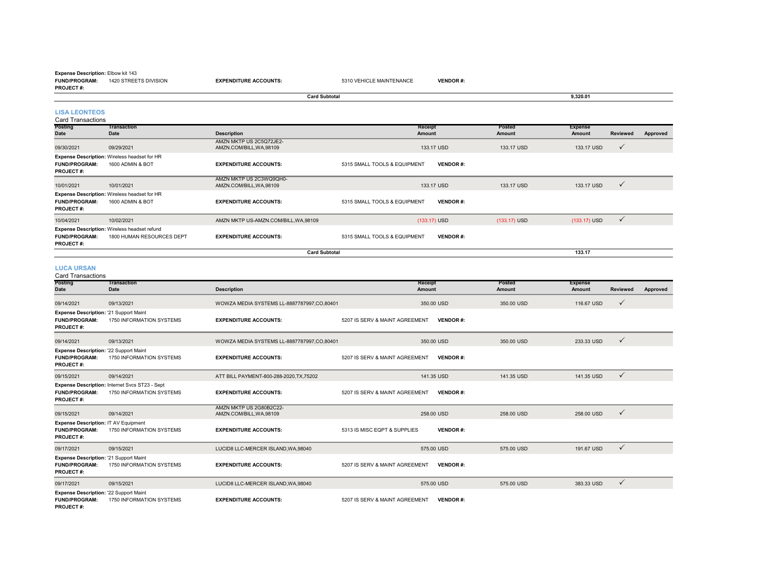#### **Expense Description:** Elbow kit 143

**FUND/PROGRAM:** 1420 STREETS DIVISION**PROJECT #:**

**TransactionDescription Receipt AmountPosted Amount**09/30/2021 09/29/2021 AMZN MKTP US 2C5Q72JE2-<br>AMZN.COM/BILL,WA,98109 133.17 USD 133.17 USD 133.17 USD 133.17 USD 133.17 USD 1 **Card Subtotal 9,320.01 LISA LEONTEOS**Card Transactions

**EXPENDITURE ACCOUNTS:** 5310 VEHICLE MAINTENANCE **VENDOR** #:

| <b>FUND/PROGRAM:</b><br><b>PROJECT#:</b> | <b>Expense Description: Wireless headset for HR</b><br>1600 ADMIN & BOT          | <b>EXPENDITURE ACCOUNTS:</b>                      | 5315 SMALL TOOLS & EQUIPMENT<br><b>VENDOR#:</b> |                |                            |
|------------------------------------------|----------------------------------------------------------------------------------|---------------------------------------------------|-------------------------------------------------|----------------|----------------------------|
| 10/01/2021                               | 10/01/2021                                                                       | AMZN MKTP US 2C3WQ9QH0-<br>AMZN.COM/BILL.WA.98109 | 133.17 USD                                      | 133.17 USD     | 133.17 USD<br>$\checkmark$ |
| <b>FUND/PROGRAM:</b><br><b>PROJECT#:</b> | <b>Expense Description: Wireless headset for HR</b><br>1600 ADMIN & BOT          | <b>EXPENDITURE ACCOUNTS:</b>                      | 5315 SMALL TOOLS & EQUIPMENT<br><b>VENDOR#:</b> |                |                            |
| 10/04/2021                               | 10/02/2021                                                                       | AMZN MKTP US-AMZN.COM/BILL.WA.98109               | $(133.17)$ USD                                  | $(133.17)$ USD | $(133.17)$ USD             |
| <b>FUND/PROGRAM:</b><br><b>PROJECT#:</b> | <b>Expense Description: Wireless headset refund</b><br>1800 HUMAN RESOURCES DEPT | <b>EXPENDITURE ACCOUNTS:</b>                      | <b>VENDOR#:</b><br>5315 SMALL TOOLS & EQUIPMENT |                |                            |
|                                          |                                                                                  | <b>Card Subtotal</b>                              |                                                 |                | 133.17                     |

**Expense**

**Amount Reviewed Approved**

**Card Subtotal**

#### **LUCA URSAN**

**Posting Date**

| <b>Card Transactions</b>                                                           |                                                                            |                                                     |                                |                          |                  |                          |                 |          |
|------------------------------------------------------------------------------------|----------------------------------------------------------------------------|-----------------------------------------------------|--------------------------------|--------------------------|------------------|--------------------------|-----------------|----------|
| Posting<br>Date                                                                    | <b>Transaction</b><br>Date                                                 | <b>Description</b>                                  |                                | <b>Receipt</b><br>Amount | Posted<br>Amount | <b>Expense</b><br>Amount | <b>Reviewed</b> | Approved |
| 09/14/2021                                                                         | 09/13/2021                                                                 | WOWZA MEDIA SYSTEMS LL-8887787997.CO.80401          |                                | 350,00 USD               | 350,00 USD       | 116.67 USD               | $\checkmark$    |          |
| Expense Description: '21 Support Maint<br>FUND/PROGRAM:<br><b>PROJECT#:</b>        | 1750 INFORMATION SYSTEMS                                                   | <b>EXPENDITURE ACCOUNTS:</b>                        | 5207 IS SERV & MAINT AGREEMENT | <b>VENDOR#:</b>          |                  |                          |                 |          |
| 09/14/2021                                                                         | 09/13/2021                                                                 | WOWZA MEDIA SYSTEMS LL-8887787997,CO,80401          |                                | 350.00 USD               | 350.00 USD       | 233.33 USD               | $\checkmark$    |          |
| Expense Description: '22 Support Maint<br><b>FUND/PROGRAM:</b><br><b>PROJECT#:</b> | 1750 INFORMATION SYSTEMS                                                   | <b>EXPENDITURE ACCOUNTS:</b>                        | 5207 IS SERV & MAINT AGREEMENT | <b>VENDOR#:</b>          |                  |                          |                 |          |
| 09/15/2021                                                                         | 09/14/2021                                                                 | ATT BILL PAYMENT-800-288-2020, TX, 75202            |                                | 141.35 USD               | 141.35 USD       | 141.35 USD               | $\checkmark$    |          |
| <b>FUND/PROGRAM:</b><br><b>PROJECT#:</b>                                           | Expense Description: Internet Svcs ST23 - Sept<br>1750 INFORMATION SYSTEMS | <b>EXPENDITURE ACCOUNTS:</b>                        | 5207 IS SERV & MAINT AGREEMENT | <b>VENDOR#:</b>          |                  |                          |                 |          |
| 09/15/2021                                                                         | 09/14/2021                                                                 | AMZN MKTP US 2G80B2C22-<br>AMZN.COM/BILL, WA, 98109 |                                | 258,00 USD               | 258,00 USD       | 258,00 USD               | $\checkmark$    |          |
| Expense Description: IT AV Equipment<br><b>FUND/PROGRAM:</b><br><b>PROJECT#:</b>   | 1750 INFORMATION SYSTEMS                                                   | <b>EXPENDITURE ACCOUNTS:</b>                        | 5313 IS MISC EQPT & SUPPLIES   | <b>VENDOR#:</b>          |                  |                          |                 |          |
| 09/17/2021                                                                         | 09/15/2021                                                                 | LUCID8 LLC-MERCER ISLAND.WA.98040                   |                                | 575,00 USD               | 575,00 USD       | 191.67 USD               | $\checkmark$    |          |
| Expense Description: '21 Support Maint<br><b>FUND/PROGRAM:</b><br><b>PROJECT#:</b> | 1750 INFORMATION SYSTEMS                                                   | <b>EXPENDITURE ACCOUNTS:</b>                        | 5207 IS SERV & MAINT AGREEMENT | <b>VENDOR#:</b>          |                  |                          |                 |          |
| 09/17/2021                                                                         | 09/15/2021                                                                 | LUCID8 LLC-MERCER ISLAND.WA.98040                   |                                | 575.00 USD               | 575,00 USD       | 383.33 USD               | $\checkmark$    |          |
| Expense Description: '22 Support Maint<br><b>FUND/PROGRAM:</b><br><b>PROJECT#:</b> | 1750 INFORMATION SYSTEMS                                                   | <b>EXPENDITURE ACCOUNTS:</b>                        | 5207 IS SERV & MAINT AGREEMENT | <b>VENDOR#:</b>          |                  |                          |                 |          |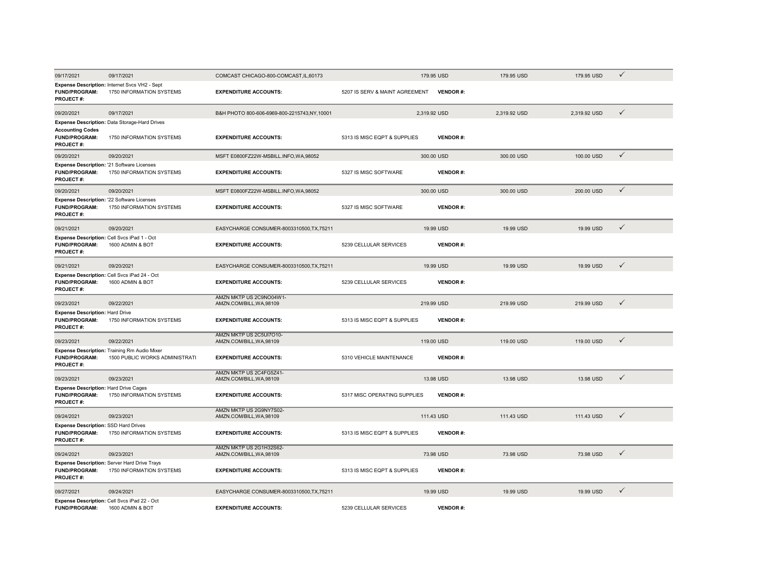| 09/17/2021                                                                             | 09/17/2021                                                                     | COMCAST CHICAGO-800-COMCAST, IL, 60173              |                                | 179.95 USD      | 179.95 USD   | 179.95 USD   | $\checkmark$ |
|----------------------------------------------------------------------------------------|--------------------------------------------------------------------------------|-----------------------------------------------------|--------------------------------|-----------------|--------------|--------------|--------------|
| <b>FUND/PROGRAM:</b><br>PROJECT#:                                                      | Expense Description: Internet Svcs VH2 - Sept<br>1750 INFORMATION SYSTEMS      | <b>EXPENDITURE ACCOUNTS:</b>                        | 5207 IS SERV & MAINT AGREEMENT | <b>VENDOR#:</b> |              |              |              |
| 09/20/2021                                                                             | 09/17/2021                                                                     | B&H PHOTO 800-606-6969-800-2215743,NY,10001         |                                | 2,319.92 USD    | 2,319.92 USD | 2,319.92 USD | $\checkmark$ |
| <b>Accounting Codes</b><br><b>FUND/PROGRAM:</b><br><b>PROJECT#:</b>                    | Expense Description: Data Storage-Hard Drives<br>1750 INFORMATION SYSTEMS      | <b>EXPENDITURE ACCOUNTS:</b>                        | 5313 IS MISC EQPT & SUPPLIES   | <b>VENDOR#:</b> |              |              |              |
| 09/20/2021                                                                             | 09/20/2021                                                                     | MSFT E0800FZ22W-MSBILL.INFO,WA,98052                |                                | 300.00 USD      | 300.00 USD   | 100.00 USD   | $\checkmark$ |
| Expense Description: '21 Software Licenses<br><b>FUND/PROGRAM:</b><br><b>PROJECT#:</b> | 1750 INFORMATION SYSTEMS                                                       | <b>EXPENDITURE ACCOUNTS:</b>                        | 5327 IS MISC SOFTWARE          | <b>VENDOR#:</b> |              |              |              |
| 09/20/2021                                                                             | 09/20/2021                                                                     | MSFT E0800FZ22W-MSBILL.INFO,WA,98052                |                                | 300.00 USD      | 300.00 USD   | 200.00 USD   | $\checkmark$ |
| Expense Description: '22 Software Licenses<br><b>FUND/PROGRAM:</b><br><b>PROJECT#:</b> | 1750 INFORMATION SYSTEMS                                                       | <b>EXPENDITURE ACCOUNTS:</b>                        | 5327 IS MISC SOFTWARE          | <b>VENDOR#:</b> |              |              |              |
| 09/21/2021                                                                             | 09/20/2021                                                                     | EASYCHARGE CONSUMER-8003310500.TX.75211             |                                | 19.99 USD       | 19.99 USD    | 19.99 USD    | $\checkmark$ |
| Expense Description: Cell Svcs iPad 1 - Oct<br><b>FUND/PROGRAM:</b><br>PROJECT#:       | 1600 ADMIN & BOT                                                               | <b>EXPENDITURE ACCOUNTS:</b>                        | 5239 CELLULAR SERVICES         | <b>VENDOR#:</b> |              |              |              |
| 09/21/2021                                                                             | 09/20/2021                                                                     | EASYCHARGE CONSUMER-8003310500, TX, 75211           |                                | 19.99 USD       | 19.99 USD    | 19.99 USD    | $\checkmark$ |
| <b>FUND/PROGRAM:</b><br>PROJECT#:                                                      | Expense Description: Cell Svcs iPad 24 - Oct<br>1600 ADMIN & BOT               | <b>EXPENDITURE ACCOUNTS:</b>                        | 5239 CELLULAR SERVICES         | <b>VENDOR#:</b> |              |              |              |
| 09/23/2021                                                                             | 09/22/2021                                                                     | AMZN MKTP US 2C9NO04W1-<br>AMZN.COM/BILL, WA, 98109 |                                | 219.99 USD      | 219.99 USD   | 219.99 USD   | $\checkmark$ |
| <b>Expense Description: Hard Drive</b><br><b>FUND/PROGRAM:</b><br>PROJECT#:            | 1750 INFORMATION SYSTEMS                                                       | <b>EXPENDITURE ACCOUNTS:</b>                        | 5313 IS MISC EQPT & SUPPLIES   | <b>VENDOR#:</b> |              |              |              |
| 09/23/2021                                                                             | 09/22/2021                                                                     | AMZN MKTP US 2C5UI7O10-<br>AMZN.COM/BILL, WA, 98109 |                                | 119.00 USD      | 119.00 USD   | 119.00 USD   | $\checkmark$ |
| FUND/PROGRAM:<br>PROJECT#:                                                             | Expense Description: Training Rm Audio Mixer<br>1500 PUBLIC WORKS ADMINISTRATI | <b>EXPENDITURE ACCOUNTS:</b>                        | 5310 VEHICLE MAINTENANCE       | <b>VENDOR#:</b> |              |              |              |
| 09/23/2021                                                                             | 09/23/2021                                                                     | AMZN MKTP US 2C4FG5Z41-<br>AMZN.COM/BILL, WA, 98109 |                                | 13.98 USD       | 13.98 USD    | 13.98 USD    | $\checkmark$ |
| Expense Description: Hard Drive Cages<br><b>FUND/PROGRAM:</b><br>PROJECT#:             | 1750 INFORMATION SYSTEMS                                                       | <b>EXPENDITURE ACCOUNTS:</b>                        | 5317 MISC OPERATING SUPPLIES   | <b>VENDOR#:</b> |              |              |              |
| 09/24/2021                                                                             | 09/23/2021                                                                     | AMZN MKTP US 2G9NY7S02-<br>AMZN.COM/BILL, WA, 98109 |                                | 111.43 USD      | 111.43 USD   | 111.43 USD   | $\checkmark$ |
| Expense Description: SSD Hard Drives<br><b>FUND/PROGRAM:</b><br>PROJECT#:              | 1750 INFORMATION SYSTEMS                                                       | <b>EXPENDITURE ACCOUNTS:</b>                        | 5313 IS MISC EQPT & SUPPLIES   | <b>VENDOR#:</b> |              |              |              |
| 09/24/2021                                                                             | 09/23/2021                                                                     | AMZN MKTP US 2G1H32S62-<br>AMZN.COM/BILL, WA, 98109 |                                | 73.98 USD       | 73.98 USD    | 73.98 USD    | $\checkmark$ |
| <b>FUND/PROGRAM:</b><br><b>PROJECT#:</b>                                               | Expense Description: Server Hard Drive Trays<br>1750 INFORMATION SYSTEMS       | <b>EXPENDITURE ACCOUNTS:</b>                        | 5313 IS MISC EQPT & SUPPLIES   | <b>VENDOR#:</b> |              |              |              |
| 09/27/2021                                                                             | 09/24/2021                                                                     | EASYCHARGE CONSUMER-8003310500.TX.75211             |                                | 19.99 USD       | 19.99 USD    | 19.99 USD    | $\checkmark$ |
| <b>FUND/PROGRAM:</b>                                                                   | Expense Description: Cell Svcs iPad 22 - Oct<br>1600 ADMIN & BOT               | <b>EXPENDITURE ACCOUNTS:</b>                        | 5239 CELLULAR SERVICES         | <b>VENDOR#:</b> |              |              |              |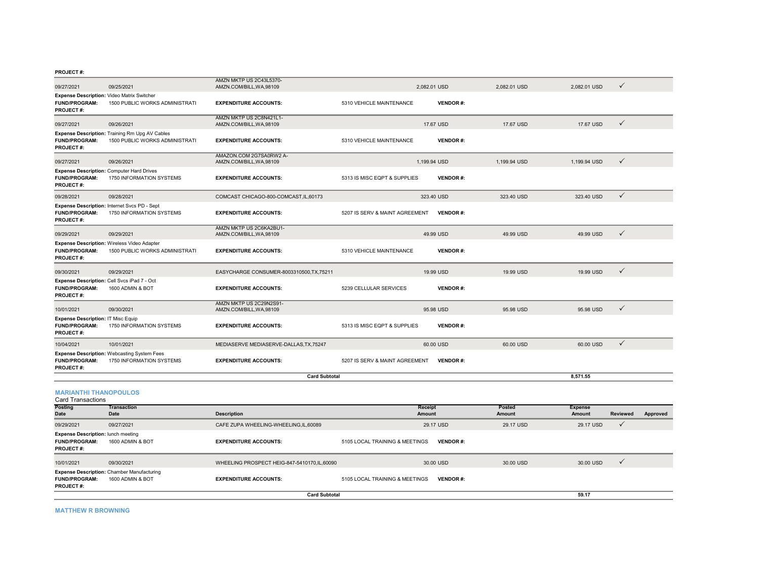|                                                                                         |                                                                                  | <b>Card Subtotal</b>                                |                                |                 |              | 8.571.55     |              |
|-----------------------------------------------------------------------------------------|----------------------------------------------------------------------------------|-----------------------------------------------------|--------------------------------|-----------------|--------------|--------------|--------------|
| <b>FUND/PROGRAM:</b><br><b>PROJECT#:</b>                                                | <b>Expense Description: Webcasting System Fees</b><br>1750 INFORMATION SYSTEMS   | <b>EXPENDITURE ACCOUNTS:</b>                        | 5207 IS SERV & MAINT AGREEMENT | <b>VENDOR#:</b> |              |              |              |
| 10/04/2021                                                                              | 10/01/2021                                                                       | MEDIASERVE MEDIASERVE-DALLAS, TX, 75247             |                                | 60.00 USD       | 60.00 USD    | 60.00 USD    | $\checkmark$ |
| Expense Description: IT Misc Equip<br>FUND/PROGRAM:<br><b>PROJECT#:</b>                 | 1750 INFORMATION SYSTEMS                                                         | <b>EXPENDITURE ACCOUNTS:</b>                        | 5313 IS MISC EQPT & SUPPLIES   | <b>VENDOR#:</b> |              |              |              |
| 10/01/2021                                                                              | 09/30/2021                                                                       | AMZN MKTP US 2C29N2S91-<br>AMZN.COM/BILL, WA, 98109 |                                | 95.98 USD       | 95.98 USD    | 95.98 USD    | $\checkmark$ |
| Expense Description: Cell Svcs iPad 7 - Oct<br><b>FUND/PROGRAM:</b><br><b>PROJECT#:</b> | 1600 ADMIN & BOT                                                                 | <b>EXPENDITURE ACCOUNTS:</b>                        | 5239 CELLULAR SERVICES         | <b>VENDOR#:</b> |              |              |              |
| 09/30/2021                                                                              | 09/29/2021                                                                       | EASYCHARGE CONSUMER-8003310500.TX.75211             |                                | 19.99 USD       | 19.99 USD    | 19.99 USD    | $\checkmark$ |
| <b>FUND/PROGRAM:</b><br>PROJECT#:                                                       | Expense Description: Wireless Video Adapter<br>1500 PUBLIC WORKS ADMINISTRATI    | <b>EXPENDITURE ACCOUNTS:</b>                        | 5310 VEHICLE MAINTENANCE       | <b>VENDOR#:</b> |              |              |              |
| 09/29/2021                                                                              | 09/29/2021                                                                       | AMZN MKTP US 2C6KA2BU1-<br>AMZN.COM/BILL, WA, 98109 |                                | 49.99 USD       | 49.99 USD    | 49.99 USD    | $\checkmark$ |
| <b>FUND/PROGRAM:</b><br><b>PROJECT#:</b>                                                | Expense Description: Internet Svcs PD - Sept<br>1750 INFORMATION SYSTEMS         | <b>EXPENDITURE ACCOUNTS:</b>                        | 5207 IS SERV & MAINT AGREEMENT | <b>VENDOR#:</b> |              |              |              |
| 09/28/2021                                                                              | 09/28/2021                                                                       | COMCAST CHICAGO-800-COMCAST, IL, 60173              |                                | 323.40 USD      | 323.40 USD   | 323.40 USD   | $\checkmark$ |
| <b>FUND/PROGRAM:</b><br><b>PROJECT#:</b>                                                | <b>Expense Description: Computer Hard Drives</b><br>1750 INFORMATION SYSTEMS     | <b>EXPENDITURE ACCOUNTS:</b>                        | 5313 IS MISC EQPT & SUPPLIES   | <b>VENDOR#:</b> |              |              |              |
| 09/27/2021                                                                              | 09/26/2021                                                                       | AMAZON.COM 2G7SA0RW2 A-<br>AMZN.COM/BILL, WA, 98109 |                                | 1.199.94 USD    | 1.199.94 USD | 1.199.94 USD | $\checkmark$ |
| <b>FUND/PROGRAM:</b><br><b>PROJECT#:</b>                                                | Expense Description: Training Rm Upg AV Cables<br>1500 PUBLIC WORKS ADMINISTRATI | <b>EXPENDITURE ACCOUNTS:</b>                        | 5310 VEHICLE MAINTENANCE       | <b>VENDOR#:</b> |              |              |              |
| 09/27/2021                                                                              | 09/26/2021                                                                       | AMZN MKTP US 2C8N421L1-<br>AMZN.COM/BILL, WA, 98109 |                                | 17.67 USD       | 17.67 USD    | 17.67 USD    | $\checkmark$ |
| Expense Description: Video Matrix Switcher<br><b>FUND/PROGRAM:</b><br>PROJECT#:         | 1500 PUBLIC WORKS ADMINISTRATI                                                   | <b>EXPENDITURE ACCOUNTS:</b>                        | 5310 VEHICLE MAINTENANCE       | <b>VENDOR#:</b> |              |              |              |
| 09/27/2021                                                                              | 09/25/2021                                                                       | AMZN.COM/BILL, WA, 98109                            |                                | 2,082.01 USD    | 2.082.01 USD | 2,082.01 USD | ✓            |
|                                                                                         |                                                                                  | AMZN MKTP US 2C43L5370-                             |                                |                 |              |              |              |

## **MARIANTHI THANOPOULOS** Card Transactions

| Card Transactions                                                                     |                                                                       |                                               |                                |                 |           |                |          |          |
|---------------------------------------------------------------------------------------|-----------------------------------------------------------------------|-----------------------------------------------|--------------------------------|-----------------|-----------|----------------|----------|----------|
| <b>Posting</b>                                                                        | Transaction                                                           |                                               | <b>Receipt</b>                 |                 | Posted    | <b>Expense</b> |          |          |
| Date                                                                                  | Date                                                                  | <b>Description</b>                            | Amount                         |                 | Amount    | Amount         | Reviewed | Approved |
| 09/29/2021                                                                            | 09/27/2021                                                            | CAFE ZUPA WHEELING-WHEELING.IL.60089          |                                | 29.17 USD       | 29.17 USD | 29.17 USD      |          |          |
| <b>Expense Description: lunch meeting</b><br><b>FUND/PROGRAM:</b><br><b>PROJECT#:</b> | 1600 ADMIN & BOT                                                      | <b>EXPENDITURE ACCOUNTS:</b>                  | 5105 LOCAL TRAINING & MEETINGS | <b>VENDOR#:</b> |           |                |          |          |
| 10/01/2021                                                                            | 09/30/2021                                                            | WHEELING PROSPECT HEIG-847-5410170, IL, 60090 |                                | 30.00 USD       | 30.00 USD | 30.00 USD      |          |          |
| <b>FUND/PROGRAM:</b><br><b>PROJECT#:</b>                                              | <b>Expense Description: Chamber Manufacturing</b><br>1600 ADMIN & BOT | <b>EXPENDITURE ACCOUNTS:</b>                  | 5105 LOCAL TRAINING & MEETINGS | <b>VENDOR#:</b> |           |                |          |          |
|                                                                                       |                                                                       | <b>Card Subtotal</b>                          |                                |                 |           | 59.17          |          |          |

**MATTHEW R BROWNING**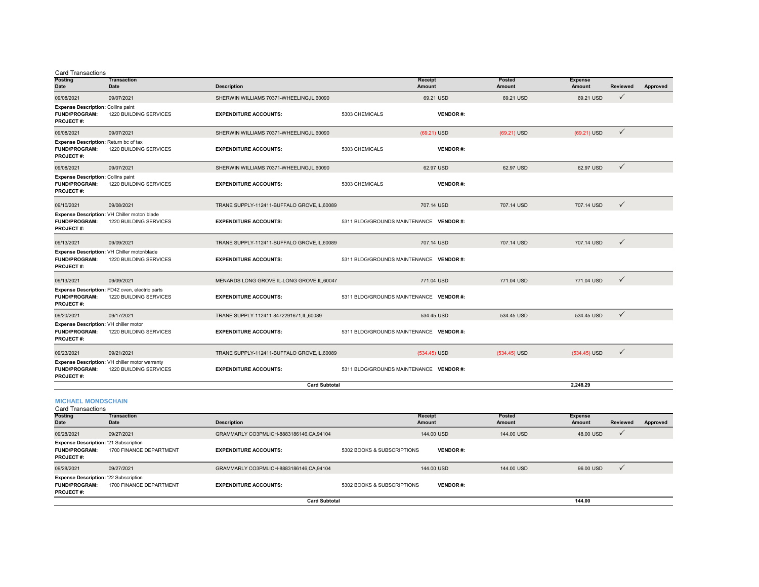#### Card Transactions

| Posting<br><b>Date</b>                                                                | <b>Transaction</b><br>Date                                               | <b>Description</b>                           |                | Receipt<br><b>Amount</b>                | Posted<br>Amount | <b>Expense</b><br><b>Amount</b> | Reviewed     | Approved |
|---------------------------------------------------------------------------------------|--------------------------------------------------------------------------|----------------------------------------------|----------------|-----------------------------------------|------------------|---------------------------------|--------------|----------|
| 09/08/2021                                                                            | 09/07/2021                                                               | SHERWIN WILLIAMS 70371-WHEELING, IL, 60090   |                | 69.21 USD                               | 69.21 USD        | 69.21 USD                       | $\checkmark$ |          |
| <b>Expense Description: Collins paint</b><br><b>FUND/PROGRAM:</b><br><b>PROJECT#:</b> | 1220 BUILDING SERVICES                                                   | <b>EXPENDITURE ACCOUNTS:</b>                 | 5303 CHEMICALS | <b>VENDOR#:</b>                         |                  |                                 |              |          |
| 09/08/2021                                                                            | 09/07/2021                                                               | SHERWIN WILLIAMS 70371-WHEELING, IL, 60090   |                | $(69.21)$ USD                           | (69.21) USD      | (69.21) USD                     | $\checkmark$ |          |
| Expense Description: Return bc of tax<br><b>FUND/PROGRAM:</b><br><b>PROJECT#:</b>     | 1220 BUILDING SERVICES                                                   | <b>EXPENDITURE ACCOUNTS:</b>                 | 5303 CHEMICALS | <b>VENDOR#:</b>                         |                  |                                 |              |          |
| 09/08/2021                                                                            | 09/07/2021                                                               | SHERWIN WILLIAMS 70371-WHEELING, IL, 60090   |                | 62.97 USD                               | 62.97 USD        | 62.97 USD                       | $\checkmark$ |          |
| <b>Expense Description: Collins paint</b><br><b>FUND/PROGRAM:</b><br><b>PROJECT#:</b> | 1220 BUILDING SERVICES                                                   | <b>EXPENDITURE ACCOUNTS:</b>                 | 5303 CHEMICALS | <b>VENDOR#:</b>                         |                  |                                 |              |          |
| 09/10/2021                                                                            | 09/08/2021                                                               | TRANE SUPPLY-112411-BUFFALO GROVE, IL, 60089 |                | 707.14 USD                              | 707.14 USD       | 707.14 USD                      | $\checkmark$ |          |
| <b>FUND/PROGRAM:</b><br><b>PROJECT#:</b>                                              | Expense Description: VH Chiller motor/ blade<br>1220 BUILDING SERVICES   | <b>EXPENDITURE ACCOUNTS:</b>                 |                | 5311 BLDG/GROUNDS MAINTENANCE VENDOR #: |                  |                                 |              |          |
| 09/13/2021                                                                            | 09/09/2021                                                               | TRANE SUPPLY-112411-BUFFALO GROVE.IL.60089   |                | 707.14 USD                              | 707.14 USD       | 707.14 USD                      | $\checkmark$ |          |
| <b>FUND/PROGRAM:</b><br><b>PROJECT#:</b>                                              | Expense Description: VH Chiller motor/blade<br>1220 BUILDING SERVICES    | <b>EXPENDITURE ACCOUNTS:</b>                 |                | 5311 BLDG/GROUNDS MAINTENANCE VENDOR #: |                  |                                 |              |          |
| 09/13/2021                                                                            | 09/09/2021                                                               | MENARDS LONG GROVE IL-LONG GROVE, IL, 60047  |                | 771.04 USD                              | 771.04 USD       | 771.04 USD                      | $\checkmark$ |          |
| <b>FUND/PROGRAM:</b><br><b>PROJECT#:</b>                                              | Expense Description: FD42 oven, electric parts<br>1220 BUILDING SERVICES | <b>EXPENDITURE ACCOUNTS:</b>                 |                | 5311 BLDG/GROUNDS MAINTENANCE VENDOR #: |                  |                                 |              |          |
| 09/20/2021                                                                            | 09/17/2021                                                               | TRANE SUPPLY-112411-8472291671,IL,60089      |                | 534.45 USD                              | 534.45 USD       | 534.45 USD                      | $\checkmark$ |          |
| Expense Description: VH chiller motor<br><b>FUND/PROGRAM:</b><br><b>PROJECT#:</b>     | 1220 BUILDING SERVICES                                                   | <b>EXPENDITURE ACCOUNTS:</b>                 |                | 5311 BLDG/GROUNDS MAINTENANCE VENDOR #: |                  |                                 |              |          |
| 09/23/2021                                                                            | 09/21/2021                                                               | TRANE SUPPLY-112411-BUFFALO GROVE, IL, 60089 |                | $(534.45)$ USD                          | $(534.45)$ USD   | $(534.45)$ USD                  | $\checkmark$ |          |
| <b>FUND/PROGRAM:</b><br><b>PROJECT#:</b>                                              | Expense Description: VH chiller motor warranty<br>1220 BUILDING SERVICES | <b>EXPENDITURE ACCOUNTS:</b>                 |                | 5311 BLDG/GROUNDS MAINTENANCE VENDOR #: |                  |                                 |              |          |
|                                                                                       |                                                                          | <b>Card Subtotal</b>                         |                |                                         |                  | 2,248.29                        |              |          |
| <b>MICHAEL MONDSCHAIN</b>                                                             |                                                                          |                                              |                |                                         |                  |                                 |              |          |

#### **Posting Date Transaction Date Description Receipt Amount Posted Amount Expense Amount Reviewed Approved** 09/28/2021 09/27/2021 GRAMMARLY CO3PMLICH-8883186146,CA,94104 144.00 USD 144.00 USD 48.00 USD **FUND/PROGRAM:** 1700 FINANCE DEPARTMENT **EXPENDITURE ACCOUNTS:** 5302 BOOKS & SUBSCRIPTIONS **VENDOR #: PROJECT #:** 09/28/2021 09/27/2021 09/27/2021 GRAMMARLY CO3PMLICH-8883186146,CA,94104 144.00 USD 144.00 USD 144.00 USD 96.00 USD → **FUND/PROGRAM:** 1700 FINANCE DEPARTMENT **EXPENDITURE ACCOUNTS:** 5302 BOOKS & SUBSCRIPTIONS **VENDOR #: PROJECT #:** Card Transactions **Expense Description:** '21 Subscription **Expense Description:** '22 Subscription **Card Subtotal144.00**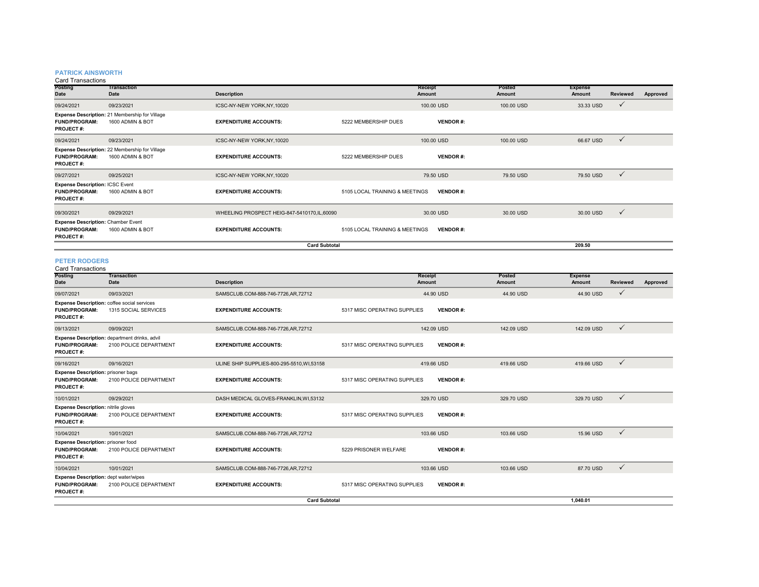#### **PATRICK AINSWORTH**

Card Transactions

| <b>Posting</b><br>Date                                                                | <b>Transaction</b><br>Date                                         | <b>Description</b>                          |                                | <b>Receipt</b><br><b>Amount</b> | Posted<br>Amount | <b>Expense</b><br>Amount | <b>Reviewed</b> | Approved |
|---------------------------------------------------------------------------------------|--------------------------------------------------------------------|---------------------------------------------|--------------------------------|---------------------------------|------------------|--------------------------|-----------------|----------|
| 09/24/2021                                                                            | 09/23/2021                                                         | ICSC-NY-NEW YORK,NY,10020                   |                                | 100.00 USD                      | 100.00 USD       | 33.33 USD                | $\checkmark$    |          |
| <b>FUND/PROGRAM:</b><br><b>PROJECT#:</b>                                              | Expense Description: 21 Membership for Village<br>1600 ADMIN & BOT | <b>EXPENDITURE ACCOUNTS:</b>                | 5222 MEMBERSHIP DUES           | <b>VENDOR#:</b>                 |                  |                          |                 |          |
| 09/24/2021                                                                            | 09/23/2021                                                         | ICSC-NY-NEW YORK,NY,10020                   |                                | 100.00 USD                      | 100.00 USD       | 66.67 USD                | $\checkmark$    |          |
| <b>FUND/PROGRAM:</b><br><b>PROJECT#:</b>                                              | Expense Description: 22 Membership for Village<br>1600 ADMIN & BOT | <b>EXPENDITURE ACCOUNTS:</b>                | 5222 MEMBERSHIP DUES           | <b>VENDOR#:</b>                 |                  |                          |                 |          |
| 09/27/2021                                                                            | 09/25/2021                                                         | ICSC-NY-NEW YORK, NY, 10020                 |                                | 79.50 USD                       | 79.50 USD        | 79.50 USD                | $\checkmark$    |          |
| <b>Expense Description: ICSC Event</b><br><b>FUND/PROGRAM:</b><br><b>PROJECT#:</b>    | 1600 ADMIN & BOT                                                   | <b>EXPENDITURE ACCOUNTS:</b>                | 5105 LOCAL TRAINING & MEETINGS | <b>VENDOR#:</b>                 |                  |                          |                 |          |
| 09/30/2021                                                                            | 09/29/2021                                                         | WHEELING PROSPECT HEIG-847-5410170.IL.60090 |                                | 30.00 USD                       | 30.00 USD        | 30.00 USD                | $\checkmark$    |          |
| <b>Expense Description: Chamber Event</b><br><b>FUND/PROGRAM:</b><br><b>PROJECT#:</b> | 1600 ADMIN & BOT                                                   | <b>EXPENDITURE ACCOUNTS:</b>                | 5105 LOCAL TRAINING & MEETINGS | <b>VENDOR#:</b>                 |                  |                          |                 |          |
|                                                                                       |                                                                    | <b>Card Subtotal</b>                        |                                |                                 |                  | 209.50                   |                 |          |
| <b>PETER RODGERS</b>                                                                  |                                                                    |                                             |                                |                                 |                  |                          |                 |          |

| <b>Card Transactions</b>                                                                 |                                                                         |                                             |                              |                 |                  |                          |                 |          |
|------------------------------------------------------------------------------------------|-------------------------------------------------------------------------|---------------------------------------------|------------------------------|-----------------|------------------|--------------------------|-----------------|----------|
| Posting<br>Date                                                                          | <b>Transaction</b><br>Date                                              | <b>Description</b>                          | Receipt<br>Amount            |                 | Posted<br>Amount | <b>Expense</b><br>Amount | <b>Reviewed</b> | Approved |
| 09/07/2021                                                                               | 09/03/2021                                                              | SAMSCLUB.COM-888-746-7726,AR,72712          |                              | 44.90 USD       | 44.90 USD        | 44.90 USD                | $\checkmark$    |          |
| <b>FUND/PROGRAM:</b><br><b>PROJECT#:</b>                                                 | Expense Description: coffee social services<br>1315 SOCIAL SERVICES     | <b>EXPENDITURE ACCOUNTS:</b>                | 5317 MISC OPERATING SUPPLIES | <b>VENDOR#:</b> |                  |                          |                 |          |
| 09/13/2021                                                                               | 09/09/2021                                                              | SAMSCLUB.COM-888-746-7726,AR,72712          | 142.09 USD                   |                 | 142.09 USD       | 142.09 USD               | $\checkmark$    |          |
| <b>FUND/PROGRAM:</b><br><b>PROJECT#:</b>                                                 | Expense Description: department drinks, advil<br>2100 POLICE DEPARTMENT | <b>EXPENDITURE ACCOUNTS:</b>                | 5317 MISC OPERATING SUPPLIES | <b>VENDOR#:</b> |                  |                          |                 |          |
| 09/16/2021                                                                               | 09/16/2021                                                              | ULINE SHIP SUPPLIES-800-295-5510, WI, 53158 | 419.66 USD                   |                 | 419.66 USD       | 419,66 USD               | $\checkmark$    |          |
| <b>Expense Description: prisoner bags</b><br><b>FUND/PROGRAM:</b><br><b>PROJECT#:</b>    | 2100 POLICE DEPARTMENT                                                  | <b>EXPENDITURE ACCOUNTS:</b>                | 5317 MISC OPERATING SUPPLIES | <b>VENDOR#:</b> |                  |                          |                 |          |
| 10/01/2021                                                                               | 09/29/2021                                                              | DASH MEDICAL GLOVES-FRANKLIN, WI,53132      | 329.70 USD                   |                 | 329.70 USD       | 329.70 USD               | $\checkmark$    |          |
| <b>Expense Description: nitrile gloves</b><br><b>FUND/PROGRAM:</b><br><b>PROJECT#:</b>   | 2100 POLICE DEPARTMENT                                                  | <b>EXPENDITURE ACCOUNTS:</b>                | 5317 MISC OPERATING SUPPLIES | <b>VENDOR#:</b> |                  |                          |                 |          |
| 10/04/2021                                                                               | 10/01/2021                                                              | SAMSCLUB.COM-888-746-7726,AR,72712          | 103.66 USD                   |                 | 103.66 USD       | 15.96 USD                | $\checkmark$    |          |
| <b>Expense Description: prisoner food</b><br><b>FUND/PROGRAM:</b><br><b>PROJECT#:</b>    | 2100 POLICE DEPARTMENT                                                  | <b>EXPENDITURE ACCOUNTS:</b>                | 5229 PRISONER WELFARE        | <b>VENDOR#:</b> |                  |                          |                 |          |
| 10/04/2021                                                                               | 10/01/2021                                                              | SAMSCLUB.COM-888-746-7726,AR,72712          | 103.66 USD                   |                 | 103.66 USD       | 87.70 USD                | $\checkmark$    |          |
| <b>Expense Description: dept water/wipes</b><br><b>FUND/PROGRAM:</b><br><b>PROJECT#:</b> | 2100 POLICE DEPARTMENT                                                  | <b>EXPENDITURE ACCOUNTS:</b>                | 5317 MISC OPERATING SUPPLIES | <b>VENDOR#:</b> |                  |                          |                 |          |
|                                                                                          |                                                                         | <b>Card Subtotal</b>                        |                              |                 |                  | 1.040.01                 |                 |          |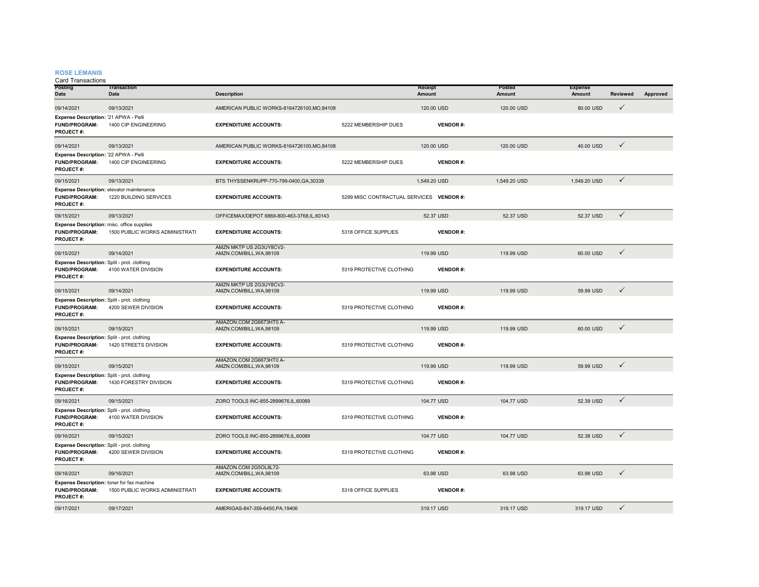#### **ROSE LEMANIS**

Card Transactions

| <b>Posting</b><br>Date                                                                 | <b>Transaction</b><br>Date     | <b>Description</b>                                  |                                          | Receipt<br><b>Amount</b> | Posted<br>Amount | <b>Expense</b><br>Amount | Reviewed     | Approved |
|----------------------------------------------------------------------------------------|--------------------------------|-----------------------------------------------------|------------------------------------------|--------------------------|------------------|--------------------------|--------------|----------|
| 09/14/2021                                                                             | 09/13/2021                     | AMERICAN PUBLIC WORKS-8164726100, MO, 84108         |                                          | 120.00 USD               | 120.00 USD       | 80.00 USD                | $\checkmark$ |          |
| Expense Description: '21 APWA - Pelli<br><b>FUND/PROGRAM:</b><br>PROJECT#:             | 1400 CIP ENGINEERING           | <b>EXPENDITURE ACCOUNTS:</b>                        | 5222 MEMBERSHIP DUES                     | <b>VENDOR#:</b>          |                  |                          |              |          |
| 09/14/2021                                                                             | 09/13/2021                     | AMERICAN PUBLIC WORKS-8164726100,MO,84108           |                                          | 120.00 USD               | 120.00 USD       | 40.00 USD                | $\checkmark$ |          |
| Expense Description: '22 APWA - Pelli<br><b>FUND/PROGRAM:</b><br>PROJECT#:             | 1400 CIP ENGINEERING           | <b>EXPENDITURE ACCOUNTS:</b>                        | 5222 MEMBERSHIP DUES                     | <b>VENDOR#:</b>          |                  |                          |              |          |
| 09/15/2021                                                                             | 09/13/2021                     | BTS THYSSENKRUPP-770-799-0400, GA, 30339            |                                          | 1,549.20 USD             | 1,549.20 USD     | 1,549.20 USD             | $\checkmark$ |          |
| Expense Description: elevator maintenance<br><b>FUND/PROGRAM:</b><br>PROJECT#:         | 1220 BUILDING SERVICES         | <b>EXPENDITURE ACCOUNTS:</b>                        | 5299 MISC CONTRACTUAL SERVICES VENDOR #: |                          |                  |                          |              |          |
| 09/15/2021                                                                             | 09/13/2021                     | OFFICEMAX/DEPOT 6869-800-463-3768.IL.60143          |                                          | 52.37 USD                | 52.37 USD        | 52.37 USD                | $\checkmark$ |          |
| Expense Description: misc. office supplies<br><b>FUND/PROGRAM:</b><br>PROJECT#:        | 1500 PUBLIC WORKS ADMINISTRATI | <b>EXPENDITURE ACCOUNTS:</b>                        | 5318 OFFICE SUPPLIES                     | <b>VENDOR#:</b>          |                  |                          |              |          |
| 09/15/2021                                                                             | 09/14/2021                     | AMZN MKTP US 2G3UY8CV2-<br>AMZN.COM/BILL.WA.98109   |                                          | 119.99 USD               | 119.99 USD       | 60.00 USD                | $\checkmark$ |          |
| Expense Description: Split - prot. clothing<br>FUND/PROGRAM:<br>PROJECT#:              | 4100 WATER DIVISION            | <b>EXPENDITURE ACCOUNTS:</b>                        | 5319 PROTECTIVE CLOTHING                 | <b>VENDOR#:</b>          |                  |                          |              |          |
| 09/15/2021                                                                             | 09/14/2021                     | AMZN MKTP US 2G3UY8CV2-<br>AMZN.COM/BILL.WA.98109   |                                          | 119.99 USD               | 119.99 USD       | 59.99 USD                | $\checkmark$ |          |
| Expense Description: Split - prot. clothing<br><b>FUND/PROGRAM:</b><br>PROJECT#:       | 4200 SEWER DIVISION            | <b>EXPENDITURE ACCOUNTS:</b>                        | 5319 PROTECTIVE CLOTHING                 | <b>VENDOR#:</b>          |                  |                          |              |          |
| 09/15/2021                                                                             | 09/15/2021                     | AMAZON.COM 2G6673HT0 A-<br>AMZN.COM/BILL, WA, 98109 |                                          | 119.99 USD               | 119.99 USD       | 60.00 USD                | $\checkmark$ |          |
| Expense Description: Split - prot. clothing<br><b>FUND/PROGRAM:</b><br>PROJECT#:       | 1420 STREETS DIVISION          | <b>EXPENDITURE ACCOUNTS:</b>                        | 5319 PROTECTIVE CLOTHING                 | <b>VENDOR#:</b>          |                  |                          |              |          |
| 09/15/2021                                                                             | 09/15/2021                     | AMAZON.COM 2G6673HT0 A-<br>AMZN.COM/BILL, WA, 98109 |                                          | 119.99 USD               | 119.99 USD       | 59.99 USD                | $\checkmark$ |          |
| Expense Description: Split - prot. clothing<br><b>FUND/PROGRAM:</b><br>PROJECT#:       | 1430 FORESTRY DIVISION         | <b>EXPENDITURE ACCOUNTS:</b>                        | 5319 PROTECTIVE CLOTHING                 | <b>VENDOR#:</b>          |                  |                          |              |          |
| 09/16/2021                                                                             | 09/15/2021                     | ZORO TOOLS INC-855-2899676,IL,60089                 |                                          | 104.77 USD               | 104.77 USD       | 52.39 USD                | $\checkmark$ |          |
| Expense Description: Split - prot. clothing<br><b>FUND/PROGRAM:</b><br>PROJECT#:       | 4100 WATER DIVISION            | <b>EXPENDITURE ACCOUNTS:</b>                        | 5319 PROTECTIVE CLOTHING                 | <b>VENDOR#:</b>          |                  |                          |              |          |
| 09/16/2021                                                                             | 09/15/2021                     | ZORO TOOLS INC-855-2899676,IL,60089                 |                                          | 104.77 USD               | 104.77 USD       | 52.38 USD                | $\checkmark$ |          |
| Expense Description: Split - prot. clothing<br>FUND/PROGRAM:<br>PROJECT#:              | 4200 SEWER DIVISION            | <b>EXPENDITURE ACCOUNTS:</b>                        | 5319 PROTECTIVE CLOTHING                 | <b>VENDOR#:</b>          |                  |                          |              |          |
| 09/16/2021                                                                             | 09/16/2021                     | AMAZON.COM 2G5OL8L72-<br>AMZN.COM/BILL, WA, 98109   |                                          | 63.98 USD                | 63.98 USD        | 63.98 USD                | $\checkmark$ |          |
| Expense Description: toner for fax machine<br><b>FUND/PROGRAM:</b><br><b>PROJECT#:</b> | 1500 PUBLIC WORKS ADMINISTRATI | <b>EXPENDITURE ACCOUNTS:</b>                        | 5318 OFFICE SUPPLIES                     | <b>VENDOR#:</b>          |                  |                          |              |          |
| 09/17/2021                                                                             | 09/17/2021                     | AMERIGAS-847-359-6450.PA.19406                      |                                          | 319.17 USD               | 319.17 USD       | 319.17 USD               | $\checkmark$ |          |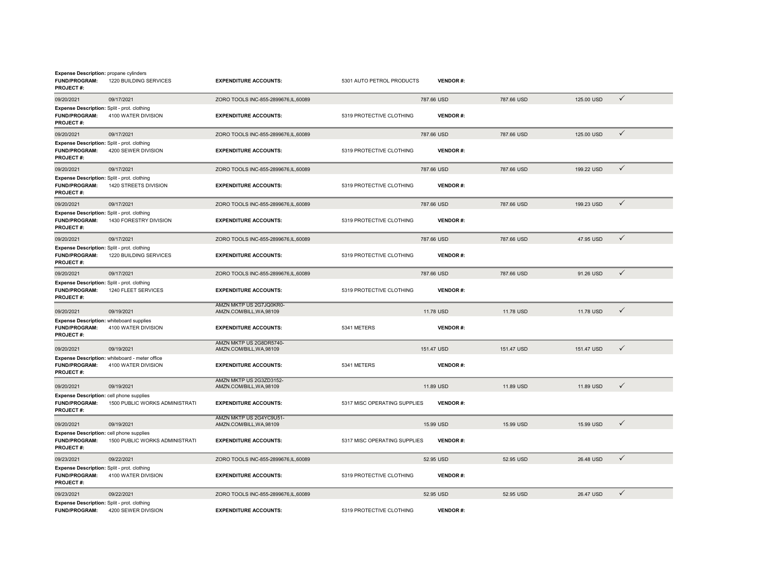| <b>Expense Description: propane cylinders</b><br><b>FUND/PROGRAM:</b><br><b>PROJECT#:</b> | 1220 BUILDING SERVICES                                                | <b>EXPENDITURE ACCOUNTS:</b>                        | 5301 AUTO PETROL PRODUCTS    | <b>VENDOR#:</b> |            |            |              |
|-------------------------------------------------------------------------------------------|-----------------------------------------------------------------------|-----------------------------------------------------|------------------------------|-----------------|------------|------------|--------------|
| 09/20/2021                                                                                | 09/17/2021                                                            | ZORO TOOLS INC-855-2899676,IL,60089                 |                              | 787.66 USD      | 787.66 USD | 125.00 USD | $\checkmark$ |
| Expense Description: Split - prot. clothing<br><b>FUND/PROGRAM:</b><br>PROJECT#:          | 4100 WATER DIVISION                                                   | <b>EXPENDITURE ACCOUNTS:</b>                        | 5319 PROTECTIVE CLOTHING     | <b>VENDOR#:</b> |            |            |              |
| 09/20/2021                                                                                | 09/17/2021                                                            | ZORO TOOLS INC-855-2899676,IL,60089                 |                              | 787.66 USD      | 787.66 USD | 125,00 USD | $\checkmark$ |
| Expense Description: Split - prot. clothing<br>FUND/PROGRAM:<br><b>PROJECT#:</b>          | 4200 SEWER DIVISION                                                   | <b>EXPENDITURE ACCOUNTS:</b>                        | 5319 PROTECTIVE CLOTHING     | <b>VENDOR#:</b> |            |            |              |
| 09/20/2021                                                                                | 09/17/2021                                                            | ZORO TOOLS INC-855-2899676, IL, 60089               |                              | 787.66 USD      | 787.66 USD | 199.22 USD | $\checkmark$ |
| Expense Description: Split - prot. clothing<br>FUND/PROGRAM:<br>PROJECT#:                 | 1420 STREETS DIVISION                                                 | <b>EXPENDITURE ACCOUNTS:</b>                        | 5319 PROTECTIVE CLOTHING     | <b>VENDOR#:</b> |            |            |              |
| 09/20/2021                                                                                | 09/17/2021                                                            | ZORO TOOLS INC-855-2899676,IL,60089                 |                              | 787.66 USD      | 787.66 USD | 199.23 USD | $\checkmark$ |
| Expense Description: Split - prot. clothing<br>FUND/PROGRAM:<br><b>PROJECT#:</b>          | 1430 FORESTRY DIVISION                                                | <b>EXPENDITURE ACCOUNTS:</b>                        | 5319 PROTECTIVE CLOTHING     | <b>VENDOR#:</b> |            |            |              |
| 09/20/2021                                                                                | 09/17/2021                                                            | ZORO TOOLS INC-855-2899676,IL,60089                 |                              | 787.66 USD      | 787.66 USD | 47.95 USD  | $\checkmark$ |
| Expense Description: Split - prot. clothing<br>FUND/PROGRAM:<br><b>PROJECT#:</b>          | 1220 BUILDING SERVICES                                                | <b>EXPENDITURE ACCOUNTS:</b>                        | 5319 PROTECTIVE CLOTHING     | <b>VENDOR#:</b> |            |            |              |
| 09/20/2021                                                                                | 09/17/2021                                                            | ZORO TOOLS INC-855-2899676,IL,60089                 |                              | 787.66 USD      | 787.66 USD | 91.26 USD  | $\checkmark$ |
| Expense Description: Split - prot. clothing<br><b>FUND/PROGRAM:</b><br>PROJECT#:          | 1240 FLEET SERVICES                                                   | <b>EXPENDITURE ACCOUNTS:</b>                        | 5319 PROTECTIVE CLOTHING     | <b>VENDOR#:</b> |            |            |              |
| 09/20/2021                                                                                | 09/19/2021                                                            | AMZN MKTP US 2G7JQ0KR0-<br>AMZN.COM/BILL, WA, 98109 |                              | 11.78 USD       | 11.78 USD  | 11.78 USD  | $\checkmark$ |
| Expense Description: whiteboard supplies<br>FUND/PROGRAM:<br><b>PROJECT#:</b>             | 4100 WATER DIVISION                                                   | <b>EXPENDITURE ACCOUNTS:</b>                        | 5341 METERS                  | <b>VENDOR#:</b> |            |            |              |
| 09/20/2021                                                                                | 09/19/2021                                                            | AMZN MKTP US 2G8DR5740-<br>AMZN.COM/BILL.WA.98109   |                              | 151.47 USD      | 151.47 USD | 151.47 USD | $\checkmark$ |
| <b>FUND/PROGRAM:</b><br><b>PROJECT#:</b>                                                  | Expense Description: whiteboard - meter office<br>4100 WATER DIVISION | <b>EXPENDITURE ACCOUNTS:</b>                        | 5341 METERS                  | <b>VENDOR#:</b> |            |            |              |
| 09/20/2021                                                                                | 09/19/2021                                                            | AMZN MKTP US 2G3ZD3152-<br>AMZN.COM/BILL, WA, 98109 |                              | 11.89 USD       | 11.89 USD  | 11.89 USD  | $\checkmark$ |
| Expense Description: cell phone supplies<br>FUND/PROGRAM:<br><b>PROJECT#:</b>             | 1500 PUBLIC WORKS ADMINISTRATI                                        | <b>EXPENDITURE ACCOUNTS:</b>                        | 5317 MISC OPERATING SUPPLIES | <b>VENDOR#:</b> |            |            |              |
| 09/20/2021                                                                                | 09/19/2021                                                            | AMZN MKTP US 2G4YC9U51-<br>AMZN.COM/BILL, WA, 98109 |                              | 15.99 USD       | 15.99 USD  | 15.99 USD  | $\checkmark$ |
| Expense Description: cell phone supplies<br><b>FUND/PROGRAM:</b><br>PROJECT#:             | 1500 PUBLIC WORKS ADMINISTRATI                                        | <b>EXPENDITURE ACCOUNTS:</b>                        | 5317 MISC OPERATING SUPPLIES | <b>VENDOR#:</b> |            |            |              |
| 09/23/2021                                                                                | 09/22/2021                                                            | ZORO TOOLS INC-855-2899676,IL,60089                 |                              | 52.95 USD       | 52.95 USD  | 26.48 USD  | $\checkmark$ |
| Expense Description: Split - prot. clothing<br>FUND/PROGRAM:<br><b>PROJECT#:</b>          | 4100 WATER DIVISION                                                   | <b>EXPENDITURE ACCOUNTS:</b>                        | 5319 PROTECTIVE CLOTHING     | <b>VENDOR#:</b> |            |            |              |
| 09/23/2021                                                                                | 09/22/2021                                                            | ZORO TOOLS INC-855-2899676,IL,60089                 |                              | 52.95 USD       | 52.95 USD  | 26.47 USD  | $\checkmark$ |
| Expense Description: Split - prot. clothing<br><b>FUND/PROGRAM:</b>                       | 4200 SEWER DIVISION                                                   | <b>EXPENDITURE ACCOUNTS:</b>                        | 5319 PROTECTIVE CLOTHING     | <b>VENDOR#:</b> |            |            |              |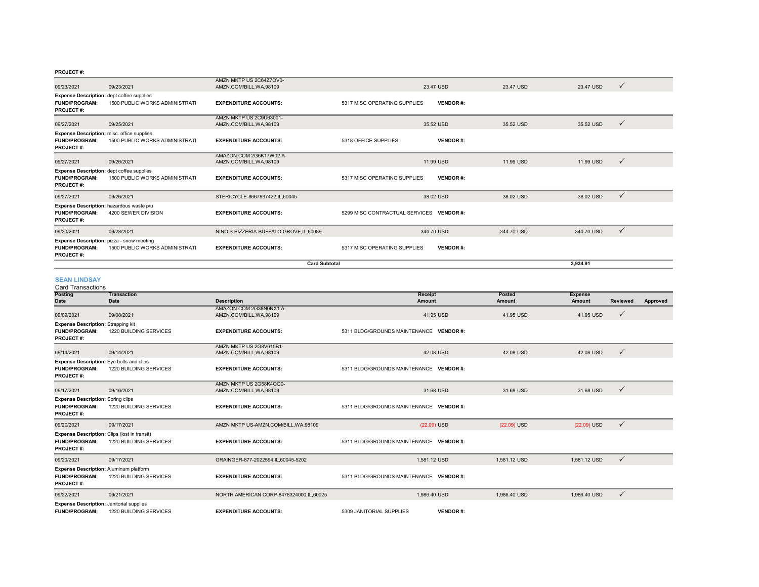| <b>SEAN LINDSAY</b>                                                                    |                                       |                                                     |                                          |                 |            |            |              |
|----------------------------------------------------------------------------------------|---------------------------------------|-----------------------------------------------------|------------------------------------------|-----------------|------------|------------|--------------|
|                                                                                        |                                       | <b>Card Subtotal</b>                                |                                          |                 |            | 3,934.91   |              |
| Expense Description: pizza - snow meeting<br><b>FUND/PROGRAM:</b><br><b>PROJECT#:</b>  | 1500 PUBLIC WORKS ADMINISTRATI        | <b>EXPENDITURE ACCOUNTS:</b>                        | 5317 MISC OPERATING SUPPLIES             | <b>VENDOR#:</b> |            |            |              |
| 09/30/2021                                                                             | 09/28/2021                            | NINO S PIZZERIA-BUFFALO GROVE, IL, 60089            |                                          | 344.70 USD      | 344,70 USD | 344.70 USD | $\checkmark$ |
| Expense Description: hazardous waste p/u<br><b>FUND/PROGRAM:</b><br><b>PROJECT#:</b>   | 4200 SEWER DIVISION                   | <b>EXPENDITURE ACCOUNTS:</b>                        | 5299 MISC CONTRACTUAL SERVICES VENDOR #: |                 |            |            |              |
| 09/27/2021                                                                             | 09/26/2021                            | STERICYCLE-8667837422,IL,60045                      |                                          | 38.02 USD       | 38.02 USD  | 38.02 USD  | $\checkmark$ |
| Expense Description: dept coffee supplies<br><b>FUND/PROGRAM:</b><br><b>PROJECT#:</b>  | <b>1500 PUBLIC WORKS ADMINISTRATI</b> | <b>EXPENDITURE ACCOUNTS:</b>                        | 5317 MISC OPERATING SUPPLIES             | <b>VENDOR#:</b> |            |            |              |
| 09/27/2021                                                                             | 09/26/2021                            | AMAZON.COM 2G6K17W02 A-<br>AMZN.COM/BILL, WA, 98109 |                                          | 11.99 USD       | 11.99 USD  | 11.99 USD  | $\checkmark$ |
| Expense Description: misc. office supplies<br><b>FUND/PROGRAM:</b><br><b>PROJECT#:</b> | 1500 PUBLIC WORKS ADMINISTRATI        | <b>EXPENDITURE ACCOUNTS:</b>                        | 5318 OFFICE SUPPLIES                     | <b>VENDOR#:</b> |            |            |              |
| 09/27/2021                                                                             | 09/25/2021                            | AMZN MKTP US 2C9U63001-<br>AMZN.COM/BILL, WA, 98109 |                                          | 35.52 USD       | 35.52 USD  | 35.52 USD  | $\checkmark$ |
| Expense Description: dept coffee supplies<br><b>FUND/PROGRAM:</b><br><b>PROJECT#:</b>  | <b>1500 PUBLIC WORKS ADMINISTRATI</b> | <b>EXPENDITURE ACCOUNTS:</b>                        | 5317 MISC OPERATING SUPPLIES             | <b>VENDOR#:</b> |            |            |              |
| 09/23/2021                                                                             | 09/23/2021                            | AMZN MKTP US 2C64Z7OV0-<br>AMZN.COM/BILL, WA, 98109 |                                          | 23.47 USD       | 23.47 USD  | 23.47 USD  | $\checkmark$ |

#### **Posting Date TransactionDate Description Receipt Amount Posted Amount Expense Amount Reviewed Approved** 09/09/2021 09/08/2021 AMAZON.COM 2G38N0NX1 A-AMZN.COM/BILL,WA,98109 41.95 USD 41.95 USD 41.95 USD **FUND/PROGRAM:** 1220 BUILDING SERVICES **EXPENDITURE ACCOUNTS:** 5311 BLDG/GROUNDS MAINTENANCE **VENDOR #: PROJECT #:**09/14/2021 09/14/2021 AMZN MKTP US 2G8V615B1- $\overline{A}$ MZN.COM/BILL,WA,98109  $\overline{A}$ 2.08 USD 42.08 USD 42.08 USD 42.08 USD 42.08 USD 42.08 USD 42.08 USD 42.08 USD 42.08 USD 42.08 USD 42.08 USD 42.08 USD 42.08 USD 42.08 USD 42.08 USD 42.08 USD 42.08 USD 42.08 USD 42.0 **FUND/PROGRAM:** 1220 BUILDING SERVICES **EXPENDITURE ACCOUNTS:** 5311 BLDG/GROUNDS MAINTENANCE **VENDOR #: PROJECT #:** 09/17/2021 09/16/2021 AMZN MKTP US 2G58K4QQ0-AMZN.COM/BILL,WA,98109 31.68 USD 31.68 USD 31.68 USD **FUND/PROGRAM:** 1220 BUILDING SERVICES**EXPENDITURE ACCOUNTS:** 5311 BLDG/GROUNDS MAINTENANCE **VENDOR** #: **PROJECT #:**09/20/2021 09/17/2021 AMZN MKTP US-AMZN.COM/BILL,WA,98109 (22.09) USD (22.09) USD (22.09) USD **FUND/PROGRAM:** 1220 BUILDING SERVICES **EXPENDITURE ACCOUNTS:** 5311 BLDG/GROUNDS MAINTENANCE **VENDOR #: PROJECT #:** 09/20/2021 09/17/2021 09/17/2021 GRAINGER-877-2022594,IL,60045-5202 1,581.12 DSD 1,581.12 USD 1,581.12 USD 1,581.12 USD 1,581.12 USD 5 **FUND/PROGRAM:** 1220 BUILDING SERVICES **EXPENDITURE ACCOUNTS:** 5311 BLDG/GROUNDS MAINTENANCE **VENDOR #: PROJECT #:**09/22/2021 09/21/2021 09/21/2021 NORTH AMERICAN CORP-8478324000,IL,60025 1,986.40 USD 1,986.40 USD 1,986.40 USD 1,986.40 USD √ **FUND/PROGRAM:** 1220 BUILDING SERVICES **EXPENDITURE ACCOUNTS:** 5309 JANITORIAL SUPPLIES **VENDOR #:** Card Transactions**Expense Description:** Strapping kit **Expense Description:** Eye bolts and clips **Expense Description: Spring clips Expense Description:** Clips (lost in transit) **Expense Description:** Aluminum platform **Expense Description:** Janitorial supplies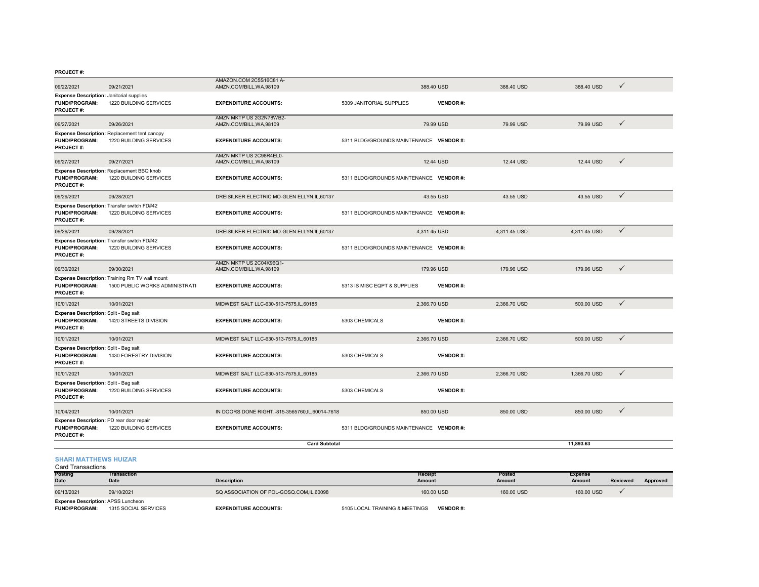| 09/22/2021                                                                           | 09/21/2021                                                                       | AMAZON.COM 2C5S16C81 A-<br>AMZN.COM/BILL, WA, 98109 |                                         | 388.40 USD      | 388.40 USD   | 388.40 USD   | $\checkmark$ |
|--------------------------------------------------------------------------------------|----------------------------------------------------------------------------------|-----------------------------------------------------|-----------------------------------------|-----------------|--------------|--------------|--------------|
| <b>Expense Description: Janitorial supplies</b><br><b>FUND/PROGRAM:</b><br>PROJECT#: | 1220 BUILDING SERVICES                                                           | <b>EXPENDITURE ACCOUNTS:</b>                        | 5309 JANITORIAL SUPPLIES                | <b>VENDOR#:</b> |              |              |              |
| 09/27/2021                                                                           | 09/26/2021                                                                       | AMZN MKTP US 2G2N78WB2-<br>AMZN.COM/BILL, WA, 98109 |                                         | 79.99 USD       | 79.99 USD    | 79.99 USD    | $\checkmark$ |
| FUND/PROGRAM:<br>PROJECT#:                                                           | Expense Description: Replacement tent canopy<br>1220 BUILDING SERVICES           | <b>EXPENDITURE ACCOUNTS:</b>                        | 5311 BLDG/GROUNDS MAINTENANCE VENDOR #: |                 |              |              |              |
| 09/27/2021                                                                           | 09/27/2021                                                                       | AMZN MKTP US 2C98R4EL0-<br>AMZN.COM/BILL, WA, 98109 |                                         | 12.44 USD       | 12.44 USD    | 12.44 USD    | $\checkmark$ |
| <b>FUND/PROGRAM:</b><br>PROJECT#:                                                    | Expense Description: Replacement BBQ knob<br>1220 BUILDING SERVICES              | <b>EXPENDITURE ACCOUNTS:</b>                        | 5311 BLDG/GROUNDS MAINTENANCE VENDOR #: |                 |              |              |              |
| 09/29/2021                                                                           | 09/28/2021                                                                       | DREISILKER ELECTRIC MO-GLEN ELLYN, IL, 60137        |                                         | 43.55 USD       | 43.55 USD    | 43.55 USD    | $\checkmark$ |
| <b>FUND/PROGRAM:</b><br>PROJECT#:                                                    | Expense Description: Transfer switch FD#42<br>1220 BUILDING SERVICES             | <b>EXPENDITURE ACCOUNTS:</b>                        | 5311 BLDG/GROUNDS MAINTENANCE VENDOR #: |                 |              |              |              |
| 09/29/2021                                                                           | 09/28/2021                                                                       | DREISILKER ELECTRIC MO-GLEN ELLYN, IL, 60137        |                                         | 4,311.45 USD    | 4,311.45 USD | 4,311.45 USD | $\checkmark$ |
| <b>FUND/PROGRAM:</b><br><b>PROJECT#:</b>                                             | Expense Description: Transfer switch FD#42<br>1220 BUILDING SERVICES             | <b>EXPENDITURE ACCOUNTS:</b>                        | 5311 BLDG/GROUNDS MAINTENANCE VENDOR #: |                 |              |              |              |
| 09/30/2021                                                                           | 09/30/2021                                                                       | AMZN MKTP US 2C04K96Q1-<br>AMZN.COM/BILL, WA, 98109 |                                         | 179.96 USD      | 179.96 USD   | 179.96 USD   | $\checkmark$ |
| <b>FUND/PROGRAM:</b><br><b>PROJECT#:</b>                                             | Expense Description: Training Rm TV wall mount<br>1500 PUBLIC WORKS ADMINISTRATI | <b>EXPENDITURE ACCOUNTS:</b>                        | 5313 IS MISC EQPT & SUPPLIES            | <b>VENDOR#:</b> |              |              |              |
| 10/01/2021                                                                           | 10/01/2021                                                                       | MIDWEST SALT LLC-630-513-7575.IL.60185              |                                         | 2.366.70 USD    | 2.366.70 USD | 500.00 USD   | $\checkmark$ |
| Expense Description: Split - Bag salt<br><b>FUND/PROGRAM:</b><br>PROJECT#:           | 1420 STREETS DIVISION                                                            | <b>EXPENDITURE ACCOUNTS:</b>                        | 5303 CHEMICALS                          | <b>VENDOR#:</b> |              |              |              |
| 10/01/2021                                                                           | 10/01/2021                                                                       | MIDWEST SALT LLC-630-513-7575.IL.60185              |                                         | 2.366.70 USD    | 2.366.70 USD | 500,00 USD   | $\checkmark$ |
| Expense Description: Split - Bag salt<br><b>FUND/PROGRAM:</b><br><b>PROJECT#:</b>    | 1430 FORESTRY DIVISION                                                           | <b>EXPENDITURE ACCOUNTS:</b>                        | 5303 CHEMICALS                          | <b>VENDOR#:</b> |              |              |              |
| 10/01/2021                                                                           | 10/01/2021                                                                       | MIDWEST SALT LLC-630-513-7575.IL.60185              |                                         | 2.366.70 USD    | 2.366.70 USD | 1.366.70 USD | $\checkmark$ |
| Expense Description: Split - Bag salt<br><b>FUND/PROGRAM:</b><br>PROJECT#:           | 1220 BUILDING SERVICES                                                           | <b>EXPENDITURE ACCOUNTS:</b>                        | 5303 CHEMICALS                          | <b>VENDOR#:</b> |              |              |              |
| 10/04/2021                                                                           | 10/01/2021                                                                       | IN DOORS DONE RIGHT.-815-3565760.IL.60014-7618      |                                         | 850.00 USD      | 850.00 USD   | 850.00 USD   | $\checkmark$ |
| Expense Description: PD rear door repair<br><b>FUND/PROGRAM:</b><br><b>PROJECT#:</b> | 1220 BUILDING SERVICES                                                           | <b>EXPENDITURE ACCOUNTS:</b>                        | 5311 BLDG/GROUNDS MAINTENANCE VENDOR #: |                 |              |              |              |
|                                                                                      |                                                                                  | <b>Card Subtotal</b>                                |                                         |                 |              | 11.893.63    |              |
|                                                                                      |                                                                                  |                                                     |                                         |                 |              |              |              |

#### **SHARI MATTHEWS HUIZAR**

Card Transactions

| <b>Posting</b>                            | Transaction          |                                         | Receipt                        |                 | Posted        | Expense    |                 |          |
|-------------------------------------------|----------------------|-----------------------------------------|--------------------------------|-----------------|---------------|------------|-----------------|----------|
| <b>Date</b>                               | <b>Date</b>          | <b>Description</b>                      | Amount                         |                 | <b>Amount</b> | Amount     | <b>Reviewed</b> | Approved |
| 09/13/2021                                | 09/10/2021           | SQ ASSOCIATION OF POL-GOSQ.COM.IL.60098 |                                | 160,00 USD      | 160,00 USD    | 160,00 USD |                 |          |
| <b>Expense Description: APSS Luncheon</b> |                      |                                         |                                |                 |               |            |                 |          |
| <b>FUND/PROGRAM:</b>                      | 1315 SOCIAL SERVICES | <b>EXPENDITURE ACCOUNTS:</b>            | 5105 LOCAL TRAINING & MEETINGS | <b>VENDOR#:</b> |               |            |                 |          |

**FUND/PROGRAM:** 1315 SOCIAL SERVICES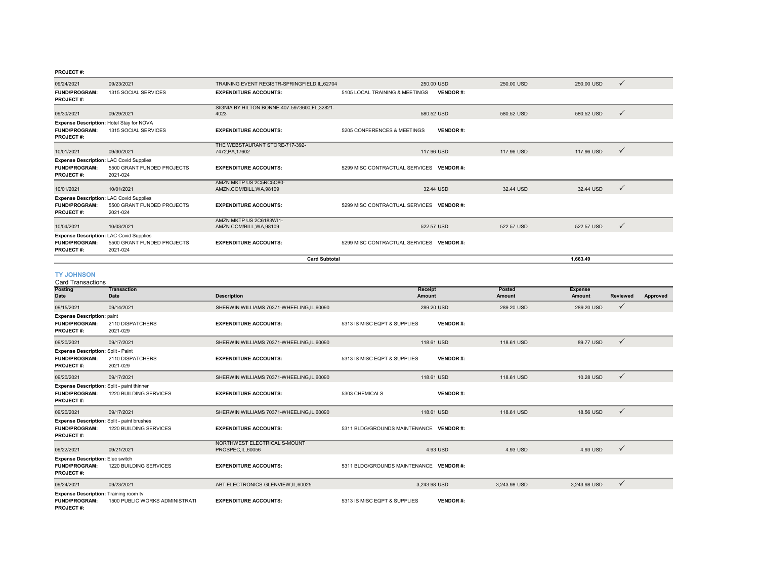| 09/24/2021                                                                                 | 09/23/2021                             | TRAINING EVENT REGISTR-SPRINGFIELD, IL, 62704          |                                          | 250,00 USD      | 250.00 USD | 250.00 USD | $\checkmark$ |
|--------------------------------------------------------------------------------------------|----------------------------------------|--------------------------------------------------------|------------------------------------------|-----------------|------------|------------|--------------|
| <b>FUND/PROGRAM:</b><br><b>PROJECT#:</b>                                                   | 1315 SOCIAL SERVICES                   | <b>EXPENDITURE ACCOUNTS:</b>                           | 5105 LOCAL TRAINING & MEETINGS           | <b>VENDOR#:</b> |            |            |              |
| 09/30/2021                                                                                 | 09/29/2021                             | SIGNIA BY HILTON BONNE-407-5973600, FL, 32821-<br>4023 |                                          | 580.52 USD      | 580.52 USD | 580.52 USD | $\checkmark$ |
| Expense Description: Hotel Stay for NOVA<br><b>FUND/PROGRAM:</b><br><b>PROJECT#:</b>       | 1315 SOCIAL SERVICES                   | <b>EXPENDITURE ACCOUNTS:</b>                           | 5205 CONFERENCES & MEETINGS              | <b>VENDOR#:</b> |            |            |              |
| 10/01/2021                                                                                 | 09/30/2021                             | THE WEBSTAURANT STORE-717-392-<br>7472, PA, 17602      |                                          | 117.96 USD      | 117.96 USD | 117.96 USD | $\checkmark$ |
| <b>Expense Description: LAC Covid Supplies</b><br><b>FUND/PROGRAM:</b><br><b>PROJECT#:</b> | 5500 GRANT FUNDED PROJECTS<br>2021-024 | <b>EXPENDITURE ACCOUNTS:</b>                           | 5299 MISC CONTRACTUAL SERVICES VENDOR #: |                 |            |            |              |
| 10/01/2021                                                                                 | 10/01/2021                             | AMZN MKTP US 2C5RC5Q80-<br>AMZN.COM/BILL, WA, 98109    |                                          | 32.44 USD       | 32.44 USD  | 32.44 USD  | $\checkmark$ |
| <b>Expense Description: LAC Covid Supplies</b><br><b>FUND/PROGRAM:</b><br><b>PROJECT#:</b> | 5500 GRANT FUNDED PROJECTS<br>2021-024 | <b>EXPENDITURE ACCOUNTS:</b>                           | 5299 MISC CONTRACTUAL SERVICES VENDOR #: |                 |            |            |              |
| 10/04/2021                                                                                 | 10/03/2021                             | AMZN MKTP US 2C6183WI1-<br>AMZN.COM/BILL, WA, 98109    |                                          | 522.57 USD      | 522.57 USD | 522.57 USD | $\checkmark$ |
| <b>Expense Description: LAC Covid Supplies</b><br><b>FUND/PROGRAM:</b><br><b>PROJECT#:</b> | 5500 GRANT FUNDED PROJECTS<br>2021-024 | <b>EXPENDITURE ACCOUNTS:</b>                           | 5299 MISC CONTRACTUAL SERVICES VENDOR #: |                 |            |            |              |
|                                                                                            |                                        | 1.663.49                                               |                                          |                 |            |            |              |

#### **TY JOHNSON**

| <b>Card Transactions</b>                                                                 |                                |                                                    |                                                 |                         |                          |                 |          |  |  |  |
|------------------------------------------------------------------------------------------|--------------------------------|----------------------------------------------------|-------------------------------------------------|-------------------------|--------------------------|-----------------|----------|--|--|--|
| <b>Posting</b><br>Date                                                                   | <b>Transaction</b><br>Date     | <b>Description</b>                                 | <b>Receipt</b><br><b>Amount</b>                 | Posted<br><b>Amount</b> | <b>Expense</b><br>Amount | <b>Reviewed</b> | Approved |  |  |  |
| 09/15/2021                                                                               | 09/14/2021                     | SHERWIN WILLIAMS 70371-WHEELING, IL, 60090         | 289.20 USD                                      | 289.20 USD              | 289.20 USD               | $\checkmark$    |          |  |  |  |
| <b>Expense Description: paint</b><br><b>FUND/PROGRAM:</b><br><b>PROJECT#:</b>            | 2110 DISPATCHERS<br>2021-029   | <b>EXPENDITURE ACCOUNTS:</b>                       | 5313 IS MISC EQPT & SUPPLIES<br><b>VENDOR#:</b> |                         |                          |                 |          |  |  |  |
| 09/20/2021                                                                               | 09/17/2021                     | SHERWIN WILLIAMS 70371-WHEELING, IL, 60090         | 118.61 USD                                      | 118.61 USD              | 89.77 USD                | $\checkmark$    |          |  |  |  |
| Expense Description: Split - Paint<br><b>FUND/PROGRAM:</b><br><b>PROJECT#:</b>           | 2110 DISPATCHERS<br>2021-029   | <b>EXPENDITURE ACCOUNTS:</b>                       | 5313 IS MISC EQPT & SUPPLIES<br><b>VENDOR#:</b> |                         |                          |                 |          |  |  |  |
| 09/20/2021                                                                               | 09/17/2021                     | SHERWIN WILLIAMS 70371-WHEELING, IL, 60090         | 118.61 USD                                      | 118.61 USD              | 10.28 USD                | $\checkmark$    |          |  |  |  |
| Expense Description: Split - paint thinner<br><b>FUND/PROGRAM:</b><br><b>PROJECT#:</b>   | 1220 BUILDING SERVICES         | <b>EXPENDITURE ACCOUNTS:</b>                       | 5303 CHEMICALS<br><b>VENDOR#:</b>               |                         |                          |                 |          |  |  |  |
| 09/20/2021                                                                               | 09/17/2021                     | SHERWIN WILLIAMS 70371-WHEELING, IL, 60090         | 118.61 USD                                      | 118.61 USD              | 18.56 USD                | $\checkmark$    |          |  |  |  |
| Expense Description: Split - paint brushes<br><b>FUND/PROGRAM:</b><br><b>PROJECT#:</b>   | 1220 BUILDING SERVICES         | <b>EXPENDITURE ACCOUNTS:</b>                       | 5311 BLDG/GROUNDS MAINTENANCE VENDOR #:         |                         |                          |                 |          |  |  |  |
| 09/22/2021                                                                               | 09/21/2021                     | NORTHWEST ELECTRICAL S-MOUNT<br>PROSPEC, IL, 60056 | 4.93 USD                                        | 4.93 USD                | 4.93 USD                 | $\checkmark$    |          |  |  |  |
| <b>Expense Description: Elec switch</b><br><b>FUND/PROGRAM:</b><br><b>PROJECT#:</b>      | 1220 BUILDING SERVICES         | <b>EXPENDITURE ACCOUNTS:</b>                       | 5311 BLDG/GROUNDS MAINTENANCE VENDOR #:         |                         |                          |                 |          |  |  |  |
| 09/24/2021                                                                               | 09/23/2021                     | ABT ELECTRONICS-GLENVIEW, IL, 60025                | 3.243.98 USD                                    | 3.243.98 USD            | 3.243.98 USD             | $\checkmark$    |          |  |  |  |
| <b>Expense Description: Training room tv</b><br><b>FUND/PROGRAM:</b><br><b>PROJECT#:</b> | 1500 PUBLIC WORKS ADMINISTRATI | <b>EXPENDITURE ACCOUNTS:</b>                       | 5313 IS MISC EQPT & SUPPLIES<br><b>VENDOR#:</b> |                         |                          |                 |          |  |  |  |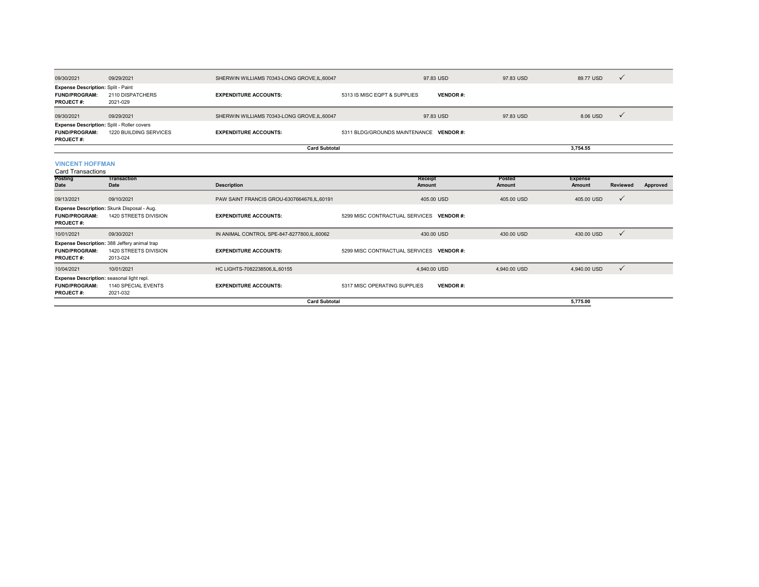| 09/30/2021                                                                             | 09/29/2021                                                                        | SHERWIN WILLIAMS 70343-LONG GROVE, IL, 60047 | 97.83 USD                                |                 | 97.83 USD     | 89.77 USD                | $\checkmark$    |          |
|----------------------------------------------------------------------------------------|-----------------------------------------------------------------------------------|----------------------------------------------|------------------------------------------|-----------------|---------------|--------------------------|-----------------|----------|
| <b>Expense Description: Split - Paint</b><br><b>FUND/PROGRAM:</b><br><b>PROJECT#:</b>  | 2110 DISPATCHERS<br>2021-029                                                      | <b>EXPENDITURE ACCOUNTS:</b>                 | 5313 IS MISC EQPT & SUPPLIES             | <b>VENDOR#:</b> |               |                          |                 |          |
| 09/30/2021                                                                             | 09/29/2021                                                                        | SHERWIN WILLIAMS 70343-LONG GROVE.IL.60047   | 97.83 USD                                |                 | 97.83 USD     | 8.06 USD                 | $\checkmark$    |          |
| Expense Description: Split - Roller covers<br><b>FUND/PROGRAM:</b><br><b>PROJECT#:</b> | 1220 BUILDING SERVICES                                                            | <b>EXPENDITURE ACCOUNTS:</b>                 | 5311 BLDG/GROUNDS MAINTENANCE VENDOR #:  |                 |               |                          |                 |          |
|                                                                                        |                                                                                   | <b>Card Subtotal</b>                         |                                          |                 |               | 3,754.55                 |                 |          |
| <b>VINCENT HOFFMAN</b><br><b>Card Transactions</b><br>Posting                          | <b>Transaction</b>                                                                |                                              | Receipt                                  |                 | Posted        |                          |                 |          |
| Date                                                                                   | <b>Date</b>                                                                       | <b>Description</b>                           | <b>Amount</b>                            |                 | <b>Amount</b> | <b>Expense</b><br>Amount | <b>Reviewed</b> | Approved |
| 09/13/2021                                                                             | 09/10/2021                                                                        | PAW SAINT FRANCIS GROU-6307664676, IL, 60191 | 405.00 USD                               |                 | 405.00 USD    | 405.00 USD               | $\checkmark$    |          |
| <b>FUND/PROGRAM:</b><br><b>PROJECT#:</b>                                               | Expense Description: Skunk Disposal - Aug.<br>1420 STREETS DIVISION               | <b>EXPENDITURE ACCOUNTS:</b>                 | 5299 MISC CONTRACTUAL SERVICES VENDOR #: |                 |               |                          |                 |          |
| 10/01/2021                                                                             | 09/30/2021                                                                        | IN ANIMAL CONTROL SPE-847-8277800,IL,60062   | 430.00 USD                               |                 | 430.00 USD    | 430.00 USD               | $\checkmark$    |          |
| <b>FUND/PROGRAM:</b><br><b>PROJECT#:</b>                                               | Expense Description: 388 Jeffery animal trap<br>1420 STREETS DIVISION<br>2013-024 | <b>EXPENDITURE ACCOUNTS:</b>                 | 5299 MISC CONTRACTUAL SERVICES VENDOR #: |                 |               |                          |                 |          |
| 10/04/2021                                                                             | 10/01/2021                                                                        | HC LIGHTS-7082238506,IL,60155                | 4,940.00 USD                             |                 | 4,940.00 USD  | 4,940.00 USD             | $\checkmark$    |          |
| Expense Description: seasonal light repl.<br><b>FUND/PROGRAM:</b><br><b>PROJECT#:</b>  | 1140 SPECIAL EVENTS<br>2021-032                                                   | <b>EXPENDITURE ACCOUNTS:</b>                 | 5317 MISC OPERATING SUPPLIES             | <b>VENDOR#:</b> |               |                          |                 |          |

**Card Subtotal**

**5,775.00**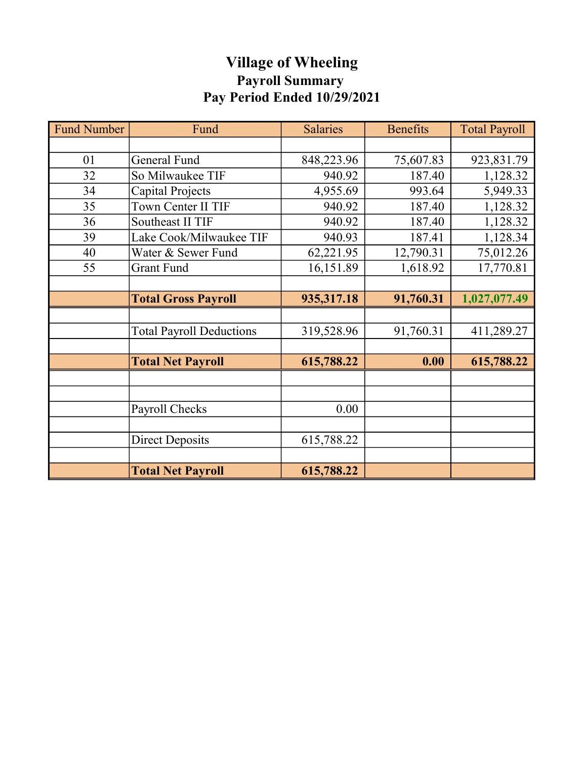# Village of Wheeling Payroll Summary Pay Period Ended 10/29/2021

| <b>Fund Number</b> | Fund                            | <b>Salaries</b> | <b>Benefits</b> | <b>Total Payroll</b> |
|--------------------|---------------------------------|-----------------|-----------------|----------------------|
|                    |                                 |                 |                 |                      |
| 01                 | <b>General Fund</b>             | 848,223.96      | 75,607.83       | 923,831.79           |
| 32                 | So Milwaukee TIF                | 940.92          | 187.40          | 1,128.32             |
| 34                 | Capital Projects                | 4,955.69        | 993.64          | 5,949.33             |
| 35                 | Town Center II TIF              | 940.92          | 187.40          | 1,128.32             |
| 36                 | Southeast II TIF                | 940.92          | 187.40          | 1,128.32             |
| 39                 | Lake Cook/Milwaukee TIF         | 940.93          | 187.41          | 1,128.34             |
| 40                 | Water & Sewer Fund              | 62,221.95       | 12,790.31       | 75,012.26            |
| 55                 | Grant Fund                      | 16,151.89       | 1,618.92        | 17,770.81            |
|                    |                                 |                 |                 |                      |
|                    | <b>Total Gross Payroll</b>      | 935,317.18      | 91,760.31       | 1,027,077.49         |
|                    |                                 |                 |                 |                      |
|                    | <b>Total Payroll Deductions</b> | 319,528.96      | 91,760.31       | 411,289.27           |
|                    |                                 |                 |                 |                      |
|                    | <b>Total Net Payroll</b>        | 615,788.22      | 0.00            | 615,788.22           |
|                    |                                 |                 |                 |                      |
|                    |                                 |                 |                 |                      |
|                    | Payroll Checks                  | 0.00            |                 |                      |
|                    |                                 |                 |                 |                      |
|                    | <b>Direct Deposits</b>          | 615,788.22      |                 |                      |
|                    |                                 |                 |                 |                      |
|                    | <b>Total Net Payroll</b>        | 615,788.22      |                 |                      |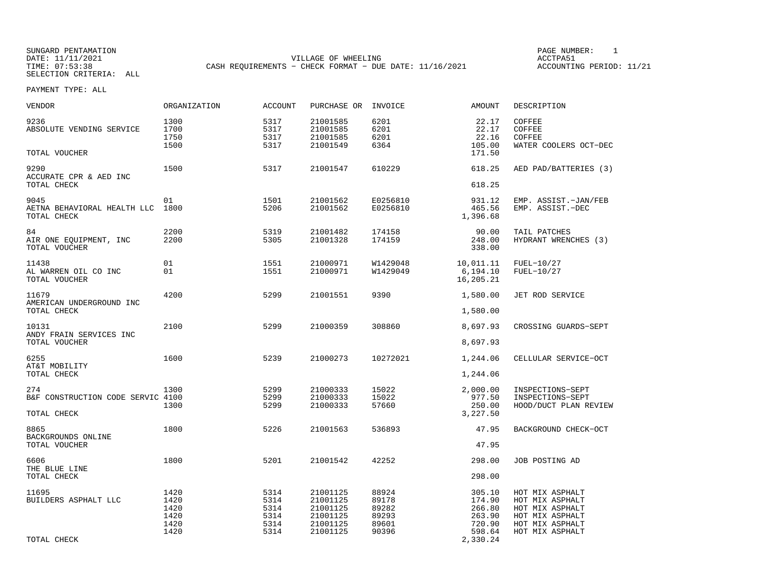SUNGARD PENTAMATION SUNGARD PENTAMATION SUNG PAGE NUMBER: 1 SUNGARD PENTAMATION SUNG PAGE NUMBER: 1 SUNG PAGE NUMBER: 1 SUNG PAGE NUMBER: 1 SUNG PAGE NUMBER: 1 SUNG PAGE NUMBER: 1 SUNG PAGE NUMBER: 1 SUNG PAGE NUMBER: 1 SU DATE: 11/11/2021 VILLAGE OF WHEELING ACCTPA51CASH REQUIREMENTS - CHECK FORMAT - DUE DATE: 11/16/2021

ACCOUNTING PERIOD: 11/21

| VENDOR                                                  | ORGANIZATION                                 | <b>ACCOUNT</b>                               | PURCHASE OR                                                          | INVOICE                                            | AMOUNT                                                               | DESCRIPTION                                                                                                    |
|---------------------------------------------------------|----------------------------------------------|----------------------------------------------|----------------------------------------------------------------------|----------------------------------------------------|----------------------------------------------------------------------|----------------------------------------------------------------------------------------------------------------|
| 9236<br>ABSOLUTE VENDING SERVICE<br>TOTAL VOUCHER       | 1300<br>1700<br>1750<br>1500                 | 5317<br>5317<br>5317<br>5317                 | 21001585<br>21001585<br>21001585<br>21001549                         | 6201<br>6201<br>6201<br>6364                       | 22.17<br>22.17<br>22.16<br>105.00<br>171.50                          | COFFEE<br>COFFEE<br>COFFEE<br>WATER COOLERS OCT-DEC                                                            |
|                                                         |                                              |                                              |                                                                      |                                                    |                                                                      |                                                                                                                |
| 9290<br>ACCURATE CPR & AED INC<br>TOTAL CHECK           | 1500                                         | 5317                                         | 21001547                                                             | 610229                                             | 618.25<br>618.25                                                     | AED PAD/BATTERIES (3)                                                                                          |
| 9045<br>AETNA BEHAVIORAL HEALTH LLC<br>TOTAL CHECK      | 01<br>1800                                   | 1501<br>5206                                 | 21001562<br>21001562                                                 | E0256810<br>E0256810                               | 931.12<br>465.56<br>1,396.68                                         | EMP. ASSIST.-JAN/FEB<br>EMP. ASSIST.-DEC                                                                       |
| 84<br>AIR ONE EOUIPMENT, INC<br>TOTAL VOUCHER           | 2200<br>2200                                 | 5319<br>5305                                 | 21001482<br>21001328                                                 | 174158<br>174159                                   | 90.00<br>248.00<br>338.00                                            | TAIL PATCHES<br>HYDRANT WRENCHES (3)                                                                           |
| 11438<br>AL WARREN OIL CO INC<br>TOTAL VOUCHER          | 01<br>01                                     | 1551<br>1551                                 | 21000971<br>21000971                                                 | W1429048<br>W1429049                               | 10,011.11<br>6,194.10<br>16,205.21                                   | FUEL-10/27<br>FUEL-10/27                                                                                       |
| 11679<br>AMERICAN UNDERGROUND INC<br>TOTAL CHECK        | 4200                                         | 5299                                         | 21001551                                                             | 9390                                               | 1,580.00<br>1,580.00                                                 | JET ROD SERVICE                                                                                                |
| 10131                                                   | 2100                                         | 5299                                         | 21000359                                                             | 308860                                             | 8,697.93                                                             | CROSSING GUARDS-SEPT                                                                                           |
| ANDY FRAIN SERVICES INC<br>TOTAL VOUCHER                |                                              |                                              |                                                                      |                                                    | 8,697.93                                                             |                                                                                                                |
| 6255                                                    | 1600                                         | 5239                                         | 21000273                                                             | 10272021                                           | 1,244.06                                                             | CELLULAR SERVICE-OCT                                                                                           |
| AT&T MOBILITY<br>TOTAL CHECK                            |                                              |                                              |                                                                      |                                                    | 1,244.06                                                             |                                                                                                                |
| 274<br>B&F CONSTRUCTION CODE SERVIC 4100<br>TOTAL CHECK | 1300<br>1300                                 | 5299<br>5299<br>5299                         | 21000333<br>21000333<br>21000333                                     | 15022<br>15022<br>57660                            | 2,000.00<br>977.50<br>250.00<br>3,227.50                             | INSPECTIONS-SEPT<br>INSPECTIONS-SEPT<br>HOOD/DUCT PLAN REVIEW                                                  |
| 8865                                                    | 1800                                         | 5226                                         | 21001563                                                             | 536893                                             | 47.95                                                                | BACKGROUND CHECK-OCT                                                                                           |
| BACKGROUNDS ONLINE<br>TOTAL VOUCHER                     |                                              |                                              |                                                                      |                                                    | 47.95                                                                |                                                                                                                |
| 6606<br>THE BLUE LINE<br>TOTAL CHECK                    | 1800                                         | 5201                                         | 21001542                                                             | 42252                                              | 298.00<br>298.00                                                     | JOB POSTING AD                                                                                                 |
| 11695<br>BUILDERS ASPHALT LLC<br>TOTAL CHECK            | 1420<br>1420<br>1420<br>1420<br>1420<br>1420 | 5314<br>5314<br>5314<br>5314<br>5314<br>5314 | 21001125<br>21001125<br>21001125<br>21001125<br>21001125<br>21001125 | 88924<br>89178<br>89282<br>89293<br>89601<br>90396 | 305.10<br>174.90<br>266.80<br>263.90<br>720.90<br>598.64<br>2,330.24 | HOT MIX ASPHALT<br>HOT MIX ASPHALT<br>HOT MIX ASPHALT<br>HOT MIX ASPHALT<br>HOT MIX ASPHALT<br>HOT MIX ASPHALT |
|                                                         |                                              |                                              |                                                                      |                                                    |                                                                      |                                                                                                                |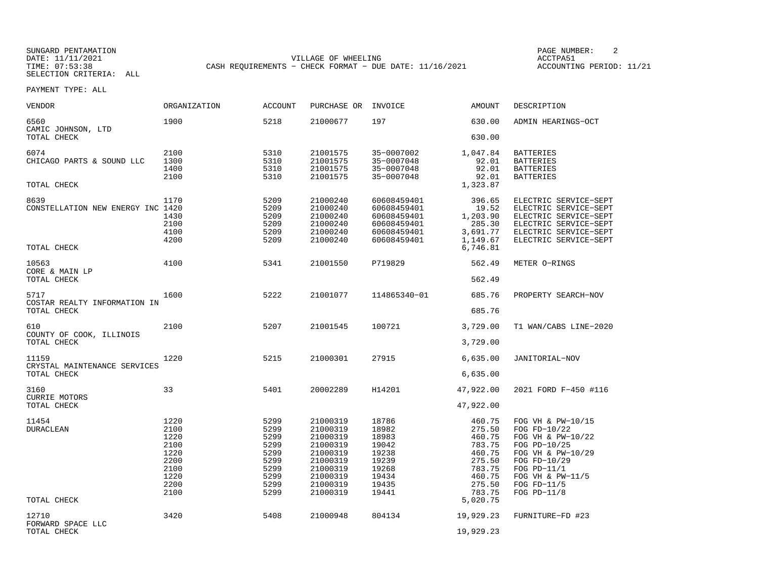SUNGARD PENTAMATION SUNGARD PENTAMATION SUNG PAGE NUMBER: 2 DATE: 11/11/2021 VILLAGE OF WHEELING ACCTPA51CASH REQUIREMENTS - CHECK FORMAT - DUE DATE: 11/16/2021

ACCOUNTING PERIOD: 11/21

| VENDOR                                                   | ORGANIZATION                                                                 | <b>ACCOUNT</b>                                                               | PURCHASE OR INVOICE                                                                                                  |                                                                                        | AMOUNT                                                                                           | DESCRIPTION                                                                                                                                                                      |
|----------------------------------------------------------|------------------------------------------------------------------------------|------------------------------------------------------------------------------|----------------------------------------------------------------------------------------------------------------------|----------------------------------------------------------------------------------------|--------------------------------------------------------------------------------------------------|----------------------------------------------------------------------------------------------------------------------------------------------------------------------------------|
| 6560<br>CAMIC JOHNSON, LTD<br>TOTAL CHECK                | 1900                                                                         | 5218                                                                         | 21000677                                                                                                             | 197                                                                                    | 630.00<br>630.00                                                                                 | ADMIN HEARINGS-OCT                                                                                                                                                               |
| 6074<br>CHICAGO PARTS & SOUND LLC<br>TOTAL CHECK         | 2100<br>1300<br>1400<br>2100                                                 | 5310<br>5310<br>5310<br>5310                                                 | 21001575<br>21001575<br>21001575<br>21001575                                                                         | 35-0007002<br>35-0007048<br>35-0007048<br>35-0007048                                   | 1,047.84<br>92.01<br>92.01<br>92.01<br>1,323.87                                                  | <b>BATTERIES</b><br><b>BATTERIES</b><br><b>BATTERIES</b><br><b>BATTERIES</b>                                                                                                     |
| 8639<br>CONSTELLATION NEW ENERGY INC 1420<br>TOTAL CHECK | 1170<br>1430<br>2100<br>4100<br>4200                                         | 5209<br>5209<br>5209<br>5209<br>5209<br>5209                                 | 21000240<br>21000240<br>21000240<br>21000240<br>21000240<br>21000240                                                 | 60608459401<br>60608459401<br>60608459401<br>60608459401<br>60608459401<br>60608459401 | 396.65<br>19.52<br>1,203.90<br>285.30<br>3,691.77<br>1,149.67<br>6,746.81                        | ELECTRIC SERVICE-SEPT<br>ELECTRIC SERVICE-SEPT<br>ELECTRIC SERVICE-SEPT<br>ELECTRIC SERVICE-SEPT<br>ELECTRIC SERVICE-SEPT<br>ELECTRIC SERVICE-SEPT                               |
| 10563<br>CORE & MAIN LP<br>TOTAL CHECK                   | 4100                                                                         | 5341                                                                         | 21001550                                                                                                             | P719829                                                                                | 562.49<br>562.49                                                                                 | METER O-RINGS                                                                                                                                                                    |
| 5717<br>COSTAR REALTY INFORMATION IN<br>TOTAL CHECK      | 1600                                                                         | 5222                                                                         | 21001077                                                                                                             | 114865340-01                                                                           | 685.76<br>685.76                                                                                 | PROPERTY SEARCH-NOV                                                                                                                                                              |
| 610<br>COUNTY OF COOK, ILLINOIS<br>TOTAL CHECK           | 2100                                                                         | 5207                                                                         | 21001545                                                                                                             | 100721                                                                                 | 3,729.00<br>3,729.00                                                                             | T1 WAN/CABS LINE-2020                                                                                                                                                            |
| 11159<br>CRYSTAL MAINTENANCE SERVICES<br>TOTAL CHECK     | 1220                                                                         | 5215                                                                         | 21000301                                                                                                             | 27915                                                                                  | 6,635.00<br>6,635.00                                                                             | JANITORIAL-NOV                                                                                                                                                                   |
| 3160<br><b>CURRIE MOTORS</b><br>TOTAL CHECK              | 33                                                                           | 5401                                                                         | 20002289                                                                                                             | H14201                                                                                 | 47,922.00<br>47,922.00                                                                           | 2021 FORD F-450 #116                                                                                                                                                             |
| 11454<br><b>DURACLEAN</b>                                | 1220<br>2100<br>1220<br>2100<br>1220<br>2200<br>2100<br>1220<br>2200<br>2100 | 5299<br>5299<br>5299<br>5299<br>5299<br>5299<br>5299<br>5299<br>5299<br>5299 | 21000319<br>21000319<br>21000319<br>21000319<br>21000319<br>21000319<br>21000319<br>21000319<br>21000319<br>21000319 | 18786<br>18982<br>18983<br>19042<br>19238<br>19239<br>19268<br>19434<br>19435<br>19441 | 460.75<br>275.50<br>460.75<br>783.75<br>460.75<br>275.50<br>783.75<br>460.75<br>275.50<br>783.75 | FOG VH & PW-10/15<br>FOG FD-10/22<br>FOG VH & PW-10/22<br>FOG PD-10/25<br>FOG VH & PW-10/29<br>FOG FD-10/29<br>FOG $PD-11/1$<br>FOG VH & PW-11/5<br>FOG $FD-11/5$<br>FOG PD-11/8 |
| TOTAL CHECK                                              |                                                                              |                                                                              |                                                                                                                      |                                                                                        | 5,020.75                                                                                         |                                                                                                                                                                                  |
| 12710<br>FORWARD SPACE LLC<br>TOTAL CHECK                | 3420                                                                         | 5408                                                                         | 21000948                                                                                                             | 804134                                                                                 | 19,929.23<br>19,929.23                                                                           | FURNITURE-FD #23                                                                                                                                                                 |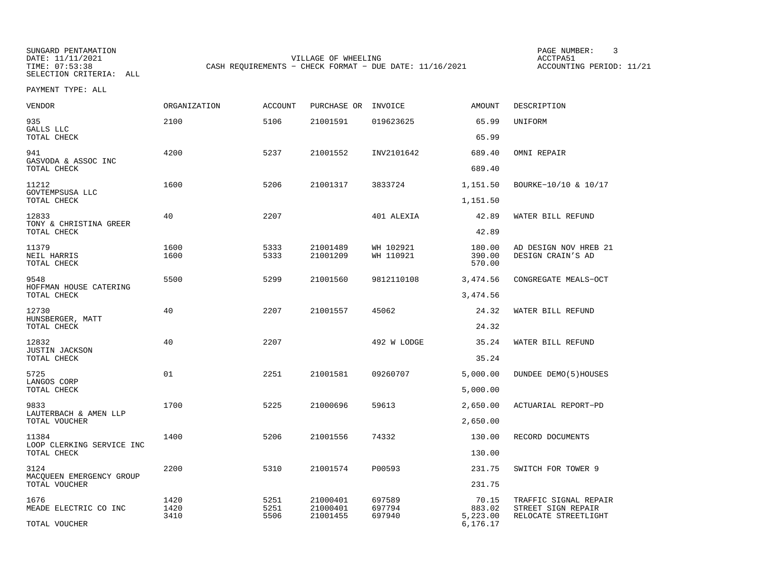SUNGARD PENTAMATION SUNGARD PENTAMATION SUNGARD PAGE NUMBER: 3<br>
PAGE PENTAMATION SUNG PAGE ACCTPA51 DATE: 11/11/2021 VILLAGE OF WHEELING ACCTPA51

CASH REQUIREMENTS - CHECK FORMAT - DUE DATE: 11/16/2021

ACCOUNTING PERIOD: 11/21

| <b>VENDOR</b>                             | <b>ORGANIZATION</b> | <b>ACCOUNT</b> | PURCHASE OR          | INVOICE                | <b>AMOUNT</b>              | DESCRIPTION                                |
|-------------------------------------------|---------------------|----------------|----------------------|------------------------|----------------------------|--------------------------------------------|
| 935<br>GALLS LLC                          | 2100                | 5106           | 21001591             | 019623625              | 65.99<br>65.99             | UNIFORM                                    |
| TOTAL CHECK                               |                     |                |                      |                        |                            |                                            |
| 941<br>GASVODA & ASSOC INC<br>TOTAL CHECK | 4200                | 5237           | 21001552             | INV2101642             | 689.40<br>689.40           | OMNI REPAIR                                |
| 11212                                     | 1600                | 5206           | 21001317             | 3833724                | 1,151.50                   | BOURKE-10/10 & 10/17                       |
| GOVTEMPSUSA LLC<br>TOTAL CHECK            |                     |                |                      |                        | 1,151.50                   |                                            |
| 12833<br>TONY & CHRISTINA GREER           | 40                  | 2207           |                      | 401 ALEXIA             | 42.89                      | WATER BILL REFUND                          |
| TOTAL CHECK                               |                     |                |                      |                        | 42.89                      |                                            |
| 11379<br>NEIL HARRIS<br>TOTAL CHECK       | 1600<br>1600        | 5333<br>5333   | 21001489<br>21001209 | WH 102921<br>WH 110921 | 180.00<br>390.00<br>570.00 | AD DESIGN NOV HREB 21<br>DESIGN CRAIN'S AD |
| 9548                                      | 5500                | 5299           | 21001560             | 9812110108             | 3,474.56                   | CONGREGATE MEALS-OCT                       |
| HOFFMAN HOUSE CATERING<br>TOTAL CHECK     |                     |                |                      |                        | 3,474.56                   |                                            |
| 12730<br>HUNSBERGER, MATT                 | 40                  | 2207           | 21001557             | 45062                  | 24.32                      | WATER BILL REFUND                          |
| TOTAL CHECK                               |                     |                |                      |                        | 24.32                      |                                            |
| 12832<br>JUSTIN JACKSON<br>TOTAL CHECK    | 40                  | 2207           |                      | 492 W LODGE            | 35.24<br>35.24             | WATER BILL REFUND                          |
|                                           |                     |                |                      |                        |                            |                                            |
| 5725<br>LANGOS CORP                       | 01                  | 2251           | 21001581             | 09260707               | 5,000.00                   | DUNDEE DEMO(5)HOUSES                       |
| TOTAL CHECK                               |                     |                |                      |                        | 5,000.00                   |                                            |
| 9833<br>LAUTERBACH & AMEN LLP             | 1700                | 5225           | 21000696             | 59613                  | 2,650.00                   | ACTUARIAL REPORT-PD                        |
| TOTAL VOUCHER                             |                     |                |                      |                        | 2,650.00                   |                                            |
| 11384                                     | 1400                | 5206           | 21001556             | 74332                  | 130.00                     | RECORD DOCUMENTS                           |
| LOOP CLERKING SERVICE INC<br>TOTAL CHECK  |                     |                |                      |                        | 130.00                     |                                            |
| 3124                                      | 2200                | 5310           | 21001574             | P00593                 | 231.75                     | SWITCH FOR TOWER 9                         |
| MACQUEEN EMERGENCY GROUP<br>TOTAL VOUCHER |                     |                |                      |                        | 231.75                     |                                            |
| 1676                                      | 1420                | 5251           | 21000401             | 697589                 | 70.15                      | TRAFFIC SIGNAL REPAIR                      |
| MEADE ELECTRIC CO INC                     | 1420<br>3410        | 5251<br>5506   | 21000401<br>21001455 | 697794<br>697940       | 883.02<br>5,223.00         | STREET SIGN REPAIR<br>RELOCATE STREETLIGHT |
| TOTAL VOUCHER                             |                     |                |                      |                        | 6,176.17                   |                                            |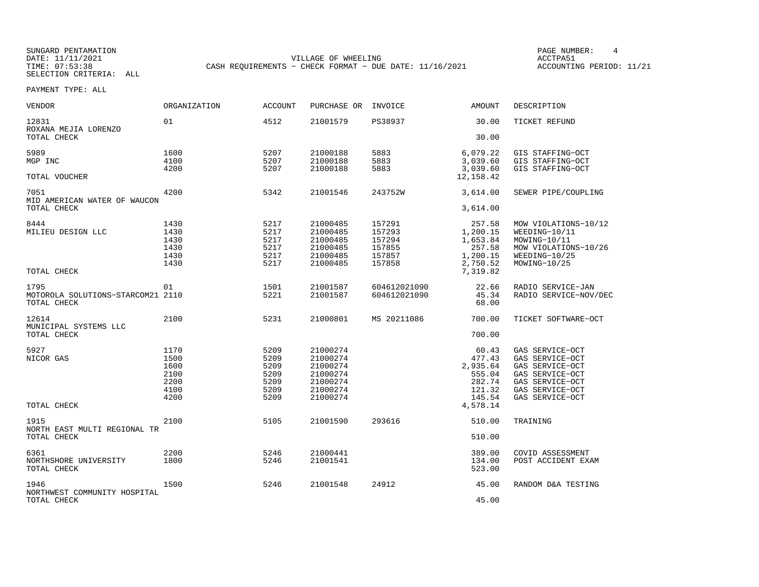SUNGARD PENTAMATION SUNGARD PENTAMATION SUNG PAGE NUMBER: 4 DATE: 11/11/2021 VILLAGE OF WHEELING ACCTPA51CASH REQUIREMENTS - CHECK FORMAT - DUE DATE: 11/16/2021

ACCOUNTING PERIOD: 11/21

| <b>VENDOR</b>                                            | <b>ORGANIZATION</b>                                  | <b>ACCOUNT</b>                                       | PURCHASE OR                                                                      | INVOICE                                                  | <b>AMOUNT</b>                                                                   | DESCRIPTION                                                                                                                       |
|----------------------------------------------------------|------------------------------------------------------|------------------------------------------------------|----------------------------------------------------------------------------------|----------------------------------------------------------|---------------------------------------------------------------------------------|-----------------------------------------------------------------------------------------------------------------------------------|
| 12831<br>ROXANA MEJIA LORENZO                            | 01                                                   | 4512                                                 | 21001579                                                                         | PS38937                                                  | 30.00                                                                           | TICKET REFUND                                                                                                                     |
| TOTAL CHECK                                              |                                                      |                                                      |                                                                                  |                                                          | 30.00                                                                           |                                                                                                                                   |
| 5989<br>MGP INC                                          | 1600<br>4100<br>4200                                 | 5207<br>5207<br>5207                                 | 21000188<br>21000188<br>21000188                                                 | 5883<br>5883<br>5883                                     | 6,079.22<br>3,039.60<br>3,039.60                                                | GIS STAFFING-OCT<br>GIS STAFFING-OCT<br>GIS STAFFING-OCT                                                                          |
| TOTAL VOUCHER                                            |                                                      |                                                      |                                                                                  |                                                          | 12, 158.42                                                                      |                                                                                                                                   |
| 7051<br>MID AMERICAN WATER OF WAUCON<br>TOTAL CHECK      | 4200                                                 | 5342                                                 | 21001546                                                                         | 243752W                                                  | 3,614.00<br>3,614.00                                                            | SEWER PIPE/COUPLING                                                                                                               |
|                                                          |                                                      |                                                      |                                                                                  |                                                          |                                                                                 |                                                                                                                                   |
| 8444<br>MILIEU DESIGN LLC<br>TOTAL CHECK                 | 1430<br>1430<br>1430<br>1430<br>1430<br>1430         | 5217<br>5217<br>5217<br>5217<br>5217<br>5217         | 21000485<br>21000485<br>21000485<br>21000485<br>21000485<br>21000485             | 157291<br>157293<br>157294<br>157855<br>157857<br>157858 | 257.58<br>1,200.15<br>1,653.84<br>257.58<br>1,200.15<br>2,750.52<br>7,319.82    | MOW VIOLATIONS-10/12<br>WEEDING-10/11<br>MOWING-10/11<br>MOW VIOLATIONS-10/26<br>WEEDING-10/25<br>MOWING-10/25                    |
| 1795<br>MOTOROLA SOLUTIONS-STARCOM21 2110<br>TOTAL CHECK | 01                                                   | 1501<br>5221                                         | 21001587<br>21001587                                                             | 604612021090<br>604612021090                             | 22.66<br>45.34<br>68.00                                                         | RADIO SERVICE-JAN<br>RADIO SERVICE-NOV/DEC                                                                                        |
| 12614<br>MUNICIPAL SYSTEMS LLC<br>TOTAL CHECK            | 2100                                                 | 5231                                                 | 21000801                                                                         | MS 20211086                                              | 700.00<br>700.00                                                                | TICKET SOFTWARE-OCT                                                                                                               |
| 5927<br>NICOR GAS<br>TOTAL CHECK                         | 1170<br>1500<br>1600<br>2100<br>2200<br>4100<br>4200 | 5209<br>5209<br>5209<br>5209<br>5209<br>5209<br>5209 | 21000274<br>21000274<br>21000274<br>21000274<br>21000274<br>21000274<br>21000274 |                                                          | 60.43<br>477.43<br>2,935.64<br>555.04<br>282.74<br>121.32<br>145.54<br>4,578.14 | GAS SERVICE-OCT<br>GAS SERVICE-OCT<br>GAS SERVICE-OCT<br>GAS SERVICE-OCT<br>GAS SERVICE-OCT<br>GAS SERVICE-OCT<br>GAS SERVICE-OCT |
| 1915<br>NORTH EAST MULTI REGIONAL TR<br>TOTAL CHECK      | 2100                                                 | 5105                                                 | 21001590                                                                         | 293616                                                   | 510.00<br>510.00                                                                | TRAINING                                                                                                                          |
| 6361<br>NORTHSHORE UNIVERSITY<br>TOTAL CHECK             | 2200<br>1800                                         | 5246<br>5246                                         | 21000441<br>21001541                                                             |                                                          | 389.00<br>134.00<br>523.00                                                      | COVID ASSESSMENT<br>POST ACCIDENT EXAM                                                                                            |
| 1946<br>NORTHWEST COMMUNITY HOSPITAL<br>TOTAL CHECK      | 1500                                                 | 5246                                                 | 21001548                                                                         | 24912                                                    | 45.00<br>45.00                                                                  | RANDOM D&A TESTING                                                                                                                |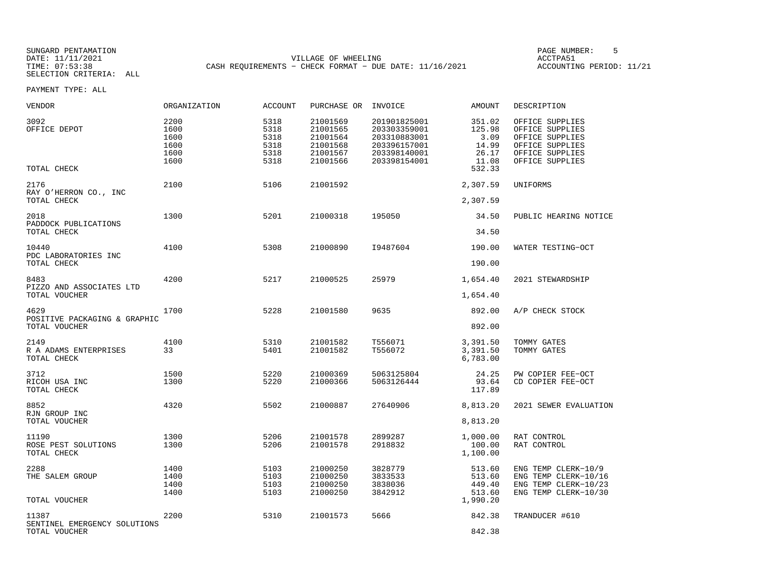SUNGARD PENTAMATION SUNGARD PENTAMATION SUNG PAGE NUMBER: 5 SENSING PAGE NUMBER: 5 SENSING PAGE NUMBER: 5 SENSI DATE: 11/11/2021 VILLAGE OF WHEELING ACCTPA51CASH REQUIREMENTS - CHECK FORMAT - DUE DATE: 11/16/2021

ACCOUNTING PERIOD: 11/21

| VENDOR                                                 | ORGANIZATION                                 | ACCOUNT                                      | PURCHASE OR                                                          | INVOICE                                                                                      | AMOUNT                                                        | DESCRIPTION                                                                                                    |
|--------------------------------------------------------|----------------------------------------------|----------------------------------------------|----------------------------------------------------------------------|----------------------------------------------------------------------------------------------|---------------------------------------------------------------|----------------------------------------------------------------------------------------------------------------|
| 3092<br>OFFICE DEPOT<br>TOTAL CHECK                    | 2200<br>1600<br>1600<br>1600<br>1600<br>1600 | 5318<br>5318<br>5318<br>5318<br>5318<br>5318 | 21001569<br>21001565<br>21001564<br>21001568<br>21001567<br>21001566 | 201901825001<br>203303359001<br>203310883001<br>203396157001<br>203398140001<br>203398154001 | 351.02<br>125.98<br>3.09<br>14.99<br>26.17<br>11.08<br>532.33 | OFFICE SUPPLIES<br>OFFICE SUPPLIES<br>OFFICE SUPPLIES<br>OFFICE SUPPLIES<br>OFFICE SUPPLIES<br>OFFICE SUPPLIES |
| 2176<br>RAY O'HERRON CO., INC<br>TOTAL CHECK           | 2100                                         | 5106                                         | 21001592                                                             |                                                                                              | 2,307.59<br>2,307.59                                          | UNIFORMS                                                                                                       |
| 2018<br>PADDOCK PUBLICATIONS<br>TOTAL CHECK            | 1300                                         | 5201                                         | 21000318                                                             | 195050                                                                                       | 34.50<br>34.50                                                | PUBLIC HEARING NOTICE                                                                                          |
| 10440<br>PDC LABORATORIES INC<br>TOTAL CHECK           | 4100                                         | 5308                                         | 21000890                                                             | I9487604                                                                                     | 190.00<br>190.00                                              | WATER TESTING-OCT                                                                                              |
| 8483<br>PIZZO AND ASSOCIATES LTD<br>TOTAL VOUCHER      | 4200                                         | 5217                                         | 21000525                                                             | 25979                                                                                        | 1,654.40<br>1,654.40                                          | 2021 STEWARDSHIP                                                                                               |
| 4629<br>POSITIVE PACKAGING & GRAPHIC<br>TOTAL VOUCHER  | 1700                                         | 5228                                         | 21001580                                                             | 9635                                                                                         | 892.00<br>892.00                                              | A/P CHECK STOCK                                                                                                |
| 2149<br>R A ADAMS ENTERPRISES<br>TOTAL CHECK           | 4100<br>33                                   | 5310<br>5401                                 | 21001582<br>21001582                                                 | T556071<br>T556072                                                                           | 3,391.50<br>3,391.50<br>6,783.00                              | TOMMY GATES<br>TOMMY GATES                                                                                     |
| 3712<br>RICOH USA INC<br>TOTAL CHECK                   | 1500<br>1300                                 | 5220<br>5220                                 | 21000369<br>21000366                                                 | 5063125804<br>5063126444                                                                     | 24.25<br>93.64<br>117.89                                      | PW COPIER FEE-OCT<br>CD COPIER FEE-OCT                                                                         |
| 8852<br>RJN GROUP INC<br>TOTAL VOUCHER                 | 4320                                         | 5502                                         | 21000887                                                             | 27640906                                                                                     | 8,813.20<br>8,813.20                                          | 2021 SEWER EVALUATION                                                                                          |
| 11190<br>ROSE PEST SOLUTIONS<br>TOTAL CHECK            | 1300<br>1300                                 | 5206<br>5206                                 | 21001578<br>21001578                                                 | 2899287<br>2918832                                                                           | 1,000.00<br>100.00<br>1,100.00                                | RAT CONTROL<br>RAT CONTROL                                                                                     |
| 2288<br>THE SALEM GROUP                                | 1400<br>1400<br>1400<br>1400                 | 5103<br>5103<br>5103<br>5103                 | 21000250<br>21000250<br>21000250<br>21000250                         | 3828779<br>3833533<br>3838036<br>3842912                                                     | 513.60<br>513.60<br>449.40<br>513.60                          | ENG TEMP CLERK-10/9<br>ENG TEMP CLERK-10/16<br>ENG TEMP CLERK-10/23<br>ENG TEMP CLERK-10/30                    |
| TOTAL VOUCHER                                          |                                              |                                              |                                                                      |                                                                                              | 1,990.20                                                      |                                                                                                                |
| 11387<br>SENTINEL EMERGENCY SOLUTIONS<br>TOTAL VOUCHER | 2200                                         | 5310                                         | 21001573                                                             | 5666                                                                                         | 842.38<br>842.38                                              | TRANDUCER #610                                                                                                 |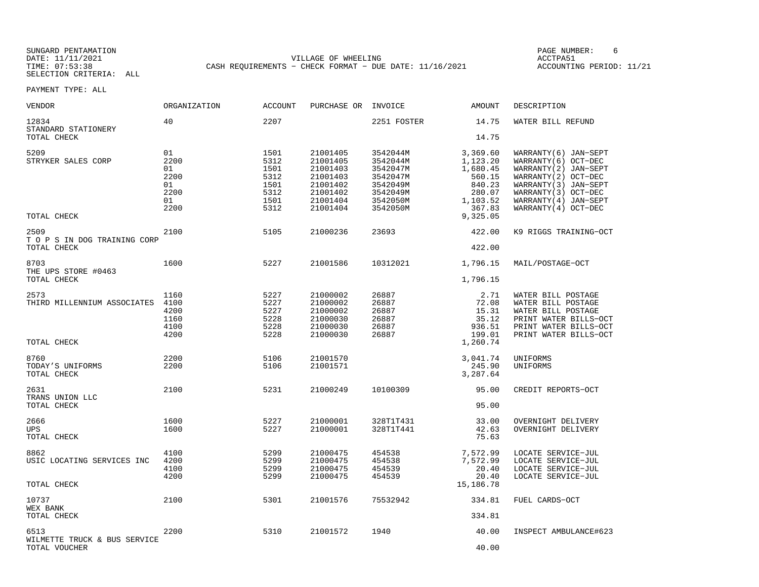SUNGARD PENTAMATION SUNGARD PENTAMATION SUNG PAGE NUMBER: 6 SUNGARD PENTAMATION SUNG PAGE NUMBER: 6 SUNG PAGE NUMBER: 6 SUNG PAGE NUMBER: 6 SUNG PAGE NUMBER: 6 SUNG PAGE NUMBER: 6 SUNG PAGE NUMBER: 6 SUNG PAGE NUMBER: 6 SU DATE: 11/11/2021 VILLAGE OF WHEELING ACCTPA51CASH REQUIREMENTS - CHECK FORMAT - DUE DATE: 11/16/2021

ACCOUNTING PERIOD: 11/21

| VENDOR                                            | ORGANIZATION                                         | <b>ACCOUNT</b>                                               | PURCHASE OR                                                                                  | INVOICE                                                                                      | AMOUNT                                                                                           | DESCRIPTION                                                                                                                                                                                 |
|---------------------------------------------------|------------------------------------------------------|--------------------------------------------------------------|----------------------------------------------------------------------------------------------|----------------------------------------------------------------------------------------------|--------------------------------------------------------------------------------------------------|---------------------------------------------------------------------------------------------------------------------------------------------------------------------------------------------|
| 12834<br>STANDARD STATIONERY                      | 40                                                   | 2207                                                         |                                                                                              | 2251 FOSTER                                                                                  | 14.75                                                                                            | WATER BILL REFUND                                                                                                                                                                           |
| TOTAL CHECK                                       |                                                      |                                                              |                                                                                              |                                                                                              | 14.75                                                                                            |                                                                                                                                                                                             |
| 5209<br>STRYKER SALES CORP<br>TOTAL CHECK         | 01<br>2200<br>01<br>2200<br>01<br>2200<br>01<br>2200 | 1501<br>5312<br>1501<br>5312<br>1501<br>5312<br>1501<br>5312 | 21001405<br>21001405<br>21001403<br>21001403<br>21001402<br>21001402<br>21001404<br>21001404 | 3542044M<br>3542044M<br>3542047M<br>3542047M<br>3542049M<br>3542049M<br>3542050M<br>3542050M | 3,369.60<br>1,123.20<br>1,680.45<br>560.15<br>840.23<br>280.07<br>1,103.52<br>367.83<br>9,325.05 | WARRANTY (6) JAN-SEPT<br>WARRANTY(6) OCT-DEC<br>WARRANTY(2) JAN-SEPT<br>WARRANTY (2) OCT-DEC<br>WARRANTY(3) JAN-SEPT<br>WARRANTY(3) OCT-DEC<br>WARRANTY(4) JAN-SEPT<br>WARRANTY (4) OCT-DEC |
| 2509<br>T O P S IN DOG TRAINING CORP              | 2100                                                 | 5105                                                         | 21000236                                                                                     | 23693                                                                                        | 422.00                                                                                           | K9 RIGGS TRAINING-OCT                                                                                                                                                                       |
| TOTAL CHECK                                       |                                                      |                                                              |                                                                                              |                                                                                              | 422.00                                                                                           |                                                                                                                                                                                             |
| 8703<br>THE UPS STORE #0463                       | 1600                                                 | 5227                                                         | 21001586                                                                                     | 10312021                                                                                     | 1,796.15                                                                                         | MAIL/POSTAGE-OCT                                                                                                                                                                            |
| TOTAL CHECK                                       |                                                      |                                                              |                                                                                              |                                                                                              | 1,796.15                                                                                         |                                                                                                                                                                                             |
| 2573<br>THIRD MILLENNIUM ASSOCIATES               | 1160<br>4100<br>4200<br>1160<br>4100<br>4200         | 5227<br>5227<br>5227<br>5228<br>5228<br>5228                 | 21000002<br>21000002<br>21000002<br>21000030<br>21000030<br>21000030                         | 26887<br>26887<br>26887<br>26887<br>26887<br>26887                                           | 2.71<br>72.08<br>15.31<br>35.12<br>936.51<br>199.01                                              | WATER BILL POSTAGE<br>WATER BILL POSTAGE<br>WATER BILL POSTAGE<br>PRINT WATER BILLS-OCT<br>PRINT WATER BILLS-OCT<br>PRINT WATER BILLS-OCT                                                   |
| TOTAL CHECK                                       |                                                      |                                                              |                                                                                              |                                                                                              | 1,260.74                                                                                         |                                                                                                                                                                                             |
| 8760<br>TODAY'S UNIFORMS<br>TOTAL CHECK           | 2200<br>2200                                         | 5106<br>5106                                                 | 21001570<br>21001571                                                                         |                                                                                              | 3,041.74<br>245.90<br>3,287.64                                                                   | UNIFORMS<br>UNIFORMS                                                                                                                                                                        |
| 2631<br>TRANS UNION LLC<br>TOTAL CHECK            | 2100                                                 | 5231                                                         | 21000249                                                                                     | 10100309                                                                                     | 95.00<br>95.00                                                                                   | CREDIT REPORTS-OCT                                                                                                                                                                          |
| 2666<br><b>UPS</b><br>TOTAL CHECK                 | 1600<br>1600                                         | 5227<br>5227                                                 | 21000001<br>21000001                                                                         | 328T1T431<br>328T1T441                                                                       | 33.00<br>42.63<br>75.63                                                                          | OVERNIGHT DELIVERY<br>OVERNIGHT DELIVERY                                                                                                                                                    |
| 8862<br>USIC LOCATING SERVICES INC<br>TOTAL CHECK | 4100<br>4200<br>4100<br>4200                         | 5299<br>5299<br>5299<br>5299                                 | 21000475<br>21000475<br>21000475<br>21000475                                                 | 454538<br>454538<br>454539<br>454539                                                         | 7,572.99<br>7,572.99<br>20.40<br>20.40<br>15,186.78                                              | LOCATE SERVICE-JUL<br>LOCATE SERVICE-JUL<br>LOCATE SERVICE-JUL<br>LOCATE SERVICE-JUL                                                                                                        |
|                                                   |                                                      |                                                              |                                                                                              |                                                                                              |                                                                                                  |                                                                                                                                                                                             |
| 10737<br>WEX BANK<br>TOTAL CHECK                  | 2100                                                 | 5301                                                         | 21001576                                                                                     | 75532942                                                                                     | 334.81<br>334.81                                                                                 | FUEL CARDS-OCT                                                                                                                                                                              |
| 6513                                              | 2200                                                 | 5310                                                         | 21001572                                                                                     | 1940                                                                                         | 40.00                                                                                            | INSPECT AMBULANCE#623                                                                                                                                                                       |
| WILMETTE TRUCK & BUS SERVICE<br>TOTAL VOUCHER     |                                                      |                                                              |                                                                                              |                                                                                              | 40.00                                                                                            |                                                                                                                                                                                             |